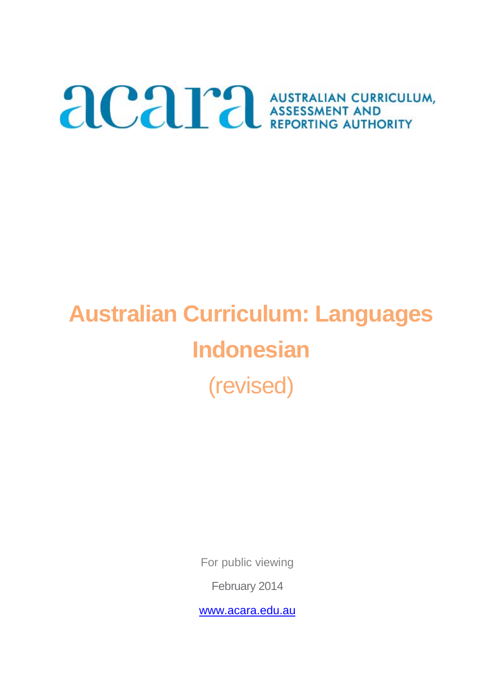# ACAPA AUSTRALIAN CURRICULUM,

# **Australian Curriculum: Languages Indonesian** (revised)

For public viewing

February 2014

www.acara.edu.au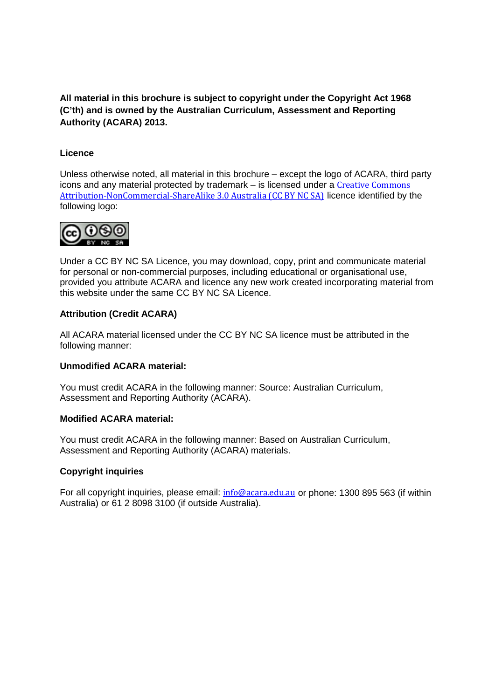**All material in this brochure is subject to copyright under the Copyright Act 1968 (C'th) and is owned by the Australian Curriculum, Assessment and Reporting Authority (ACARA) 2013.** 

#### **Licence**

Unless otherwise noted, all material in this brochure – except the logo of ACARA, third party icons and any material protected by trademark – is licensed under a Creative Commons [Attribution-NonCommercial-ShareAlike 3.0 Australia \(CC BY NC SA\)](http://creativecommons.org/licenses/by-nc-sa/3.0/au/) licence identified by the following logo:



Under a CC BY NC SA Licence, you may download, copy, print and communicate material for personal or non-commercial purposes, including educational or organisational use, provided you attribute ACARA and licence any new work created incorporating material from this website under the same CC BY NC SA Licence.

#### **Attribution (Credit ACARA)**

All ACARA material licensed under the CC BY NC SA licence must be attributed in the following manner:

#### **Unmodified ACARA material:**

You must credit ACARA in the following manner: Source: Australian Curriculum, Assessment and Reporting Authority (ACARA).

#### **Modified ACARA material:**

You must credit ACARA in the following manner: Based on Australian Curriculum, Assessment and Reporting Authority (ACARA) materials.

#### **Copyright inquiries**

For all copyright inquiries, please email: [info@acara.edu.au](mailto:info@acara.edu.au) or phone: 1300 895 563 (if within Australia) or 61 2 8098 3100 (if outside Australia).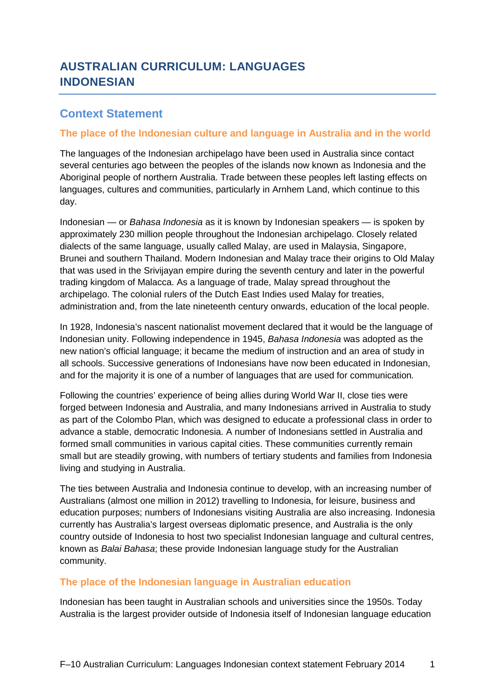# **AUSTRALIAN CURRICULUM: LANGUAGES INDONESIAN**

### **Context Statement**

#### **The place of the Indonesian culture and language in Australia and in the world**

The languages of the Indonesian archipelago have been used in Australia since contact several centuries ago between the peoples of the islands now known as Indonesia and the Aboriginal people of northern Australia. Trade between these peoples left lasting effects on languages, cultures and communities, particularly in Arnhem Land, which continue to this day.

Indonesian — or *Bahasa Indonesia* as it is known by Indonesian speakers — is spoken by approximately 230 million people throughout the Indonesian archipelago. Closely related dialects of the same language, usually called Malay, are used in Malaysia, Singapore, Brunei and southern Thailand. Modern Indonesian and Malay trace their origins to Old Malay that was used in the Srivijayan empire during the seventh century and later in the powerful trading kingdom of Malacca. As a language of trade, Malay spread throughout the archipelago. The colonial rulers of the Dutch East Indies used Malay for treaties, administration and, from the late nineteenth century onwards, education of the local people.

In 1928, Indonesia's nascent nationalist movement declared that it would be the language of Indonesian unity. Following independence in 1945, *Bahasa Indonesia* was adopted as the new nation's official language; it became the medium of instruction and an area of study in all schools. Successive generations of Indonesians have now been educated in Indonesian, and for the majority it is one of a number of languages that are used for communication*.*

Following the countries' experience of being allies during World War II, close ties were forged between Indonesia and Australia, and many Indonesians arrived in Australia to study as part of the Colombo Plan, which was designed to educate a professional class in order to advance a stable, democratic Indonesia. A number of Indonesians settled in Australia and formed small communities in various capital cities. These communities currently remain small but are steadily growing, with numbers of tertiary students and families from Indonesia living and studying in Australia.

The ties between Australia and Indonesia continue to develop, with an increasing number of Australians (almost one million in 2012) travelling to Indonesia, for leisure, business and education purposes; numbers of Indonesians visiting Australia are also increasing. Indonesia currently has Australia's largest overseas diplomatic presence, and Australia is the only country outside of Indonesia to host two specialist Indonesian language and cultural centres, known as *Balai Bahasa*; these provide Indonesian language study for the Australian community.

#### **The place of the Indonesian language in Australian education**

Indonesian has been taught in Australian schools and universities since the 1950s. Today Australia is the largest provider outside of Indonesia itself of Indonesian language education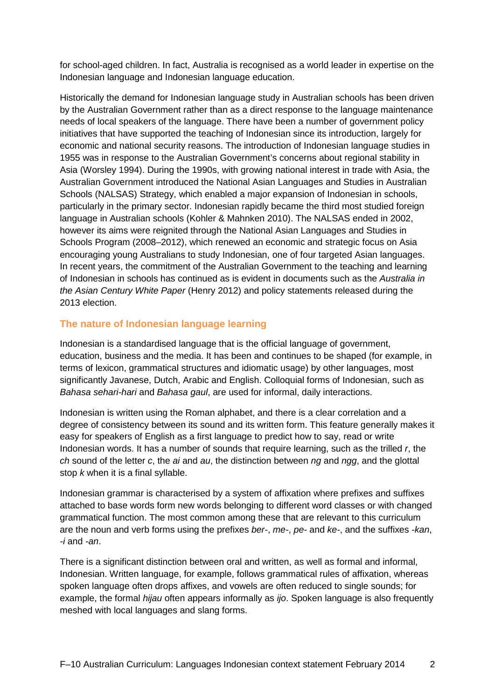for school-aged children. In fact, Australia is recognised as a world leader in expertise on the Indonesian language and Indonesian language education.

Historically the demand for Indonesian language study in Australian schools has been driven by the Australian Government rather than as a direct response to the language maintenance needs of local speakers of the language. There have been a number of government policy initiatives that have supported the teaching of Indonesian since its introduction, largely for economic and national security reasons. The introduction of Indonesian language studies in 1955 was in response to the Australian Government's concerns about regional stability in Asia (Worsley 1994). During the 1990s, with growing national interest in trade with Asia, the Australian Government introduced the National Asian Languages and Studies in Australian Schools (NALSAS) Strategy, which enabled a major expansion of Indonesian in schools, particularly in the primary sector. Indonesian rapidly became the third most studied foreign language in Australian schools (Kohler & Mahnken 2010). The NALSAS ended in 2002, however its aims were reignited through the National Asian Languages and Studies in Schools Program (2008–2012), which renewed an economic and strategic focus on Asia encouraging young Australians to study Indonesian, one of four targeted Asian languages. In recent years, the commitment of the Australian Government to the teaching and learning of Indonesian in schools has continued as is evident in documents such as the *Australia in the Asian Century White Paper* (Henry 2012) and policy statements released during the 2013 election.

#### **The nature of Indonesian language learning**

Indonesian is a standardised language that is the official language of government, education, business and the media. It has been and continues to be shaped (for example, in terms of lexicon, grammatical structures and idiomatic usage) by other languages, most significantly Javanese, Dutch, Arabic and English. Colloquial forms of Indonesian, such as *Bahasa sehari-hari* and *Bahasa gaul*, are used for informal, daily interactions.

Indonesian is written using the Roman alphabet, and there is a clear correlation and a degree of consistency between its sound and its written form. This feature generally makes it easy for speakers of English as a first language to predict how to say, read or write Indonesian words. It has a number of sounds that require learning, such as the trilled *r*, the *ch* sound of the letter *c*, the *ai* and *au*, the distinction between *ng* and *ngg*, and the glottal stop *k* when it is a final syllable.

Indonesian grammar is characterised by a system of affixation where prefixes and suffixes attached to base words form new words belonging to different word classes or with changed grammatical function. The most common among these that are relevant to this curriculum are the noun and verb forms using the prefixes *ber-*, *me-*, *pe-* and *ke-*, and the suffixes *-kan*, *-i* and *-an*.

There is a significant distinction between oral and written, as well as formal and informal, Indonesian. Written language, for example, follows grammatical rules of affixation, whereas spoken language often drops affixes, and vowels are often reduced to single sounds; for example, the formal *hijau* often appears informally as *ijo*. Spoken language is also frequently meshed with local languages and slang forms.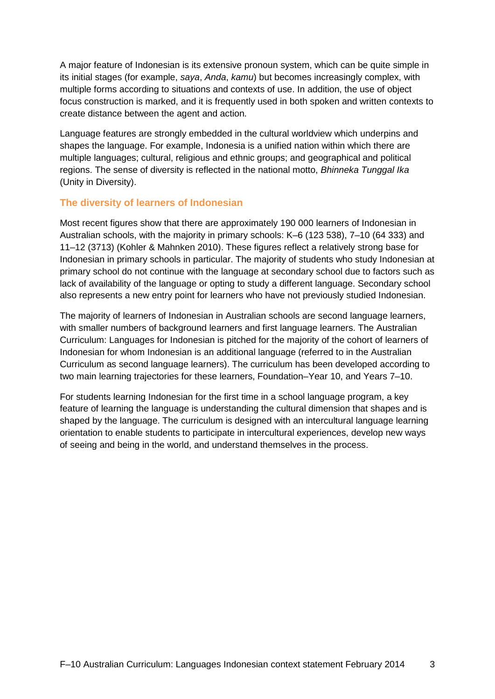A major feature of Indonesian is its extensive pronoun system, which can be quite simple in its initial stages (for example, *saya*, *Anda*, *kamu*) but becomes increasingly complex, with multiple forms according to situations and contexts of use. In addition, the use of object focus construction is marked, and it is frequently used in both spoken and written contexts to create distance between the agent and action.

Language features are strongly embedded in the cultural worldview which underpins and shapes the language. For example, Indonesia is a unified nation within which there are multiple languages; cultural, religious and ethnic groups; and geographical and political regions. The sense of diversity is reflected in the national motto, *Bhinneka Tunggal Ika*  (Unity in Diversity).

#### **The diversity of learners of Indonesian**

Most recent figures show that there are approximately 190 000 learners of Indonesian in Australian schools, with the majority in primary schools: K–6 (123 538), 7–10 (64 333) and 11–12 (3713) (Kohler & Mahnken 2010). These figures reflect a relatively strong base for Indonesian in primary schools in particular. The majority of students who study Indonesian at primary school do not continue with the language at secondary school due to factors such as lack of availability of the language or opting to study a different language. Secondary school also represents a new entry point for learners who have not previously studied Indonesian.

The majority of learners of Indonesian in Australian schools are second language learners, with smaller numbers of background learners and first language learners. The Australian Curriculum: Languages for Indonesian is pitched for the majority of the cohort of learners of Indonesian for whom Indonesian is an additional language (referred to in the Australian Curriculum as second language learners). The curriculum has been developed according to two main learning trajectories for these learners, Foundation–Year 10, and Years 7–10.

For students learning Indonesian for the first time in a school language program, a key feature of learning the language is understanding the cultural dimension that shapes and is shaped by the language. The curriculum is designed with an intercultural language learning orientation to enable students to participate in intercultural experiences, develop new ways of seeing and being in the world, and understand themselves in the process.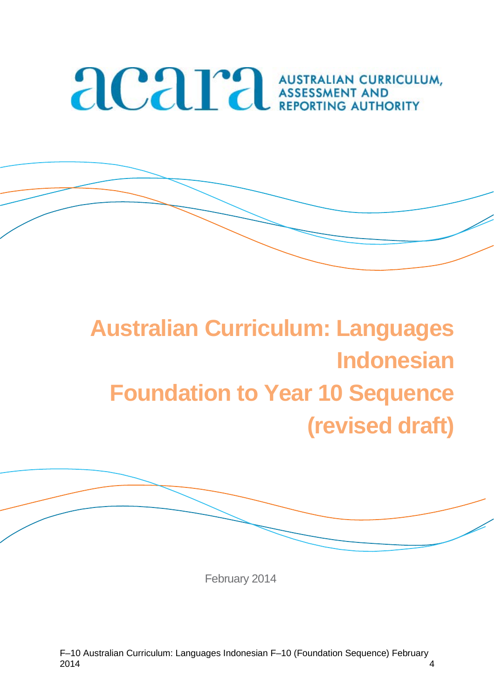# **ACAPA AUSTRALIAN CURRICULUM**

# **Australian Curriculum: Languages Indonesian Foundation to Year 10 Sequence (revised draft)**

February 2014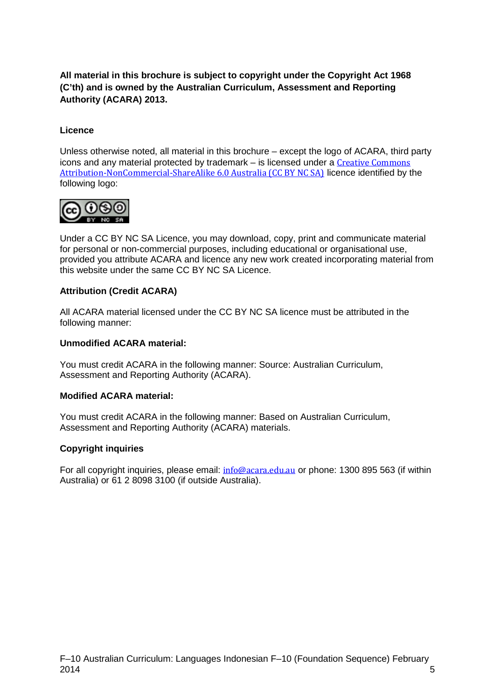**All material in this brochure is subject to copyright under the Copyright Act 1968 (C'th) and is owned by the Australian Curriculum, Assessment and Reporting Authority (ACARA) 2013.** 

#### **Licence**

Unless otherwise noted, all material in this brochure – except the logo of ACARA, third party icons and any material protected by trademark – is licensed under a [Creative Commons](http://creativecommons.org/licenses/by-nc-sa/3.0/au/)  [Attribution-NonCommercial-ShareAlike 6.0 Australia \(CC BY NC SA\)](http://creativecommons.org/licenses/by-nc-sa/3.0/au/) licence identified by the following logo:



Under a CC BY NC SA Licence, you may download, copy, print and communicate material for personal or non-commercial purposes, including educational or organisational use, provided you attribute ACARA and licence any new work created incorporating material from this website under the same CC BY NC SA Licence.

#### **Attribution (Credit ACARA)**

All ACARA material licensed under the CC BY NC SA licence must be attributed in the following manner:

#### **Unmodified ACARA material:**

You must credit ACARA in the following manner: Source: Australian Curriculum, Assessment and Reporting Authority (ACARA).

#### **Modified ACARA material:**

You must credit ACARA in the following manner: Based on Australian Curriculum, Assessment and Reporting Authority (ACARA) materials.

#### **Copyright inquiries**

For all copyright inquiries, please email: [info@acara.edu.au](mailto:info@acara.edu.au) or phone: 1300 895 563 (if within Australia) or 61 2 8098 3100 (if outside Australia).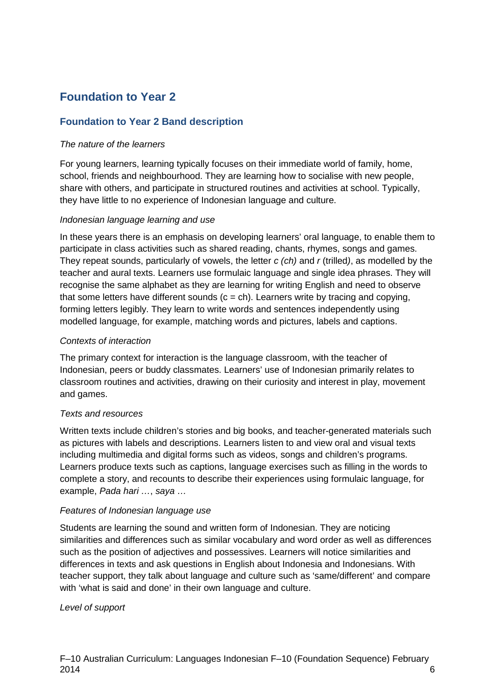# **Foundation to Year 2**

#### **Foundation to Year 2 Band description**

#### *The nature of the learners*

For young learners, learning typically focuses on their immediate world of family, home, school, friends and neighbourhood. They are learning how to socialise with new people, share with others, and participate in structured routines and activities at school. Typically, they have little to no experience of Indonesian language and culture.

#### *Indonesian language learning and use*

In these years there is an emphasis on developing learners' oral language, to enable them to participate in class activities such as shared reading, chants, rhymes, songs and games. They repeat sounds, particularly of vowels, the letter *c (ch)* and *r* (trilled*)*, as modelled by the teacher and aural texts. Learners use formulaic language and single idea phrases. They will recognise the same alphabet as they are learning for writing English and need to observe that some letters have different sounds  $(c = ch)$ . Learners write by tracing and copying, forming letters legibly. They learn to write words and sentences independently using modelled language, for example, matching words and pictures, labels and captions.

#### *Contexts of interaction*

The primary context for interaction is the language classroom, with the teacher of Indonesian, peers or buddy classmates. Learners' use of Indonesian primarily relates to classroom routines and activities, drawing on their curiosity and interest in play, movement and games.

#### *Texts and resources*

Written texts include children's stories and big books, and teacher-generated materials such as pictures with labels and descriptions. Learners listen to and view oral and visual texts including multimedia and digital forms such as videos, songs and children's programs. Learners produce texts such as captions, language exercises such as filling in the words to complete a story, and recounts to describe their experiences using formulaic language, for example, *Pada hari …*, *saya …*

#### *Features of Indonesian language use*

Students are learning the sound and written form of Indonesian. They are noticing similarities and differences such as similar vocabulary and word order as well as differences such as the position of adjectives and possessives. Learners will notice similarities and differences in texts and ask questions in English about Indonesia and Indonesians. With teacher support, they talk about language and culture such as 'same/different' and compare with 'what is said and done' in their own language and culture.

#### *Level of support*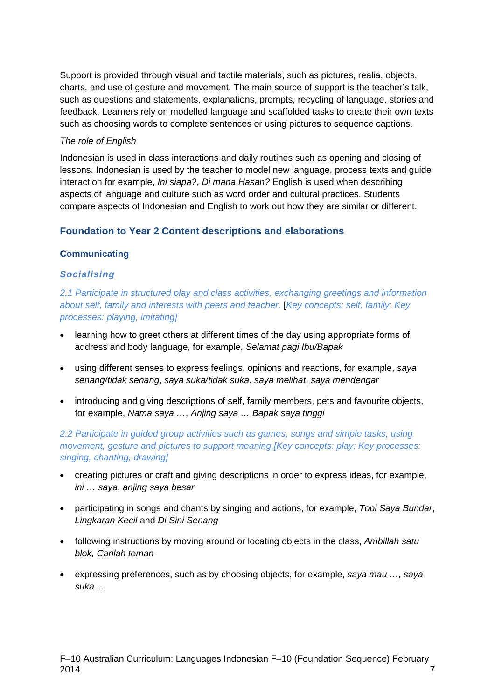Support is provided through visual and tactile materials, such as pictures, realia, objects, charts, and use of gesture and movement. The main source of support is the teacher's talk, such as questions and statements, explanations, prompts, recycling of language, stories and feedback. Learners rely on modelled language and scaffolded tasks to create their own texts such as choosing words to complete sentences or using pictures to sequence captions.

#### *The role of English*

Indonesian is used in class interactions and daily routines such as opening and closing of lessons. Indonesian is used by the teacher to model new language, process texts and guide interaction for example, *Ini siapa?*, *Di mana Hasan?* English is used when describing aspects of language and culture such as word order and cultural practices. Students compare aspects of Indonesian and English to work out how they are similar or different.

#### **Foundation to Year 2 Content descriptions and elaborations**

#### **Communicating**

#### *Socialising*

*2.1 Participate in structured play and class activities, exchanging greetings and information about self, family and interests with peers and teacher.* [*Key concepts: self, family; Key processes: playing, imitating]*

- learning how to greet others at different times of the day using appropriate forms of address and body language, for example, *Selamat pagi Ibu/Bapak*
- using different senses to express feelings, opinions and reactions, for example, *saya senang/tidak senang*, *saya suka/tidak suka*, *saya melihat*, *saya mendengar*
- introducing and giving descriptions of self, family members, pets and favourite objects, for example, *Nama saya …*, *Anjing saya … Bapak saya tinggi*

*2.2 Participate in guided group activities such as games, songs and simple tasks, using movement, gesture and pictures to support meaning.[Key concepts: play; Key processes: singing, chanting, drawing]*

- creating pictures or craft and giving descriptions in order to express ideas, for example, *ini … saya*, *anjing saya besar*
- participating in songs and chants by singing and actions, for example, *Topi Saya Bundar*, *Lingkaran Kecil* and *Di Sini Senang*
- following instructions by moving around or locating objects in the class, *Ambillah satu blok, Carilah teman*
- expressing preferences, such as by choosing objects, for example, *saya mau …, saya suka …*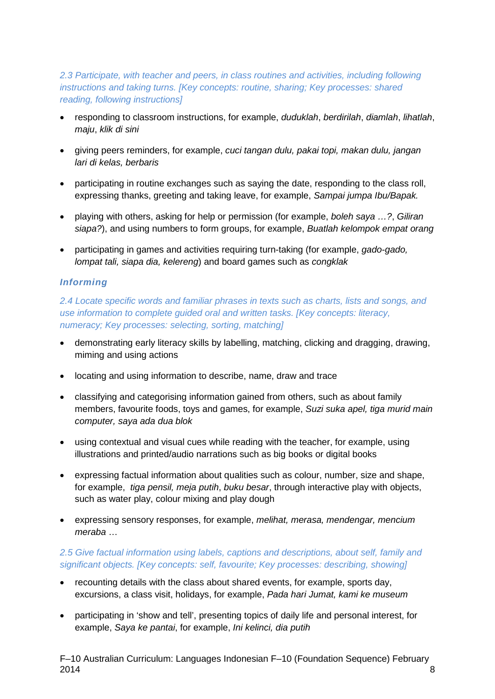#### *2.3 Participate, with teacher and peers, in class routines and activities, including following instructions and taking turns. [Key concepts: routine, sharing; Key processes: shared reading, following instructions]*

- responding to classroom instructions, for example, *duduklah*, *berdirilah*, *diamlah*, *lihatlah*, *maju*, *klik di sini*
- giving peers reminders, for example, *cuci tangan dulu, pakai topi, makan dulu, jangan lari di kelas, berbaris*
- participating in routine exchanges such as saying the date, responding to the class roll, expressing thanks, greeting and taking leave, for example, *Sampai jumpa Ibu/Bapak.*
- playing with others, asking for help or permission (for example, *boleh saya …?*, *Giliran siapa?*), and using numbers to form groups, for example, *Buatlah kelompok empat orang*
- participating in games and activities requiring turn-taking (for example, *gado-gado, lompat tali, siapa dia, kelereng*) and board games such as *congklak*

#### *Informing*

*2.4 Locate specific words and familiar phrases in texts such as charts, lists and songs, and use information to complete guided oral and written tasks. [Key concepts: literacy, numeracy; Key processes: selecting, sorting, matching]*

- demonstrating early literacy skills by labelling, matching, clicking and dragging, drawing, miming and using actions
- locating and using information to describe, name, draw and trace
- classifying and categorising information gained from others, such as about family members, favourite foods, toys and games, for example, *Suzi suka apel, tiga murid main computer, saya ada dua blok*
- using contextual and visual cues while reading with the teacher, for example, using illustrations and printed/audio narrations such as big books or digital books
- expressing factual information about qualities such as colour, number, size and shape, for example, *tiga pensil, meja putih*, *buku besar*, through interactive play with objects, such as water play, colour mixing and play dough
- expressing sensory responses, for example, *melihat, merasa, mendengar, mencium meraba* …

#### *2.5 Give factual information using labels, captions and descriptions, about self, family and significant objects. [Key concepts: self, favourite; Key processes: describing, showing]*

- recounting details with the class about shared events, for example, sports day, excursions, a class visit, holidays, for example, *Pada hari Jumat, kami ke museum*
- participating in 'show and tell', presenting topics of daily life and personal interest, for example, *Saya ke pantai*, for example, *Ini kelinci, dia putih*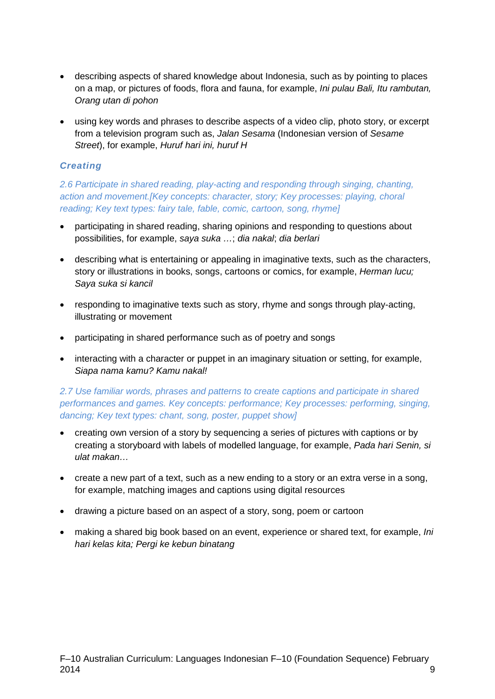- describing aspects of shared knowledge about Indonesia, such as by pointing to places on a map, or pictures of foods, flora and fauna, for example, *Ini pulau Bali, Itu rambutan, Orang utan di pohon*
- using key words and phrases to describe aspects of a video clip, photo story, or excerpt from a television program such as, *Jalan Sesama* (Indonesian version of *Sesame Street*), for example, *Huruf hari ini, huruf H*

#### *Creating*

*2.6 Participate in shared reading, play-acting and responding through singing, chanting, action and movement.[Key concepts: character, story; Key processes: playing, choral reading; Key text types: fairy tale, fable, comic, cartoon, song, rhyme]*

- participating in shared reading, sharing opinions and responding to questions about possibilities, for example, *saya suka …*; *dia nakal*; *dia berlari*
- describing what is entertaining or appealing in imaginative texts, such as the characters, story or illustrations in books, songs, cartoons or comics, for example, *Herman lucu; Saya suka si kancil*
- responding to imaginative texts such as story, rhyme and songs through play-acting, illustrating or movement
- participating in shared performance such as of poetry and songs
- interacting with a character or puppet in an imaginary situation or setting, for example, *Siapa nama kamu? Kamu nakal!*

#### *2.7 Use familiar words, phrases and patterns to create captions and participate in shared performances and games. Key concepts: performance; Key processes: performing, singing, dancing; Key text types: chant, song, poster, puppet show]*

- creating own version of a story by sequencing a series of pictures with captions or by creating a storyboard with labels of modelled language, for example, *Pada hari Senin, si ulat makan…*
- create a new part of a text, such as a new ending to a story or an extra verse in a song, for example, matching images and captions using digital resources
- drawing a picture based on an aspect of a story, song, poem or cartoon
- making a shared big book based on an event, experience or shared text, for example, *Ini hari kelas kita; Pergi ke kebun binatang*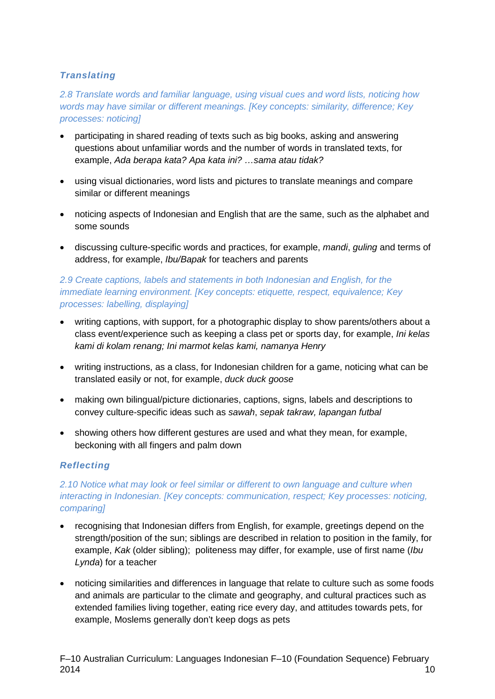#### *Translating*

*2.8 Translate words and familiar language, using visual cues and word lists, noticing how words may have similar or different meanings. [Key concepts: similarity, difference; Key processes: noticing]*

- participating in shared reading of texts such as big books, asking and answering questions about unfamiliar words and the number of words in translated texts, for example, *Ada berapa kata? Apa kata ini? …sama atau tidak?*
- using visual dictionaries, word lists and pictures to translate meanings and compare similar or different meanings
- noticing aspects of Indonesian and English that are the same, such as the alphabet and some sounds
- discussing culture-specific words and practices, for example, *mandi*, *guling* and terms of address, for example, *Ibu/Bapak* for teachers and parents

#### *2.9 Create captions, labels and statements in both Indonesian and English, for the immediate learning environment. [Key concepts: etiquette, respect, equivalence; Key processes: labelling, displaying]*

- writing captions, with support, for a photographic display to show parents/others about a class event/experience such as keeping a class pet or sports day, for example, *Ini kelas kami di kolam renang; Ini marmot kelas kami, namanya Henry*
- writing instructions, as a class, for Indonesian children for a game, noticing what can be translated easily or not, for example, *duck duck goose*
- making own bilingual/picture dictionaries, captions, signs, labels and descriptions to convey culture-specific ideas such as *sawah*, *sepak takraw, lapangan futbal*
- showing others how different gestures are used and what they mean, for example, beckoning with all fingers and palm down

#### *Reflecting*

#### *2.10 Notice what may look or feel similar or different to own language and culture when interacting in Indonesian. [Key concepts: communication, respect; Key processes: noticing, comparing]*

- recognising that Indonesian differs from English, for example, greetings depend on the strength/position of the sun; siblings are described in relation to position in the family, for example, *Kak* (older sibling); politeness may differ, for example, use of first name (*Ibu Lynda*) for a teacher
- noticing similarities and differences in language that relate to culture such as some foods and animals are particular to the climate and geography, and cultural practices such as extended families living together, eating rice every day, and attitudes towards pets, for example, Moslems generally don't keep dogs as pets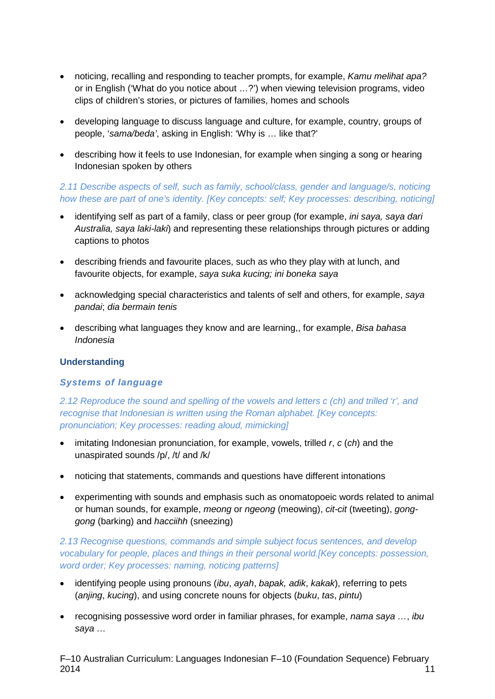- noticing, recalling and responding to teacher prompts, for example, *Kamu melihat apa?* or in English ('What do you notice about …?') when viewing television programs, video clips of children's stories, or pictures of families, homes and schools
- developing language to discuss language and culture, for example, country, groups of people, '*sama/beda'*, asking in English: 'Why is … like that?'
- describing how it feels to use Indonesian, for example when singing a song or hearing Indonesian spoken by others

#### *2.11 Describe aspects of self, such as family, school/class, gender and language/s, noticing how these are part of one's identity. [Key concepts: self; Key processes: describing, noticing]*

- identifying self as part of a family, class or peer group (for example, *ini saya, saya dari Australia, saya laki-laki*) and representing these relationships through pictures or adding captions to photos
- describing friends and favourite places, such as who they play with at lunch, and favourite objects, for example, *saya suka kucing; ini boneka saya*
- acknowledging special characteristics and talents of self and others, for example, *saya pandai*; *dia bermain tenis*
- describing what languages they know and are learning,, for example, *Bisa bahasa Indonesia*

#### **Understanding**

#### *Systems of language*

*2.12 Reproduce the sound and spelling of the vowels and letters c (ch) and trilled 'r', and recognise that Indonesian is written using the Roman alphabet. [Key concepts: pronunciation; Key processes: reading aloud, mimicking]*

- imitating Indonesian pronunciation, for example, vowels, trilled *r*, *c* (*ch*) and the unaspirated sounds /p/, /t/ and /k/
- noticing that statements, commands and questions have different intonations
- experimenting with sounds and emphasis such as onomatopoeic words related to animal or human sounds, for example, *meong* or *ngeong* (meowing), *cit-cit* (tweeting), *gonggong* (barking) and *hacciihh* (sneezing)

*2.13 Recognise questions, commands and simple subject focus sentences, and develop vocabulary for people, places and things in their personal world.[Key concepts: possession, word order; Key processes: naming, noticing patterns]*

- identifying people using pronouns (*ibu*, *ayah*, *bapak, adik*, *kakak*), referring to pets (*anjing*, *kucing*), and using concrete nouns for objects (*buku*, *tas*, *pintu*)
- recognising possessive word order in familiar phrases, for example, *nama saya …*, *ibu saya …*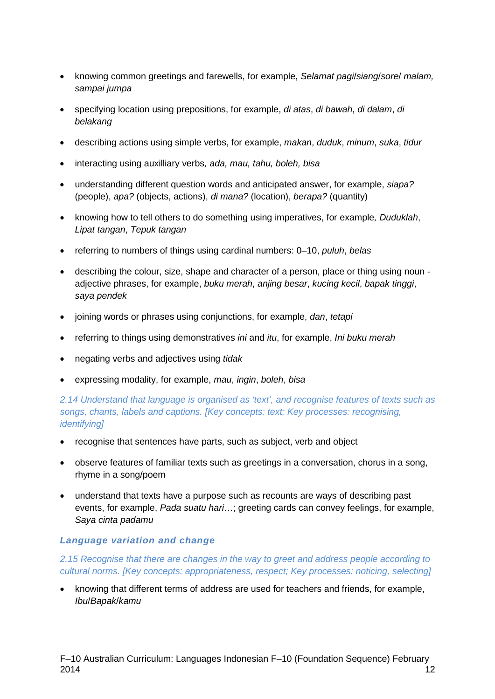- knowing common greetings and farewells, for example, *Selamat pagi*/*siang*/*sore*/ *malam, sampai jumpa*
- specifying location using prepositions, for example, *di atas*, *di bawah*, *di dalam*, *di belakang*
- describing actions using simple verbs, for example, *makan*, *duduk*, *minum*, *suka*, *tidur*
- interacting using auxilliary verbs*, ada, mau, tahu, boleh, bisa*
- understanding different question words and anticipated answer, for example, *siapa?*  (people), *apa?* (objects, actions), *di mana?* (location), *berapa?* (quantity)
- knowing how to tell others to do something using imperatives, for example*, Duduklah*, *Lipat tangan*, *Tepuk tangan*
- referring to numbers of things using cardinal numbers: 0–10, *puluh*, *belas*
- describing the colour, size, shape and character of a person, place or thing using noun adjective phrases, for example, *buku merah*, *anjing besar*, *kucing kecil*, *bapak tinggi*, *saya pendek*
- joining words or phrases using conjunctions, for example, *dan*, *tetapi*
- referring to things using demonstratives *ini* and *itu*, for example, *Ini buku merah*
- negating verbs and adjectives using *tidak*
- expressing modality, for example, *mau*, *ingin*, *boleh*, *bisa*

#### *2.14 Understand that language is organised as 'text', and recognise features of texts such as songs, chants, labels and captions. [Key concepts: text; Key processes: recognising, identifying]*

- recognise that sentences have parts, such as subject, verb and object
- observe features of familiar texts such as greetings in a conversation, chorus in a song, rhyme in a song/poem
- understand that texts have a purpose such as recounts are ways of describing past events, for example, *Pada suatu hari*…; greeting cards can convey feelings, for example, *Saya cinta padamu*

#### *Language variation and change*

*2.15 Recognise that there are changes in the way to greet and address people according to cultural norms. [Key concepts: appropriateness, respect; Key processes: noticing, selecting]*

• knowing that different terms of address are used for teachers and friends, for example, *Ibu*/*Bapak*/*kamu*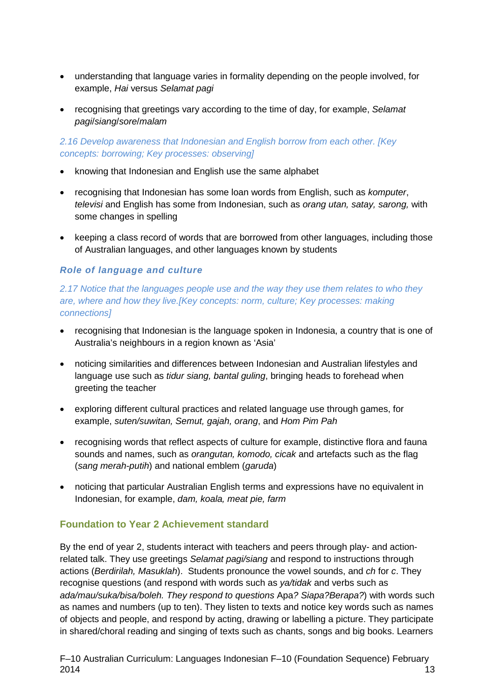- understanding that language varies in formality depending on the people involved, for example, *Hai* versus *Selamat pagi*
- recognising that greetings vary according to the time of day, for example, *Selamat pagi*/*siang*/*sore*/*malam*

*2.16 Develop awareness that Indonesian and English borrow from each other. [Key concepts: borrowing; Key processes: observing]*

- knowing that Indonesian and English use the same alphabet
- recognising that Indonesian has some loan words from English, such as *komputer*, *televisi* and English has some from Indonesian, such as *orang utan, satay, sarong,* with some changes in spelling
- keeping a class record of words that are borrowed from other languages, including those of Australian languages, and other languages known by students

#### *Role of language and culture*

*2.17 Notice that the languages people use and the way they use them relates to who they are, where and how they live.[Key concepts: norm, culture; Key processes: making connections]* 

- recognising that Indonesian is the language spoken in Indonesia, a country that is one of Australia's neighbours in a region known as 'Asia'
- noticing similarities and differences between Indonesian and Australian lifestyles and language use such as *tidur siang, bantal guling*, bringing heads to forehead when greeting the teacher
- exploring different cultural practices and related language use through games, for example, *suten/suwitan, Semut, gajah, orang*, and *Hom Pim Pah*
- recognising words that reflect aspects of culture for example, distinctive flora and fauna sounds and names, such as *orangutan, komodo, cicak* and artefacts such as the flag (*sang merah-putih*) and national emblem (*garuda*)
- noticing that particular Australian English terms and expressions have no equivalent in Indonesian, for example, *dam, koala, meat pie, farm*

#### **Foundation to Year 2 Achievement standard**

By the end of year 2, students interact with teachers and peers through play- and actionrelated talk. They use greetings *Selamat pagi/siang* and respond to instructions through actions (*Berdirilah, Masuklah*). Students pronounce the vowel sounds, and *ch* for *c*. They recognise questions (and respond with words such as *ya/tidak* and verbs such as *ada/mau/suka/bisa/boleh. They respond to questions* Apa*? Siapa?Berapa?*) with words such as names and numbers (up to ten). They listen to texts and notice key words such as names of objects and people, and respond by acting, drawing or labelling a picture. They participate in shared/choral reading and singing of texts such as chants, songs and big books. Learners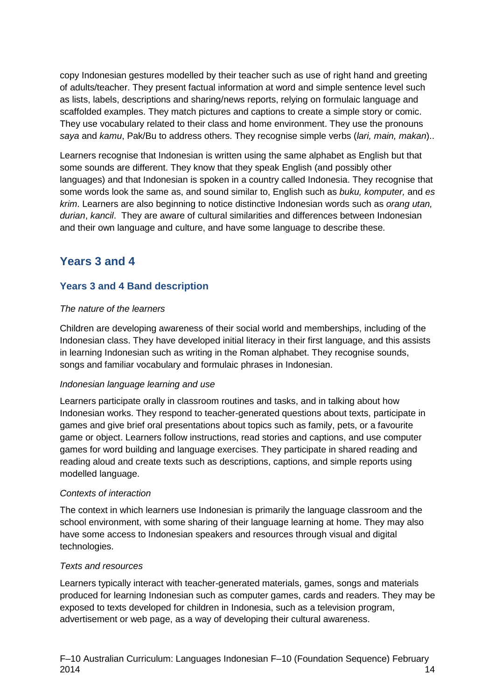copy Indonesian gestures modelled by their teacher such as use of right hand and greeting of adults/teacher. They present factual information at word and simple sentence level such as lists, labels, descriptions and sharing/news reports, relying on formulaic language and scaffolded examples. They match pictures and captions to create a simple story or comic. They use vocabulary related to their class and home environment. They use the pronouns *saya* and *kamu*, Pak/Bu to address others. They recognise simple verbs (*lari, main, makan*)..

Learners recognise that Indonesian is written using the same alphabet as English but that some sounds are different. They know that they speak English (and possibly other languages) and that Indonesian is spoken in a country called Indonesia. They recognise that some words look the same as, and sound similar to, English such as *buku, komputer,* and *es krim*. Learners are also beginning to notice distinctive Indonesian words such as *orang utan, durian*, *kancil*. They are aware of cultural similarities and differences between Indonesian and their own language and culture, and have some language to describe these.

### **Years 3 and 4**

#### **Years 3 and 4 Band description**

#### *The nature of the learners*

Children are developing awareness of their social world and memberships, including of the Indonesian class. They have developed initial literacy in their first language, and this assists in learning Indonesian such as writing in the Roman alphabet. They recognise sounds, songs and familiar vocabulary and formulaic phrases in Indonesian.

#### *Indonesian language learning and use*

Learners participate orally in classroom routines and tasks, and in talking about how Indonesian works. They respond to teacher-generated questions about texts, participate in games and give brief oral presentations about topics such as family, pets, or a favourite game or object. Learners follow instructions, read stories and captions, and use computer games for word building and language exercises. They participate in shared reading and reading aloud and create texts such as descriptions, captions, and simple reports using modelled language.

#### *Contexts of interaction*

The context in which learners use Indonesian is primarily the language classroom and the school environment, with some sharing of their language learning at home. They may also have some access to Indonesian speakers and resources through visual and digital technologies.

#### *Texts and resources*

Learners typically interact with teacher-generated materials, games, songs and materials produced for learning Indonesian such as computer games, cards and readers. They may be exposed to texts developed for children in Indonesia, such as a television program, advertisement or web page, as a way of developing their cultural awareness.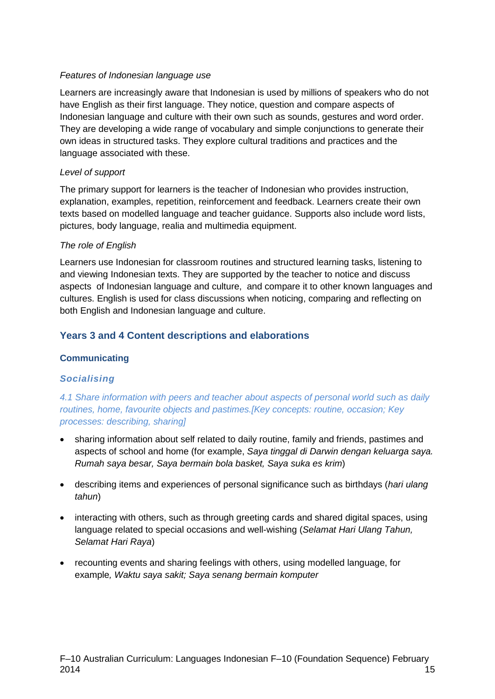#### *Features of Indonesian language use*

Learners are increasingly aware that Indonesian is used by millions of speakers who do not have English as their first language. They notice, question and compare aspects of Indonesian language and culture with their own such as sounds, gestures and word order. They are developing a wide range of vocabulary and simple conjunctions to generate their own ideas in structured tasks. They explore cultural traditions and practices and the language associated with these.

#### *Level of support*

The primary support for learners is the teacher of Indonesian who provides instruction, explanation, examples, repetition, reinforcement and feedback. Learners create their own texts based on modelled language and teacher guidance. Supports also include word lists, pictures, body language, realia and multimedia equipment.

#### *The role of English*

Learners use Indonesian for classroom routines and structured learning tasks, listening to and viewing Indonesian texts. They are supported by the teacher to notice and discuss aspects of Indonesian language and culture, and compare it to other known languages and cultures. English is used for class discussions when noticing, comparing and reflecting on both English and Indonesian language and culture.

#### **Years 3 and 4 Content descriptions and elaborations**

#### **Communicating**

#### *Socialising*

*4.1 Share information with peers and teacher about aspects of personal world such as daily routines, home, favourite objects and pastimes.[Key concepts: routine, occasion; Key processes: describing, sharing]*

- sharing information about self related to daily routine, family and friends, pastimes and aspects of school and home (for example, *Saya tinggal di Darwin dengan keluarga saya. Rumah saya besar, Saya bermain bola basket, Saya suka es krim*)
- describing items and experiences of personal significance such as birthdays (*hari ulang tahun*)
- interacting with others, such as through greeting cards and shared digital spaces, using language related to special occasions and well-wishing (*Selamat Hari Ulang Tahun, Selamat Hari Raya*)
- recounting events and sharing feelings with others, using modelled language, for example*, Waktu saya sakit; Saya senang bermain komputer*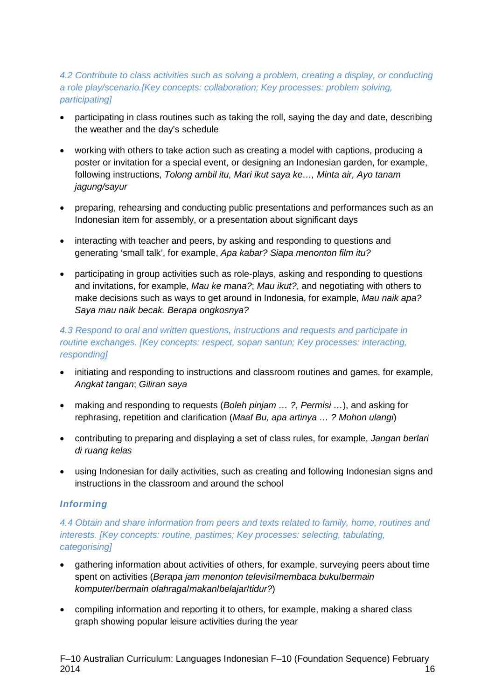#### *4.2 Contribute to class activities such as solving a problem, creating a display, or conducting a role play/scenario.[Key concepts: collaboration; Key processes: problem solving, participating]*

- participating in class routines such as taking the roll, saying the day and date, describing the weather and the day's schedule
- working with others to take action such as creating a model with captions, producing a poster or invitation for a special event, or designing an Indonesian garden, for example, following instructions, *Tolong ambil itu, Mari ikut saya ke…, Minta air, Ayo tanam jagung/sayur*
- preparing, rehearsing and conducting public presentations and performances such as an Indonesian item for assembly, or a presentation about significant days
- interacting with teacher and peers, by asking and responding to questions and generating 'small talk', for example, *Apa kabar? Siapa menonton film itu?*
- participating in group activities such as role-plays, asking and responding to questions and invitations, for example, *Mau ke mana?*; *Mau ikut?*, and negotiating with others to make decisions such as ways to get around in Indonesia, for example, *Mau naik apa? Saya mau naik becak. Berapa ongkosnya?*

#### *4.3 Respond to oral and written questions, instructions and requests and participate in routine exchanges. [Key concepts: respect, sopan santun; Key processes: interacting, responding]*

- initiating and responding to instructions and classroom routines and games, for example, *Angkat tangan*; *Giliran saya*
- making and responding to requests (*Boleh pinjam … ?*, *Permisi …*), and asking for rephrasing, repetition and clarification (*Maaf Bu, apa artinya … ? Mohon ulangi*)
- contributing to preparing and displaying a set of class rules, for example, *Jangan berlari di ruang kelas*
- using Indonesian for daily activities, such as creating and following Indonesian signs and instructions in the classroom and around the school

#### *Informing*

*4.4 Obtain and share information from peers and texts related to family, home, routines and interests. [Key concepts: routine, pastimes; Key processes: selecting, tabulating, categorising]*

- gathering information about activities of others, for example, surveying peers about time spent on activities (*Berapa jam menonton televisi*/*membaca buku*/*bermain komputer*/*bermain olahraga*/*makan*/*belajar*/*tidur?*)
- compiling information and reporting it to others, for example, making a shared class graph showing popular leisure activities during the year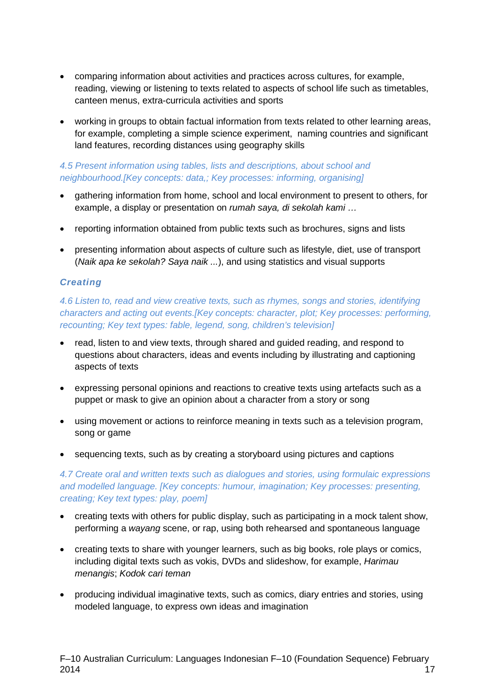- comparing information about activities and practices across cultures, for example, reading, viewing or listening to texts related to aspects of school life such as timetables, canteen menus, extra-curricula activities and sports
- working in groups to obtain factual information from texts related to other learning areas, for example, completing a simple science experiment, naming countries and significant land features, recording distances using geography skills

#### *4.5 Present information using tables, lists and descriptions, about school and neighbourhood.[Key concepts: data,; Key processes: informing, organising]*

- gathering information from home, school and local environment to present to others, for example, a display or presentation on *rumah saya, di sekolah kami …*
- reporting information obtained from public texts such as brochures, signs and lists
- presenting information about aspects of culture such as lifestyle, diet, use of transport (*Naik apa ke sekolah? Saya naik ...*), and using statistics and visual supports

#### *Creating*

*4.6 Listen to, read and view creative texts, such as rhymes, songs and stories, identifying characters and acting out events.[Key concepts: character, plot; Key processes: performing, recounting; Key text types: fable, legend, song, children's television]*

- read, listen to and view texts, through shared and guided reading, and respond to questions about characters, ideas and events including by illustrating and captioning aspects of texts
- expressing personal opinions and reactions to creative texts using artefacts such as a puppet or mask to give an opinion about a character from a story or song
- using movement or actions to reinforce meaning in texts such as a television program, song or game
- sequencing texts, such as by creating a storyboard using pictures and captions

*4.7 Create oral and written texts such as dialogues and stories, using formulaic expressions and modelled language. [Key concepts: humour, imagination; Key processes: presenting, creating; Key text types: play, poem]*

- creating texts with others for public display, such as participating in a mock talent show, performing a *wayang* scene, or rap, using both rehearsed and spontaneous language
- creating texts to share with younger learners, such as big books, role plays or comics, including digital texts such as vokis, DVDs and slideshow, for example, *Harimau menangis*; *Kodok cari teman*
- producing individual imaginative texts, such as comics, diary entries and stories, using modeled language, to express own ideas and imagination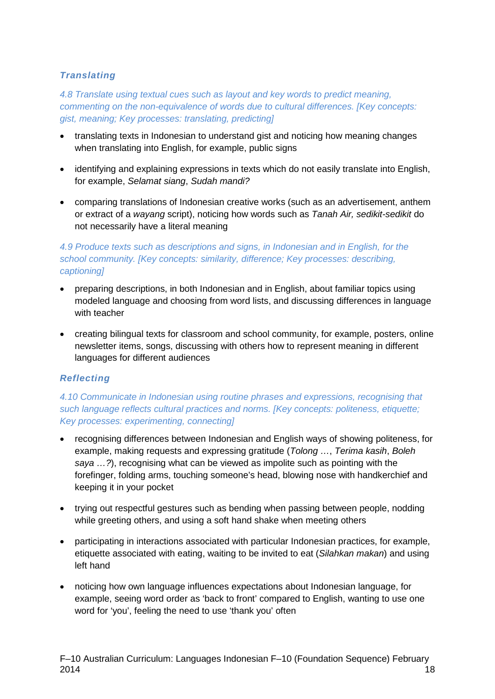#### *Translating*

*4.8 Translate using textual cues such as layout and key words to predict meaning, commenting on the non-equivalence of words due to cultural differences. [Key concepts: gist, meaning; Key processes: translating, predicting]*

- translating texts in Indonesian to understand gist and noticing how meaning changes when translating into English, for example, public signs
- identifying and explaining expressions in texts which do not easily translate into English, for example, *Selamat siang*, *Sudah mandi?*
- comparing translations of Indonesian creative works (such as an advertisement, anthem or extract of a *wayang* script), noticing how words such as *Tanah Air, sedikit-sedikit* do not necessarily have a literal meaning

#### *4.9 Produce texts such as descriptions and signs, in Indonesian and in English, for the school community. [Key concepts: similarity, difference; Key processes: describing, captioning]*

- preparing descriptions, in both Indonesian and in English, about familiar topics using modeled language and choosing from word lists, and discussing differences in language with teacher
- creating bilingual texts for classroom and school community, for example, posters, online newsletter items, songs, discussing with others how to represent meaning in different languages for different audiences

#### *Reflecting*

#### *4.10 Communicate in Indonesian using routine phrases and expressions, recognising that such language reflects cultural practices and norms. [Key concepts: politeness, etiquette; Key processes: experimenting, connecting]*

- recognising differences between Indonesian and English ways of showing politeness, for example, making requests and expressing gratitude (*Tolong …*, *Terima kasih*, *Boleh saya …?*), recognising what can be viewed as impolite such as pointing with the forefinger, folding arms, touching someone's head, blowing nose with handkerchief and keeping it in your pocket
- trying out respectful gestures such as bending when passing between people, nodding while greeting others, and using a soft hand shake when meeting others
- participating in interactions associated with particular Indonesian practices, for example, etiquette associated with eating, waiting to be invited to eat (*Silahkan makan*) and using left hand
- noticing how own language influences expectations about Indonesian language, for example, seeing word order as 'back to front' compared to English, wanting to use one word for 'you', feeling the need to use 'thank you' often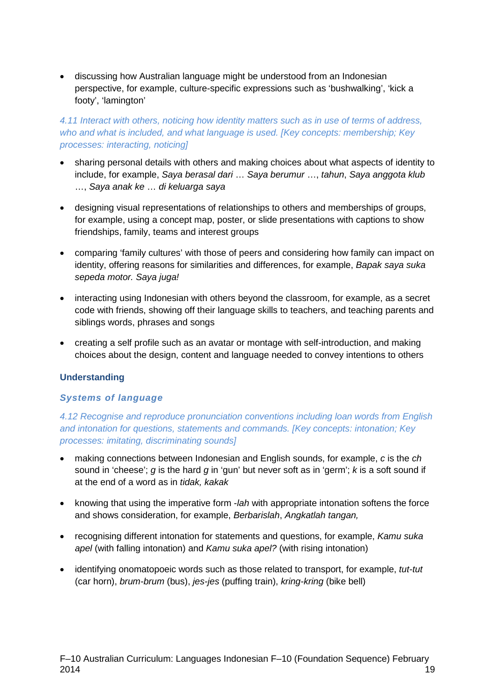• discussing how Australian language might be understood from an Indonesian perspective, for example, culture-specific expressions such as 'bushwalking', 'kick a footy', 'lamington'

#### *4.11 Interact with others, noticing how identity matters such as in use of terms of address, who and what is included, and what language is used. [Key concepts: membership; Key processes: interacting, noticing]*

- sharing personal details with others and making choices about what aspects of identity to include, for example, *Saya berasal dari* … *Saya berumur* …, *tahun*, *Saya anggota klub* …, *Saya anak ke* … *di keluarga saya*
- designing visual representations of relationships to others and memberships of groups, for example, using a concept map, poster, or slide presentations with captions to show friendships, family, teams and interest groups
- comparing 'family cultures' with those of peers and considering how family can impact on identity, offering reasons for similarities and differences, for example, *Bapak saya suka sepeda motor. Saya juga!*
- interacting using Indonesian with others beyond the classroom, for example, as a secret code with friends, showing off their language skills to teachers, and teaching parents and siblings words, phrases and songs
- creating a self profile such as an avatar or montage with self-introduction, and making choices about the design, content and language needed to convey intentions to others

#### **Understanding**

#### *Systems of language*

*4.12 Recognise and reproduce pronunciation conventions including loan words from English and intonation for questions, statements and commands. [Key concepts: intonation; Key processes: imitating, discriminating sounds]*

- making connections between Indonesian and English sounds, for example, *c* is the *ch* sound in 'cheese'; *g* is the hard *g* in 'gun' but never soft as in 'germ'; *k* is a soft sound if at the end of a word as in *tidak, kakak*
- knowing that using the imperative form -*lah* with appropriate intonation softens the force and shows consideration, for example, *Berbarislah*, *Angkatlah tangan,*
- recognising different intonation for statements and questions, for example, *Kamu suka*  apel (with falling intonation) and *Kamu suka apel?* (with rising intonation)
- identifying onomatopoeic words such as those related to transport, for example, *tut-tut* (car horn), *brum-brum* (bus), *jes-jes* (puffing train), *kring-kring* (bike bell)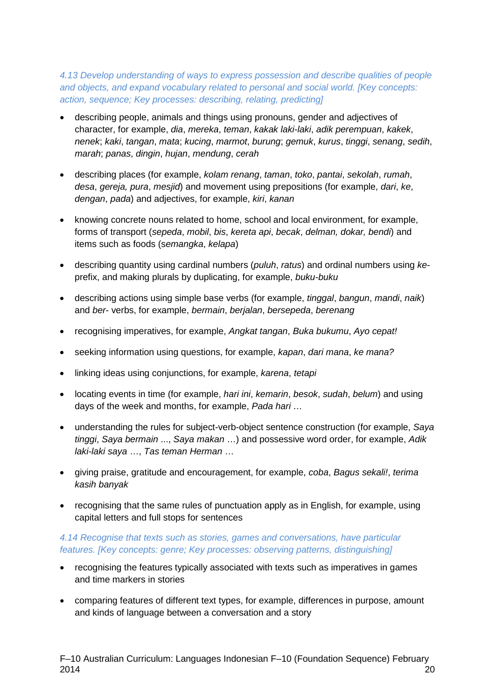*4.13 Develop understanding of ways to express possession and describe qualities of people and objects, and expand vocabulary related to personal and social world. [Key concepts: action, sequence; Key processes: describing, relating, predicting]*

- describing people, animals and things using pronouns, gender and adjectives of character, for example, *dia*, *mereka*, *teman*, *kakak laki-laki*, *adik perempuan*, *kakek*, *nenek*; *kaki*, *tangan*, *mata*; *kucing*, *marmot*, *burung*; *gemuk*, *kurus*, *tinggi*, *senang*, *sedih*, *marah*; *panas*, *dingin*, *hujan*, *mendung*, *cerah*
- describing places (for example, *kolam renang*, *taman*, *toko*, *pantai*, *sekolah*, *rumah*, *desa*, *gereja, pura*, *mesjid*) and movement using prepositions (for example, *dari*, *ke*, *dengan*, *pada*) and adjectives, for example, *kiri*, *kanan*
- knowing concrete nouns related to home, school and local environment, for example, forms of transport (*sepeda*, *mobil*, *bis*, *kereta api*, *becak*, *delman, dokar, bendi*) and items such as foods (s*emangka*, *kelapa*)
- describing quantity using cardinal numbers (*puluh*, *ratus*) and ordinal numbers using *ke*prefix, and making plurals by duplicating, for example, *buku-buku*
- describing actions using simple base verbs (for example, *tinggal*, *bangun*, *mandi*, *naik*) and *ber*- verbs, for example, *bermain*, *berjalan*, *bersepeda*, *berenang*
- recognising imperatives, for example, *Angkat tangan*, *Buka bukumu*, *Ayo cepat!*
- seeking information using questions, for example, *kapan*, *dari mana*, *ke mana?*
- linking ideas using conjunctions, for example, *karena*, *tetapi*
- locating events in time (for example, *hari ini*, *kemarin*, *besok*, *sudah*, *belum*) and using days of the week and months, for example, *Pada hari …*
- understanding the rules for subject-verb-object sentence construction (for example, *Saya tinggi*, *Saya bermain* ..., *Saya makan* …) and possessive word order, for example, *Adik laki-laki saya* …, *Tas teman Herman* …
- giving praise, gratitude and encouragement, for example, *coba*, *Bagus sekali!*, *terima kasih banyak*
- recognising that the same rules of punctuation apply as in English, for example, using capital letters and full stops for sentences

#### *4.14 Recognise that texts such as stories, games and conversations, have particular features. [Key concepts: genre; Key processes: observing patterns, distinguishing]*

- recognising the features typically associated with texts such as imperatives in games and time markers in stories
- comparing features of different text types, for example, differences in purpose, amount and kinds of language between a conversation and a story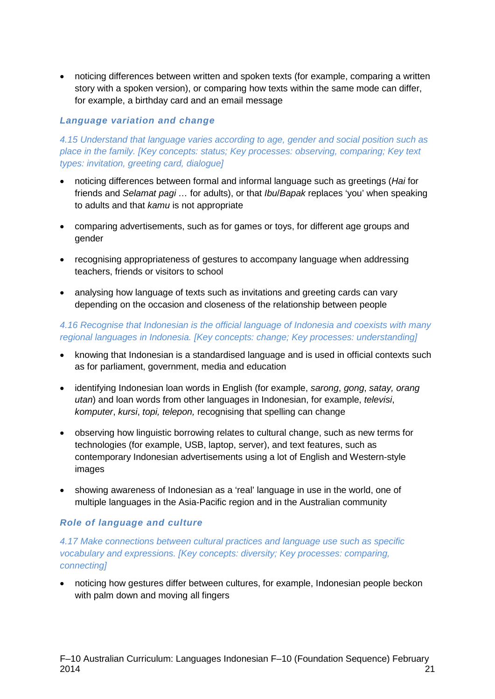• noticing differences between written and spoken texts (for example, comparing a written story with a spoken version), or comparing how texts within the same mode can differ, for example, a birthday card and an email message

#### *Language variation and change*

*4.15 Understand that language varies according to age, gender and social position such as place in the family. [Key concepts: status; Key processes: observing, comparing; Key text types: invitation, greeting card, dialogue]*

- noticing differences between formal and informal language such as greetings (*Hai* for friends and *Selamat pagi …* for adults), or that *Ibu*/*Bapak* replaces 'you' when speaking to adults and that *kamu* is not appropriate
- comparing advertisements, such as for games or toys, for different age groups and gender
- recognising appropriateness of gestures to accompany language when addressing teachers, friends or visitors to school
- analysing how language of texts such as invitations and greeting cards can vary depending on the occasion and closeness of the relationship between people

#### *4.16 Recognise that Indonesian is the official language of Indonesia and coexists with many regional languages in Indonesia. [Key concepts: change; Key processes: understanding]*

- knowing that Indonesian is a standardised language and is used in official contexts such as for parliament, government, media and education
- identifying Indonesian loan words in English (for example, *sarong*, *gong*, *satay, orang utan*) and loan words from other languages in Indonesian, for example, *televisi*, *komputer*, *kursi*, *topi, telepon,* recognising that spelling can change
- observing how linguistic borrowing relates to cultural change, such as new terms for technologies (for example, USB, laptop, server), and text features, such as contemporary Indonesian advertisements using a lot of English and Western-style images
- showing awareness of Indonesian as a 'real' language in use in the world, one of multiple languages in the Asia-Pacific region and in the Australian community

#### *Role of language and culture*

#### *4.17 Make connections between cultural practices and language use such as specific vocabulary and expressions. [Key concepts: diversity; Key processes: comparing, connecting]*

• noticing how gestures differ between cultures, for example, Indonesian people beckon with palm down and moving all fingers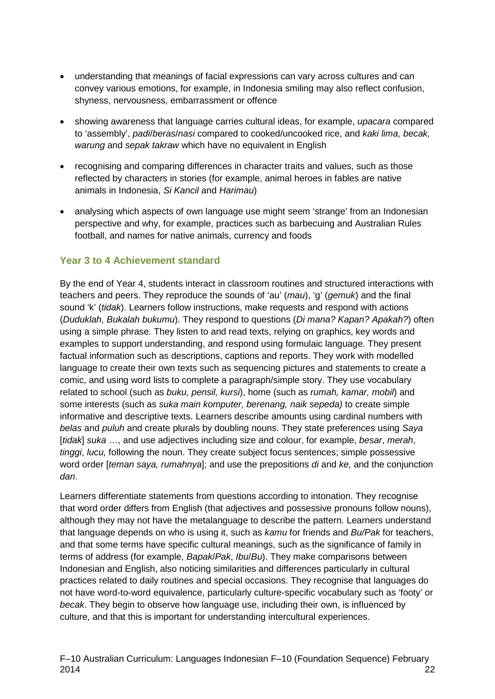- understanding that meanings of facial expressions can vary across cultures and can convey various emotions, for example, in Indonesia smiling may also reflect confusion, shyness, nervousness, embarrassment or offence
- showing awareness that language carries cultural ideas, for example, *upacara* compared to 'assembly', *padi*/*beras*/*nasi* compared to cooked/uncooked rice, and *kaki lima, becak, warung* and *sepak takraw* which have no equivalent in English
- recognising and comparing differences in character traits and values, such as those reflected by characters in stories (for example, animal heroes in fables are native animals in Indonesia, *Si Kancil* and *Harimau*)
- analysing which aspects of own language use might seem 'strange' from an Indonesian perspective and why, for example, practices such as barbecuing and Australian Rules football, and names for native animals, currency and foods

#### **Year 3 to 4 Achievement standard**

By the end of Year 4, students interact in classroom routines and structured interactions with teachers and peers. They reproduce the sounds of 'au' (*mau*), 'g' (*gemuk*) and the final sound 'k' (*tidak*). Learners follow instructions, make requests and respond with actions (*Duduklah, Bukalah bukumu*). They respond to questions (*Di mana? Kapan? Apakah?*) often using a simple phrase*.* They listen to and read texts, relying on graphics, key words and examples to support understanding, and respond using formulaic language. They present factual information such as descriptions, captions and reports. They work with modelled language to create their own texts such as sequencing pictures and statements to create a comic, and using word lists to complete a paragraph/simple story. They use vocabulary related to school (such as *buku, pensil, kursi*), home (such as *rumah, kamar, mobil*) and some interests (such as *suka main komputer, berenang, naik sepeda)* to create simple informative and descriptive texts. Learners describe amounts using cardinal numbers with *belas* and *puluh* and create plurals by doubling nouns. They state preferences using *Saya* [*tidak*] *suka* …, and use adjectives including size and colour, for example, *besar*, *merah*, *tinggi*, *lucu,* following the noun. They create subject focus sentences; simple possessive word order [*teman saya, rumahnya*]; and use the prepositions *di* and *ke,* and the conjunction *dan*.

Learners differentiate statements from questions according to intonation. They recognise that word order differs from English (that adjectives and possessive pronouns follow nouns), although they may not have the metalanguage to describe the pattern. Learners understand that language depends on who is using it, such as *kamu* for friends and *Bu/Pak* for teachers, and that some terms have specific cultural meanings, such as the significance of family in terms of address (for example, *Bapak*/*Pak*, *Ibu*/*Bu*). They make comparisons between Indonesian and English, also noticing similarities and differences particularly in cultural practices related to daily routines and special occasions. They recognise that languages do not have word-to-word equivalence, particularly culture-specific vocabulary such as 'footy' or *becak*. They begin to observe how language use, including their own, is influenced by culture, and that this is important for understanding intercultural experiences.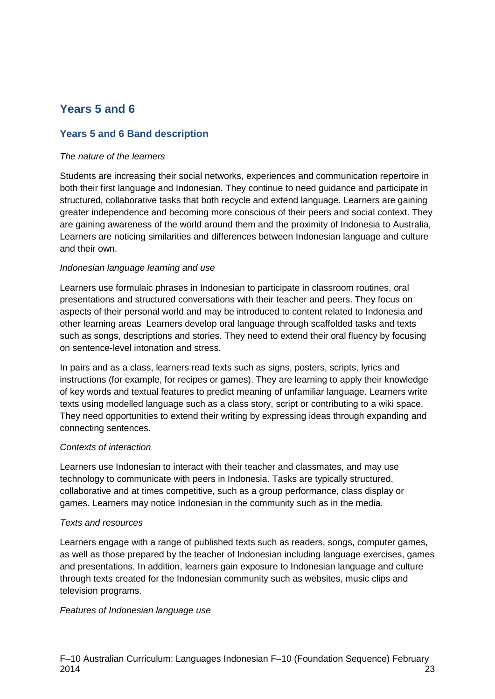## **Years 5 and 6**

#### **Years 5 and 6 Band description**

#### *The nature of the learners*

Students are increasing their social networks, experiences and communication repertoire in both their first language and Indonesian. They continue to need guidance and participate in structured, collaborative tasks that both recycle and extend language. Learners are gaining greater independence and becoming more conscious of their peers and social context. They are gaining awareness of the world around them and the proximity of Indonesia to Australia, Learners are noticing similarities and differences between Indonesian language and culture and their own.

#### *Indonesian language learning and use*

Learners use formulaic phrases in Indonesian to participate in classroom routines, oral presentations and structured conversations with their teacher and peers. They focus on aspects of their personal world and may be introduced to content related to Indonesia and other learning areas Learners develop oral language through scaffolded tasks and texts such as songs, descriptions and stories. They need to extend their oral fluency by focusing on sentence-level intonation and stress.

In pairs and as a class, learners read texts such as signs, posters, scripts, lyrics and instructions (for example, for recipes or games). They are learning to apply their knowledge of key words and textual features to predict meaning of unfamiliar language. Learners write texts using modelled language such as a class story, script or contributing to a wiki space. They need opportunities to extend their writing by expressing ideas through expanding and connecting sentences.

#### *Contexts of interaction*

Learners use Indonesian to interact with their teacher and classmates, and may use technology to communicate with peers in Indonesia. Tasks are typically structured, collaborative and at times competitive, such as a group performance, class display or games. Learners may notice Indonesian in the community such as in the media.

#### *Texts and resources*

Learners engage with a range of published texts such as readers, songs, computer games, as well as those prepared by the teacher of Indonesian including language exercises, games and presentations. In addition, learners gain exposure to Indonesian language and culture through texts created for the Indonesian community such as websites, music clips and television programs.

#### *Features of Indonesian language use*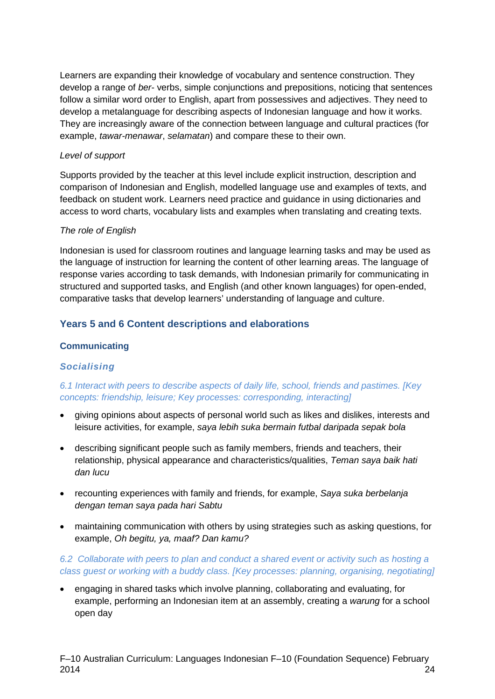Learners are expanding their knowledge of vocabulary and sentence construction. They develop a range of *ber*- verbs, simple conjunctions and prepositions, noticing that sentences follow a similar word order to English, apart from possessives and adjectives. They need to develop a metalanguage for describing aspects of Indonesian language and how it works. They are increasingly aware of the connection between language and cultural practices (for example, *tawar-menawar*, *selamatan*) and compare these to their own.

#### *Level of support*

Supports provided by the teacher at this level include explicit instruction, description and comparison of Indonesian and English, modelled language use and examples of texts, and feedback on student work. Learners need practice and guidance in using dictionaries and access to word charts, vocabulary lists and examples when translating and creating texts.

#### *The role of English*

Indonesian is used for classroom routines and language learning tasks and may be used as the language of instruction for learning the content of other learning areas. The language of response varies according to task demands, with Indonesian primarily for communicating in structured and supported tasks, and English (and other known languages) for open-ended, comparative tasks that develop learners' understanding of language and culture.

#### **Years 5 and 6 Content descriptions and elaborations**

#### **Communicating**

#### *Socialising*

#### *6.1 Interact with peers to describe aspects of daily life, school, friends and pastimes. [Key concepts: friendship, leisure; Key processes: corresponding, interacting]*

- giving opinions about aspects of personal world such as likes and dislikes, interests and leisure activities, for example, *saya lebih suka bermain futbal daripada sepak bola*
- describing significant people such as family members, friends and teachers, their relationship, physical appearance and characteristics/qualities, *Teman saya baik hati dan lucu*
- recounting experiences with family and friends, for example, *Saya suka berbelanja dengan teman saya pada hari Sabtu*
- maintaining communication with others by using strategies such as asking questions, for example, *Oh begitu, ya, maaf? Dan kamu?*

#### *6.2 Collaborate with peers to plan and conduct a shared event or activity such as hosting a class guest or working with a buddy class. [Key processes: planning, organising, negotiating]*

• engaging in shared tasks which involve planning, collaborating and evaluating, for example, performing an Indonesian item at an assembly, creating a *warung* for a school open day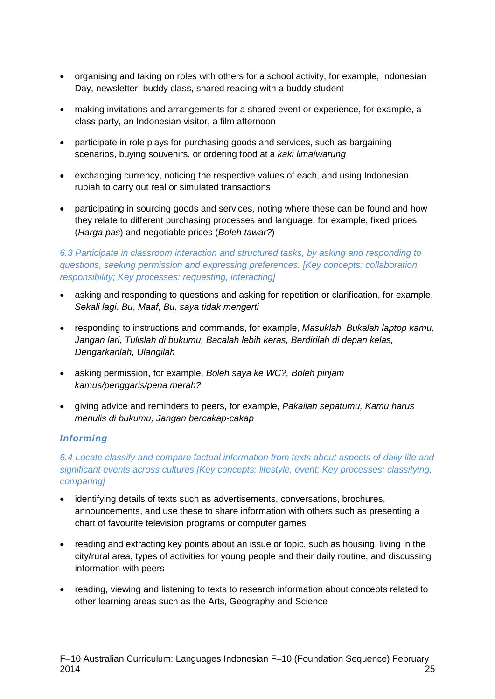- organising and taking on roles with others for a school activity, for example, Indonesian Day, newsletter, buddy class, shared reading with a buddy student
- making invitations and arrangements for a shared event or experience, for example, a class party, an Indonesian visitor, a film afternoon
- participate in role plays for purchasing goods and services, such as bargaining scenarios, buying souvenirs, or ordering food at a *kaki lima*/*warung*
- exchanging currency, noticing the respective values of each, and using Indonesian rupiah to carry out real or simulated transactions
- participating in sourcing goods and services, noting where these can be found and how they relate to different purchasing processes and language, for example, fixed prices (*Harga pas*) and negotiable prices (*Boleh tawar?*)

*6.3 Participate in classroom interaction and structured tasks, by asking and responding to questions, seeking permission and expressing preferences. [Key concepts: collaboration, responsibility; Key processes: requesting, interacting]*

- asking and responding to questions and asking for repetition or clarification, for example, *Sekali lagi*, *Bu*, *Maaf*, *Bu, saya tidak mengerti*
- responding to instructions and commands, for example, *Masuklah, Bukalah laptop kamu, Jangan lari, Tulislah di bukumu, Bacalah lebih keras, Berdirilah di depan kelas, Dengarkanlah, Ulangilah*
- asking permission, for example, *Boleh saya ke WC?, Boleh pinjam kamus/penggaris/pena merah?*
- giving advice and reminders to peers, for example, *Pakailah sepatumu, Kamu harus menulis di bukumu, Jangan bercakap-cakap*

#### *Informing*

*6.4 Locate classify and compare factual information from texts about aspects of daily life and significant events across cultures.[Key concepts: lifestyle, event; Key processes: classifying, comparing]*

- identifying details of texts such as advertisements, conversations, brochures, announcements, and use these to share information with others such as presenting a chart of favourite television programs or computer games
- reading and extracting key points about an issue or topic, such as housing, living in the city/rural area, types of activities for young people and their daily routine, and discussing information with peers
- reading, viewing and listening to texts to research information about concepts related to other learning areas such as the Arts, Geography and Science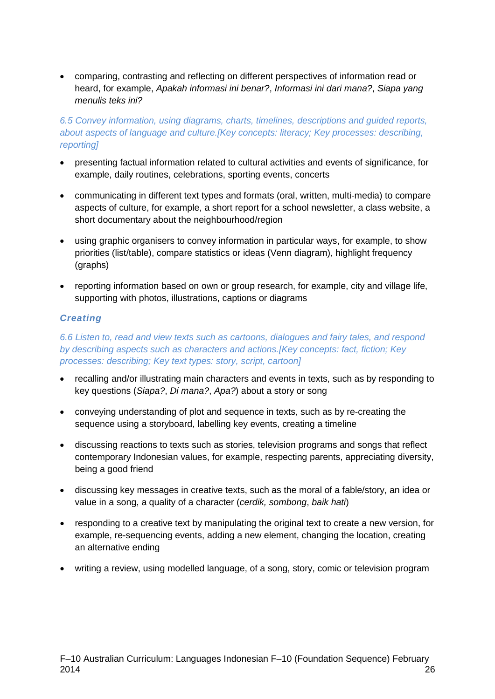• comparing, contrasting and reflecting on different perspectives of information read or heard, for example, *Apakah informasi ini benar?*, *Informasi ini dari mana?*, *Siapa yang menulis teks ini?*

#### *6.5 Convey information, using diagrams, charts, timelines, descriptions and guided reports, about aspects of language and culture.[Key concepts: literacy; Key processes: describing, reporting]*

- presenting factual information related to cultural activities and events of significance, for example, daily routines, celebrations, sporting events, concerts
- communicating in different text types and formats (oral, written, multi-media) to compare aspects of culture, for example, a short report for a school newsletter, a class website, a short documentary about the neighbourhood/region
- using graphic organisers to convey information in particular ways, for example, to show priorities (list/table), compare statistics or ideas (Venn diagram), highlight frequency (graphs)
- reporting information based on own or group research, for example, city and village life, supporting with photos, illustrations, captions or diagrams

#### *Creating*

*6.6 Listen to, read and view texts such as cartoons, dialogues and fairy tales, and respond by describing aspects such as characters and actions.[Key concepts: fact, fiction; Key processes: describing; Key text types: story, script, cartoon]*

- recalling and/or illustrating main characters and events in texts, such as by responding to key questions (*Siapa?*, *Di mana?*, *Apa?*) about a story or song
- conveying understanding of plot and sequence in texts, such as by re-creating the sequence using a storyboard, labelling key events, creating a timeline
- discussing reactions to texts such as stories, television programs and songs that reflect contemporary Indonesian values, for example, respecting parents, appreciating diversity, being a good friend
- discussing key messages in creative texts, such as the moral of a fable/story, an idea or value in a song, a quality of a character (*cerdik, sombong*, *baik hati*)
- responding to a creative text by manipulating the original text to create a new version, for example, re-sequencing events, adding a new element, changing the location, creating an alternative ending
- writing a review, using modelled language, of a song, story, comic or television program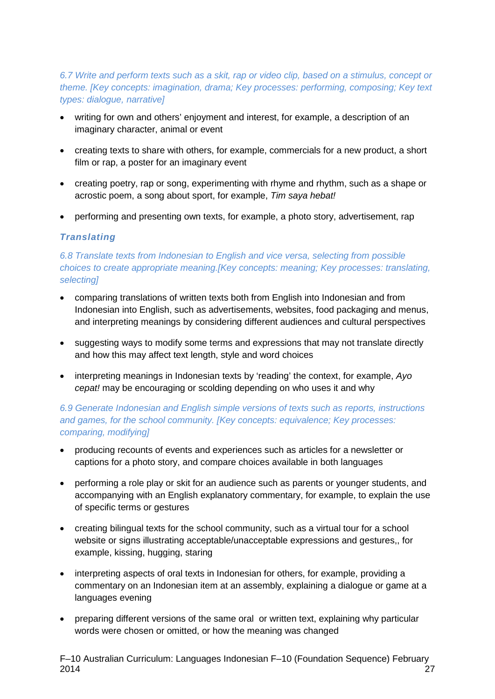#### *6.7 Write and perform texts such as a skit, rap or video clip, based on a stimulus, concept or theme. [Key concepts: imagination, drama; Key processes: performing, composing; Key text types: dialogue, narrative]*

- writing for own and others' enjoyment and interest, for example, a description of an imaginary character, animal or event
- creating texts to share with others, for example, commercials for a new product, a short film or rap, a poster for an imaginary event
- creating poetry, rap or song, experimenting with rhyme and rhythm, such as a shape or acrostic poem, a song about sport, for example, *Tim saya hebat!*
- performing and presenting own texts, for example, a photo story, advertisement, rap

#### *Translating*

#### *6.8 Translate texts from Indonesian to English and vice versa, selecting from possible choices to create appropriate meaning.[Key concepts: meaning; Key processes: translating, selecting]*

- comparing translations of written texts both from English into Indonesian and from Indonesian into English, such as advertisements, websites, food packaging and menus, and interpreting meanings by considering different audiences and cultural perspectives
- suggesting ways to modify some terms and expressions that may not translate directly and how this may affect text length, style and word choices
- interpreting meanings in Indonesian texts by 'reading' the context, for example, *Ayo cepat!* may be encouraging or scolding depending on who uses it and why

#### *6.9 Generate Indonesian and English simple versions of texts such as reports, instructions and games, for the school community. [Key concepts: equivalence; Key processes: comparing, modifying]*

- producing recounts of events and experiences such as articles for a newsletter or captions for a photo story, and compare choices available in both languages
- performing a role play or skit for an audience such as parents or younger students, and accompanying with an English explanatory commentary, for example, to explain the use of specific terms or gestures
- creating bilingual texts for the school community, such as a virtual tour for a school website or signs illustrating acceptable/unacceptable expressions and gestures,, for example, kissing, hugging, staring
- interpreting aspects of oral texts in Indonesian for others, for example, providing a commentary on an Indonesian item at an assembly, explaining a dialogue or game at a languages evening
- preparing different versions of the same oral or written text, explaining why particular words were chosen or omitted, or how the meaning was changed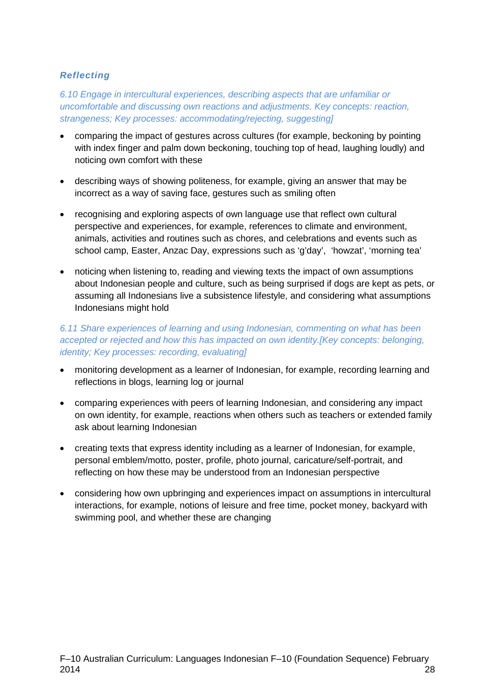#### *Reflecting*

*6.10 Engage in intercultural experiences, describing aspects that are unfamiliar or uncomfortable and discussing own reactions and adjustments. Key concepts: reaction, strangeness; Key processes: accommodating/rejecting, suggesting]*

- comparing the impact of gestures across cultures (for example, beckoning by pointing with index finger and palm down beckoning, touching top of head, laughing loudly) and noticing own comfort with these
- describing ways of showing politeness, for example, giving an answer that may be incorrect as a way of saving face, gestures such as smiling often
- recognising and exploring aspects of own language use that reflect own cultural perspective and experiences, for example, references to climate and environment, animals, activities and routines such as chores, and celebrations and events such as school camp, Easter, Anzac Day, expressions such as 'g'day', 'howzat', 'morning tea'
- noticing when listening to, reading and viewing texts the impact of own assumptions about Indonesian people and culture, such as being surprised if dogs are kept as pets, or assuming all Indonesians live a subsistence lifestyle, and considering what assumptions Indonesians might hold

#### *6.11 Share experiences of learning and using Indonesian, commenting on what has been accepted or rejected and how this has impacted on own identity.[Key concepts: belonging, identity; Key processes: recording, evaluating]*

- monitoring development as a learner of Indonesian, for example, recording learning and reflections in blogs, learning log or journal
- comparing experiences with peers of learning Indonesian, and considering any impact on own identity, for example, reactions when others such as teachers or extended family ask about learning Indonesian
- creating texts that express identity including as a learner of Indonesian, for example, personal emblem/motto, poster, profile, photo journal, caricature/self-portrait, and reflecting on how these may be understood from an Indonesian perspective
- considering how own upbringing and experiences impact on assumptions in intercultural interactions, for example, notions of leisure and free time, pocket money, backyard with swimming pool, and whether these are changing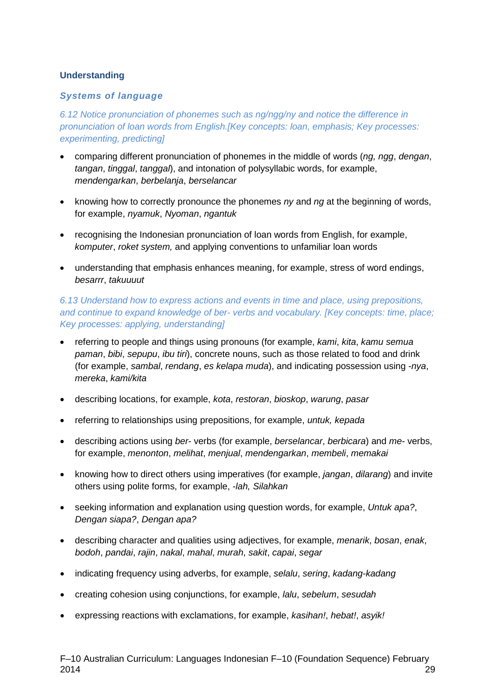#### **Understanding**

#### *Systems of language*

*6.12 Notice pronunciation of phonemes such as ng/ngg/ny and notice the difference in pronunciation of loan words from English.[Key concepts: loan, emphasis; Key processes: experimenting, predicting]*

- comparing different pronunciation of phonemes in the middle of words (*ng, ngg*, *dengan*, *tangan*, *tinggal*, *tanggal*), and intonation of polysyllabic words, for example, *mendengarkan*, *berbelanja*, *berselancar*
- knowing how to correctly pronounce the phonemes *ny* and *ng* at the beginning of words, for example, *nyamuk*, *Nyoman*, *ngantuk*
- recognising the Indonesian pronunciation of loan words from English, for example, *komputer*, *roket system,* and applying conventions to unfamiliar loan words
- understanding that emphasis enhances meaning, for example, stress of word endings, *besarrr*, *takuuuut*

#### *6.13 Understand how to express actions and events in time and place, using prepositions, and continue to expand knowledge of ber- verbs and vocabulary. [Key concepts: time, place; Key processes: applying, understanding]*

- referring to people and things using pronouns (for example, *kami*, *kita*, *kamu semua paman*, *bibi*, *sepupu*, *ibu tiri*), concrete nouns, such as those related to food and drink (for example, *sambal*, *rendang*, *es kelapa muda*), and indicating possession using -*nya*, *mereka*, *kami/kita*
- describing locations, for example, *kota*, *restoran*, *bioskop*, *warung*, *pasar*
- referring to relationships using prepositions, for example, *untuk, kepada*
- describing actions using *ber* verbs (for example, *berselancar*, *berbicara*) and *me-* verbs, for example, *menonton*, *melihat*, *menjual*, *mendengarkan*, *membeli*, *memakai*
- knowing how to direct others using imperatives (for example, *jangan*, *dilarang*) and invite others using polite forms, for example, *-lah, Silahkan*
- seeking information and explanation using question words, for example, *Untuk apa?*, *Dengan siapa?*, *Dengan apa?*
- describing character and qualities using adjectives, for example, *menarik*, *bosan*, *enak*, *bodoh*, *pandai*, *rajin*, *nakal*, *mahal*, *murah*, *sakit*, *capai*, *segar*
- indicating frequency using adverbs, for example, *selalu*, *sering*, *kadang-kadang*
- creating cohesion using conjunctions, for example, *lalu*, *sebelum*, *sesudah*
- expressing reactions with exclamations, for example, *kasihan!*, *hebat!*, *asyik!*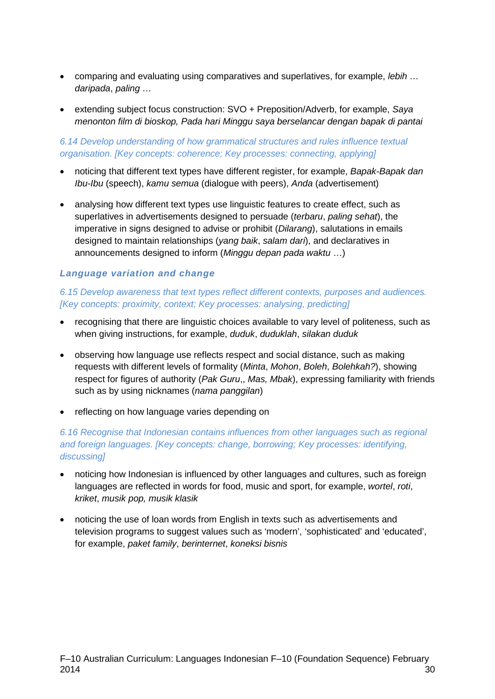- comparing and evaluating using comparatives and superlatives, for example, *lebih … daripada*, *paling …*
- extending subject focus construction: SVO + Preposition/Adverb, for example, *Saya menonton film di bioskop, Pada hari Minggu saya berselancar dengan bapak di pantai*

#### *6.14 Develop understanding of how grammatical structures and rules influence textual organisation. [Key concepts: coherence; Key processes: connecting, applying]*

- noticing that different text types have different register, for example, *Bapak-Bapak dan Ibu-Ibu* (speech), *kamu semua* (dialogue with peers), *Anda* (advertisement)
- analysing how different text types use linguistic features to create effect, such as superlatives in advertisements designed to persuade (*terbaru*, *paling sehat*), the imperative in signs designed to advise or prohibit (*Dilarang*), salutations in emails designed to maintain relationships (*yang baik*, *salam dari*), and declaratives in announcements designed to inform (*Minggu depan pada waktu* …)

#### *Language variation and change*

#### *6.15 Develop awareness that text types reflect different contexts, purposes and audiences. [Key concepts: proximity, context; Key processes: analysing, predicting]*

- recognising that there are linguistic choices available to vary level of politeness, such as when giving instructions, for example, *duduk*, *duduklah*, *silakan duduk*
- observing how language use reflects respect and social distance, such as making requests with different levels of formality (*Minta*, *Mohon*, *Boleh*, *Bolehkah?*), showing respect for figures of authority (*Pak Guru*,, *Mas, Mbak*), expressing familiarity with friends such as by using nicknames (*nama panggilan*)
- reflecting on how language varies depending on

#### *6.16 Recognise that Indonesian contains influences from other languages such as regional and foreign languages. [Key concepts: change, borrowing; Key processes: identifying, discussing]*

- noticing how Indonesian is influenced by other languages and cultures, such as foreign languages are reflected in words for food, music and sport, for example, *wortel*, *roti*, *kriket*, *musik pop, musik klasik*
- noticing the use of loan words from English in texts such as advertisements and television programs to suggest values such as 'modern', 'sophisticated' and 'educated', for example, *paket family*, *berinternet*, *koneksi bisnis*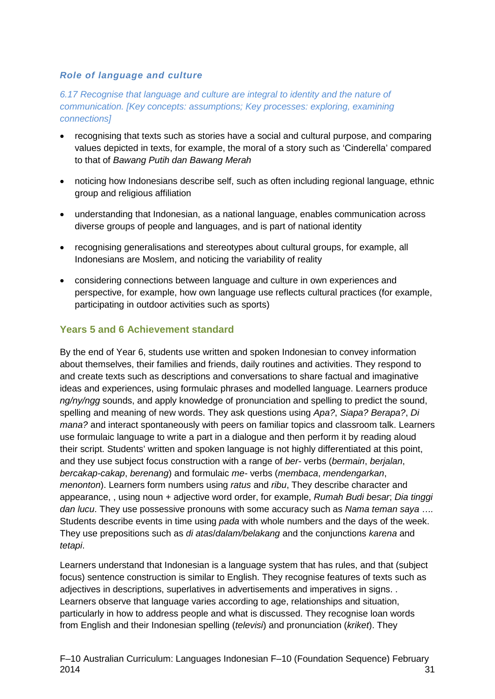#### *Role of language and culture*

*6.17 Recognise that language and culture are integral to identity and the nature of communication. [Key concepts: assumptions; Key processes: exploring, examining connections]*

- recognising that texts such as stories have a social and cultural purpose, and comparing values depicted in texts, for example, the moral of a story such as 'Cinderella' compared to that of *Bawang Putih dan Bawang Merah*
- noticing how Indonesians describe self, such as often including regional language, ethnic group and religious affiliation
- understanding that Indonesian, as a national language, enables communication across diverse groups of people and languages, and is part of national identity
- recognising generalisations and stereotypes about cultural groups, for example, all Indonesians are Moslem, and noticing the variability of reality
- considering connections between language and culture in own experiences and perspective, for example, how own language use reflects cultural practices (for example, participating in outdoor activities such as sports)

#### **Years 5 and 6 Achievement standard**

By the end of Year 6, students use written and spoken Indonesian to convey information about themselves, their families and friends, daily routines and activities. They respond to and create texts such as descriptions and conversations to share factual and imaginative ideas and experiences, using formulaic phrases and modelled language. Learners produce *ng/ny/ngg* sounds, and apply knowledge of pronunciation and spelling to predict the sound, spelling and meaning of new words. They ask questions using *Apa?*, *Siapa? Berapa?*, *Di mana?* and interact spontaneously with peers on familiar topics and classroom talk. Learners use formulaic language to write a part in a dialogue and then perform it by reading aloud their script. Students' written and spoken language is not highly differentiated at this point, and they use subject focus construction with a range of *ber-* verbs (*bermain*, *berjalan*, *bercakap-cakap*, *berenang*) and formulaic *me-* verbs (*membaca*, *mendengarkan*, *menonton*). Learners form numbers using *ratus* and *ribu*, They describe character and appearance, , using noun + adjective word order, for example, *Rumah Budi besar*; *Dia tinggi dan lucu*. They use possessive pronouns with some accuracy such as *Nama teman saya* …*.*  Students describe events in time using *pada* with whole numbers and the days of the week. They use prepositions such as *di atas*/*dalam/belakang* and the conjunctions *karena* and *tetapi*.

Learners understand that Indonesian is a language system that has rules, and that (subject focus) sentence construction is similar to English. They recognise features of texts such as adjectives in descriptions, superlatives in advertisements and imperatives in signs. . Learners observe that language varies according to age, relationships and situation, particularly in how to address people and what is discussed. They recognise loan words from English and their Indonesian spelling (*televisi*) and pronunciation (*kriket*). They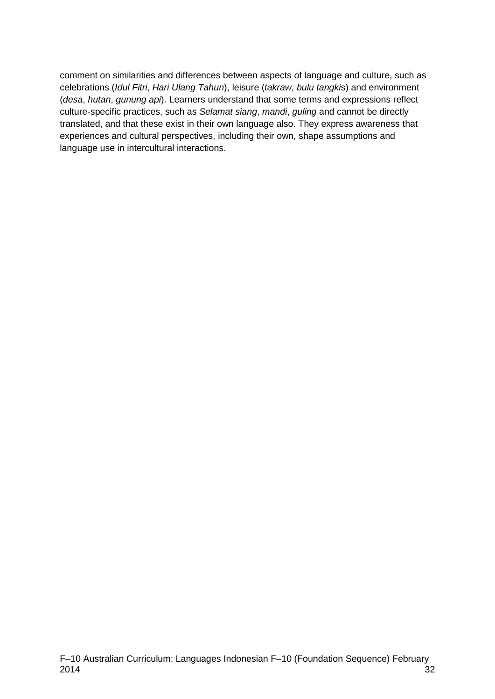comment on similarities and differences between aspects of language and culture, such as celebrations (*Idul Fitri*, *Hari Ulang Tahun*), leisure (*takraw*, *bulu tangki*s) and environment (*desa*, *hutan*, *gunung api*). Learners understand that some terms and expressions reflect culture-specific practices, such as *Selamat siang*, *mandi*, *guling* and cannot be directly translated, and that these exist in their own language also. They express awareness that experiences and cultural perspectives, including their own, shape assumptions and language use in intercultural interactions.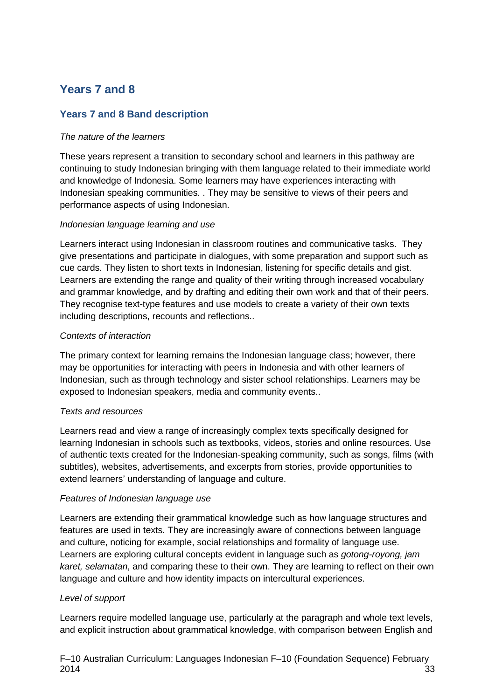# **Years 7 and 8**

#### **Years 7 and 8 Band description**

#### *The nature of the learners*

These years represent a transition to secondary school and learners in this pathway are continuing to study Indonesian bringing with them language related to their immediate world and knowledge of Indonesia. Some learners may have experiences interacting with Indonesian speaking communities. . They may be sensitive to views of their peers and performance aspects of using Indonesian.

#### *Indonesian language learning and use*

Learners interact using Indonesian in classroom routines and communicative tasks. They give presentations and participate in dialogues, with some preparation and support such as cue cards. They listen to short texts in Indonesian, listening for specific details and gist. Learners are extending the range and quality of their writing through increased vocabulary and grammar knowledge, and by drafting and editing their own work and that of their peers. They recognise text-type features and use models to create a variety of their own texts including descriptions, recounts and reflections..

#### *Contexts of interaction*

The primary context for learning remains the Indonesian language class; however, there may be opportunities for interacting with peers in Indonesia and with other learners of Indonesian, such as through technology and sister school relationships. Learners may be exposed to Indonesian speakers, media and community events..

#### *Texts and resources*

Learners read and view a range of increasingly complex texts specifically designed for learning Indonesian in schools such as textbooks, videos, stories and online resources. Use of authentic texts created for the Indonesian-speaking community, such as songs, films (with subtitles), websites, advertisements, and excerpts from stories, provide opportunities to extend learners' understanding of language and culture.

#### *Features of Indonesian language use*

Learners are extending their grammatical knowledge such as how language structures and features are used in texts. They are increasingly aware of connections between language and culture, noticing for example, social relationships and formality of language use. Learners are exploring cultural concepts evident in language such as *gotong-royong, jam karet, selamatan*, and comparing these to their own. They are learning to reflect on their own language and culture and how identity impacts on intercultural experiences.

#### *Level of support*

Learners require modelled language use, particularly at the paragraph and whole text levels, and explicit instruction about grammatical knowledge, with comparison between English and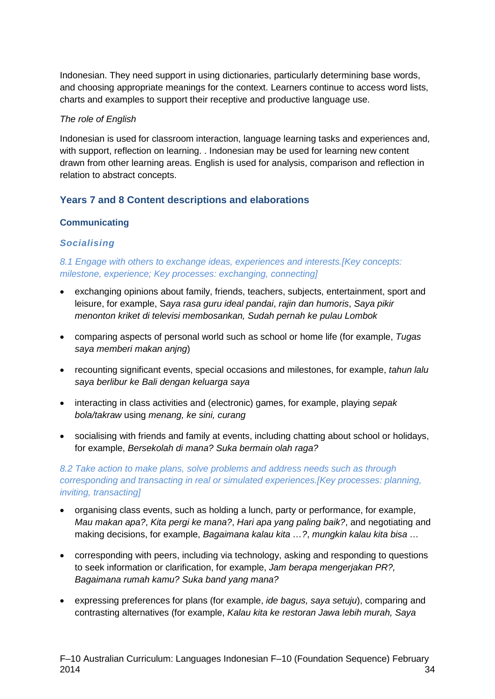Indonesian. They need support in using dictionaries, particularly determining base words, and choosing appropriate meanings for the context. Learners continue to access word lists, charts and examples to support their receptive and productive language use.

#### *The role of English*

Indonesian is used for classroom interaction, language learning tasks and experiences and, with support, reflection on learning. . Indonesian may be used for learning new content drawn from other learning areas. English is used for analysis, comparison and reflection in relation to abstract concepts.

#### **Years 7 and 8 Content descriptions and elaborations**

#### **Communicating**

#### *Socialising*

*8.1 Engage with others to exchange ideas, experiences and interests.[Key concepts: milestone, experience; Key processes: exchanging, connecting]*

- exchanging opinions about family, friends, teachers, subjects, entertainment, sport and leisure, for example, S*aya rasa guru ideal pandai*, *rajin dan humoris*, *Saya pikir menonton kriket di televisi membosankan, Sudah pernah ke pulau Lombok*
- comparing aspects of personal world such as school or home life (for example, *Tugas saya memberi makan anjng*)
- recounting significant events, special occasions and milestones, for example, *tahun lalu saya berlibur ke Bali dengan keluarga saya*
- interacting in class activities and (electronic) games, for example, playing *sepak bola/takraw* using *menang, ke sini, curang*
- socialising with friends and family at events, including chatting about school or holidays, for example, *Bersekolah di mana? Suka bermain olah raga?*

*8.2 Take action to make plans, solve problems and address needs such as through corresponding and transacting in real or simulated experiences.[Key processes: planning, inviting, transacting]*

- organising class events, such as holding a lunch, party or performance, for example, *Mau makan apa?*, *Kita pergi ke mana?*, *Hari apa yang paling baik?*, and negotiating and making decisions, for example, *Bagaimana kalau kita …?*, *mungkin kalau kita bisa …*
- corresponding with peers, including via technology, asking and responding to questions to seek information or clarification, for example, *Jam berapa mengerjakan PR?, Bagaimana rumah kamu? Suka band yang mana?*
- expressing preferences for plans (for example, *ide bagus, saya setuju*), comparing and contrasting alternatives (for example, *Kalau kita ke restoran Jawa lebih murah, Saya*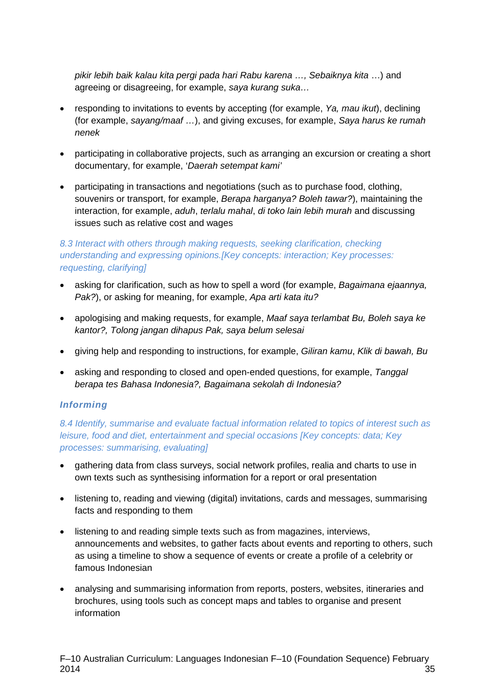*pikir lebih baik kalau kita pergi pada hari Rabu karena …, Sebaiknya kita* …) and agreeing or disagreeing, for example, *saya kurang suka…*

- responding to invitations to events by accepting (for example, *Ya, mau ikut*), declining (for example, *sayang/maaf …*), and giving excuses, for example, *Saya harus ke rumah nenek*
- participating in collaborative projects, such as arranging an excursion or creating a short documentary, for example, '*Daerah setempat kami'*
- participating in transactions and negotiations (such as to purchase food, clothing, souvenirs or transport, for example, *Berapa harganya? Boleh tawar?*), maintaining the interaction, for example, *aduh*, *terlalu mahal*, *di toko lain lebih murah* and discussing issues such as relative cost and wages

#### *8.3 Interact with others through making requests, seeking clarification, checking understanding and expressing opinions.[Key concepts: interaction; Key processes: requesting, clarifying]*

- asking for clarification, such as how to spell a word (for example, *Bagaimana ejaannya, Pak?*), or asking for meaning, for example, *Apa arti kata itu?*
- apologising and making requests, for example, *Maaf saya terlambat Bu, Boleh saya ke kantor?, Tolong jangan dihapus Pak, saya belum selesai*
- giving help and responding to instructions, for example, *Giliran kamu*, *Klik di bawah, Bu*
- asking and responding to closed and open-ended questions, for example, *Tanggal berapa tes Bahasa Indonesia?, Bagaimana sekolah di Indonesia?*

#### *Informing*

*8.4 Identify, summarise and evaluate factual information related to topics of interest such as leisure, food and diet, entertainment and special occasions [Key concepts: data; Key processes: summarising, evaluating]*

- gathering data from class surveys, social network profiles, realia and charts to use in own texts such as synthesising information for a report or oral presentation
- listening to, reading and viewing (digital) invitations, cards and messages, summarising facts and responding to them
- listening to and reading simple texts such as from magazines, interviews, announcements and websites, to gather facts about events and reporting to others, such as using a timeline to show a sequence of events or create a profile of a celebrity or famous Indonesian
- analysing and summarising information from reports, posters, websites, itineraries and brochures, using tools such as concept maps and tables to organise and present information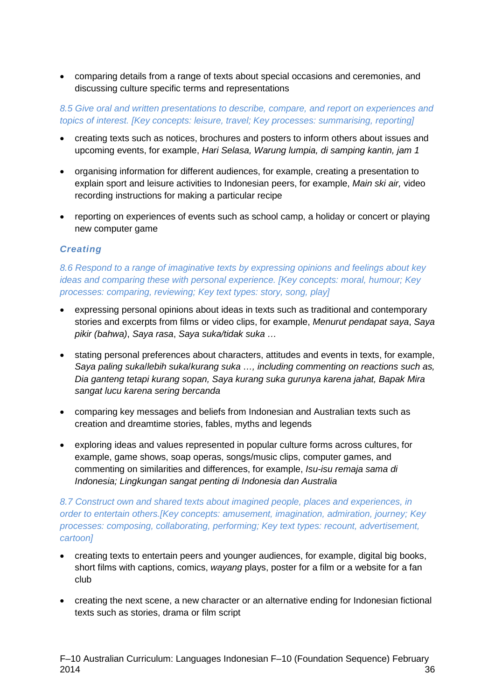• comparing details from a range of texts about special occasions and ceremonies, and discussing culture specific terms and representations

*8.5 Give oral and written presentations to describe, compare, and report on experiences and topics of interest. [Key concepts: leisure, travel; Key processes: summarising, reporting]*

- creating texts such as notices, brochures and posters to inform others about issues and upcoming events, for example, *Hari Selasa, Warung lumpia, di samping kantin, jam 1*
- organising information for different audiences, for example, creating a presentation to explain sport and leisure activities to Indonesian peers, for example, *Main ski air,* video recording instructions for making a particular recipe
- reporting on experiences of events such as school camp, a holiday or concert or playing new computer game

#### *Creating*

*8.6 Respond to a range of imaginative texts by expressing opinions and feelings about key ideas and comparing these with personal experience. [Key concepts: moral, humour; Key processes: comparing, reviewing; Key text types: story, song, play]*

- expressing personal opinions about ideas in texts such as traditional and contemporary stories and excerpts from films or video clips, for example, *Menurut pendapat saya*, *Saya pikir (bahwa)*, *Saya rasa*, *Saya suka/tidak suka …*
- stating personal preferences about characters, attitudes and events in texts, for example, *Saya paling suka*/*lebih suka*/*kurang suka …, including commenting on reactions such as, Dia ganteng tetapi kurang sopan, Saya kurang suka gurunya karena jahat, Bapak Mira sangat lucu karena sering bercanda*
- comparing key messages and beliefs from Indonesian and Australian texts such as creation and dreamtime stories, fables, myths and legends
- exploring ideas and values represented in popular culture forms across cultures, for example, game shows, soap operas, songs/music clips, computer games, and commenting on similarities and differences, for example, *Isu-isu remaja sama di Indonesia; Lingkungan sangat penting di Indonesia dan Australia*

#### *8.7 Construct own and shared texts about imagined people, places and experiences, in order to entertain others.[Key concepts: amusement, imagination, admiration, journey; Key processes: composing, collaborating, performing; Key text types: recount, advertisement, cartoon]*

- creating texts to entertain peers and younger audiences, for example, digital big books, short films with captions, comics, *wayang* plays, poster for a film or a website for a fan club
- creating the next scene, a new character or an alternative ending for Indonesian fictional texts such as stories, drama or film script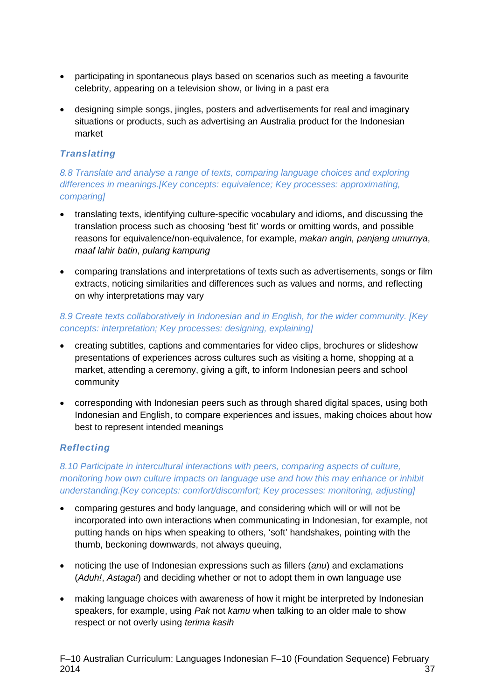- participating in spontaneous plays based on scenarios such as meeting a favourite celebrity, appearing on a television show, or living in a past era
- designing simple songs, jingles, posters and advertisements for real and imaginary situations or products, such as advertising an Australia product for the Indonesian market

#### *Translating*

*8.8 Translate and analyse a range of texts, comparing language choices and exploring differences in meanings.[Key concepts: equivalence; Key processes: approximating, comparing]*

- translating texts, identifying culture-specific vocabulary and idioms, and discussing the translation process such as choosing 'best fit' words or omitting words, and possible reasons for equivalence/non-equivalence, for example, *makan angin, panjang umurnya*, *maaf lahir batin*, *pulang kampung*
- comparing translations and interpretations of texts such as advertisements, songs or film extracts, noticing similarities and differences such as values and norms, and reflecting on why interpretations may vary

#### *8.9 Create texts collaboratively in Indonesian and in English, for the wider community. [Key concepts: interpretation; Key processes: designing, explaining]*

- creating subtitles, captions and commentaries for video clips, brochures or slideshow presentations of experiences across cultures such as visiting a home, shopping at a market, attending a ceremony, giving a gift, to inform Indonesian peers and school community
- corresponding with Indonesian peers such as through shared digital spaces, using both Indonesian and English, to compare experiences and issues, making choices about how best to represent intended meanings

#### *Reflecting*

*8.10 Participate in intercultural interactions with peers, comparing aspects of culture, monitoring how own culture impacts on language use and how this may enhance or inhibit understanding.[Key concepts: comfort/discomfort; Key processes: monitoring, adjusting]*

- comparing gestures and body language, and considering which will or will not be incorporated into own interactions when communicating in Indonesian, for example, not putting hands on hips when speaking to others, 'soft' handshakes, pointing with the thumb, beckoning downwards, not always queuing,
- noticing the use of Indonesian expressions such as fillers (*anu*) and exclamations (*Aduh!*, *Astaga!*) and deciding whether or not to adopt them in own language use
- making language choices with awareness of how it might be interpreted by Indonesian speakers, for example, using *Pak* not *kamu* when talking to an older male to show respect or not overly using *terima kasih*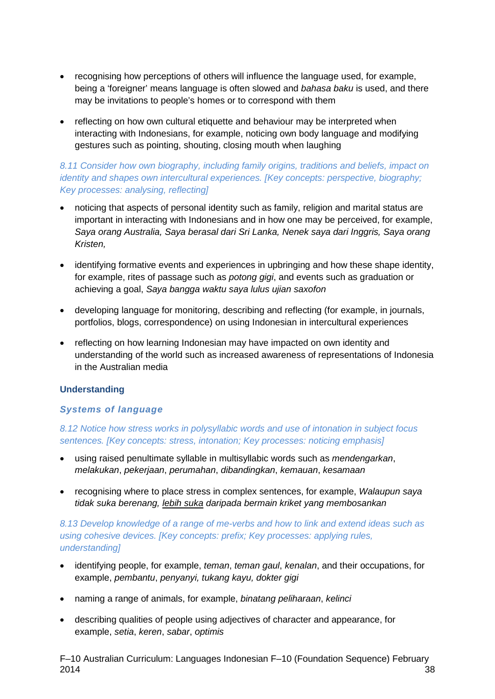- recognising how perceptions of others will influence the language used, for example, being a 'foreigner' means language is often slowed and *bahasa baku* is used, and there may be invitations to people's homes or to correspond with them
- reflecting on how own cultural etiquette and behaviour may be interpreted when interacting with Indonesians, for example, noticing own body language and modifying gestures such as pointing, shouting, closing mouth when laughing

#### *8.11 Consider how own biography, including family origins, traditions and beliefs, impact on identity and shapes own intercultural experiences. [Key concepts: perspective, biography; Key processes: analysing, reflecting]*

- noticing that aspects of personal identity such as family, religion and marital status are important in interacting with Indonesians and in how one may be perceived, for example, *Saya orang Australia, Saya berasal dari Sri Lanka, Nenek saya dari Inggris, Saya orang Kristen,*
- identifying formative events and experiences in upbringing and how these shape identity, for example, rites of passage such as *potong gigi*, and events such as graduation or achieving a goal, *Saya bangga waktu saya lulus ujian saxofon*
- developing language for monitoring, describing and reflecting (for example, in journals, portfolios, blogs, correspondence) on using Indonesian in intercultural experiences
- reflecting on how learning Indonesian may have impacted on own identity and understanding of the world such as increased awareness of representations of Indonesia in the Australian media

#### **Understanding**

#### *Systems of language*

#### *8.12 Notice how stress works in polysyllabic words and use of intonation in subject focus sentences. [Key concepts: stress, intonation; Key processes: noticing emphasis]*

- using raised penultimate syllable in multisyllabic words such as *mendengarkan*, *melakukan*, *pekerjaan*, *perumahan*, *dibandingkan*, *kemauan*, *kesamaan*
- recognising where to place stress in complex sentences, for example, *Walaupun saya tidak suka berenang, lebih suka daripada bermain kriket yang membosankan*

#### *8.13 Develop knowledge of a range of me-verbs and how to link and extend ideas such as using cohesive devices. [Key concepts: prefix; Key processes: applying rules, understanding]*

- identifying people, for example, *teman*, *teman gaul*, *kenalan*, and their occupations, for example, *pembantu*, *penyanyi, tukang kayu, dokter gigi*
- naming a range of animals, for example, *binatang peliharaan*, *kelinci*
- describing qualities of people using adjectives of character and appearance, for example, *setia*, *keren*, *sabar*, *optimis*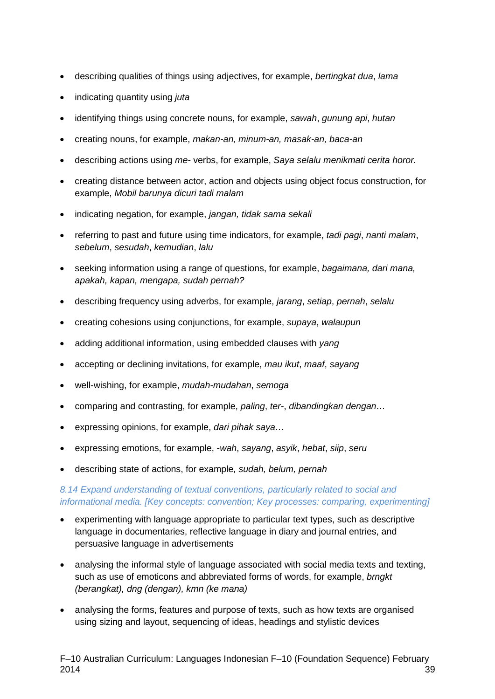- describing qualities of things using adjectives, for example, *bertingkat dua*, *lama*
- indicating quantity using *juta*
- identifying things using concrete nouns, for example, *sawah*, *gunung api*, *hutan*
- creating nouns, for example, *makan-an, minum-an, masak-an, baca-an*
- describing actions using *me-* verbs, for example, *Saya selalu menikmati cerita horor.*
- creating distance between actor, action and objects using object focus construction, for example, *Mobil barunya dicuri tadi malam*
- indicating negation, for example, *jangan, tidak sama sekali*
- referring to past and future using time indicators, for example, *tadi pagi*, *nanti malam*, *sebelum*, *sesudah*, *kemudian*, *lalu*
- seeking information using a range of questions, for example, *bagaimana, dari mana, apakah, kapan, mengapa, sudah pernah?*
- describing frequency using adverbs, for example, *jarang*, *setiap*, *pernah*, *selalu*
- creating cohesions using conjunctions, for example, *supaya*, *walaupun*
- adding additional information, using embedded clauses with *yang*
- accepting or declining invitations, for example, *mau ikut*, *maaf*, *sayang*
- well-wishing, for example, *mudah-mudahan*, *semoga*
- comparing and contrasting, for example, *paling*, *ter-*, *dibandingkan dengan…*
- expressing opinions, for example, *dari pihak saya…*
- expressing emotions, for example, -*wah*, *sayang*, *asyik*, *hebat*, *siip*, *seru*
- describing state of actions, for example*, sudah, belum, pernah*

#### *8.14 Expand understanding of textual conventions, particularly related to social and informational media. [Key concepts: convention; Key processes: comparing, experimenting]*

- experimenting with language appropriate to particular text types, such as descriptive language in documentaries, reflective language in diary and journal entries, and persuasive language in advertisements
- analysing the informal style of language associated with social media texts and texting, such as use of emoticons and abbreviated forms of words, for example, *brngkt (berangkat), dng (dengan), kmn (ke mana)*
- analysing the forms, features and purpose of texts, such as how texts are organised using sizing and layout, sequencing of ideas, headings and stylistic devices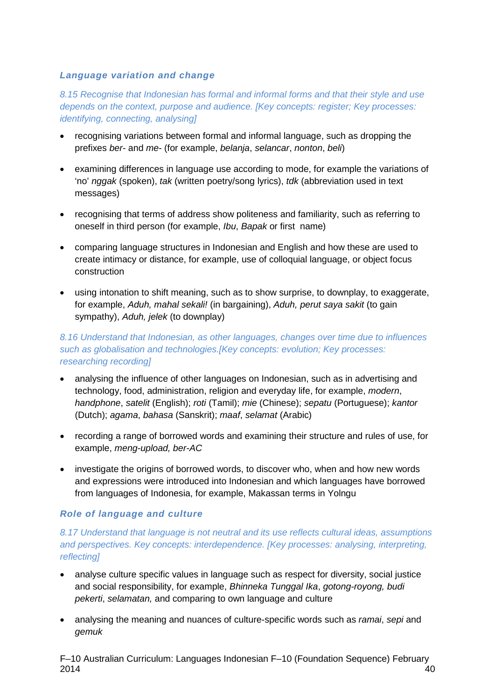#### *Language variation and change*

*8.15 Recognise that Indonesian has formal and informal forms and that their style and use depends on the context, purpose and audience. [Key concepts: register; Key processes: identifying, connecting, analysing]*

- recognising variations between formal and informal language, such as dropping the prefixes *ber-* and *me-* (for example, *belanja*, *selancar*, *nonton*, *beli*)
- examining differences in language use according to mode, for example the variations of 'no' *nggak* (spoken), *tak* (written poetry/song lyrics), *tdk* (abbreviation used in text messages)
- recognising that terms of address show politeness and familiarity, such as referring to oneself in third person (for example, *Ibu*, *Bapak* or first name)
- comparing language structures in Indonesian and English and how these are used to create intimacy or distance, for example, use of colloquial language, or object focus construction
- using intonation to shift meaning, such as to show surprise, to downplay, to exaggerate, for example, *Aduh, mahal sekali!* (in bargaining), *Aduh, perut saya sakit* (to gain sympathy), *Aduh, jelek* (to downplay)

*8.16 Understand that Indonesian, as other languages, changes over time due to influences such as globalisation and technologies.[Key concepts: evolution; Key processes: researching recording]*

- analysing the influence of other languages on Indonesian, such as in advertising and technology, food, administration, religion and everyday life, for example, *modern*, *handphone*, *satelit* (English); *roti* (Tamil); *mie* (Chinese); *sepatu* (Portuguese); *kantor*  (Dutch); *agama*, *bahasa* (Sanskrit); *maaf*, *selamat* (Arabic)
- recording a range of borrowed words and examining their structure and rules of use, for example, *meng-upload, ber-AC*
- investigate the origins of borrowed words, to discover who, when and how new words and expressions were introduced into Indonesian and which languages have borrowed from languages of Indonesia, for example, Makassan terms in Yolngu

#### *Role of language and culture*

#### *8.17 Understand that language is not neutral and its use reflects cultural ideas, assumptions and perspectives. Key concepts: interdependence. [Key processes: analysing, interpreting, reflecting]*

- analyse culture specific values in language such as respect for diversity, social justice and social responsibility, for example, *Bhinneka Tunggal Ika*, *gotong-royong, budi pekerti*, *selamatan,* and comparing to own language and culture
- analysing the meaning and nuances of culture-specific words such as *ramai*, *sepi* and *gemuk*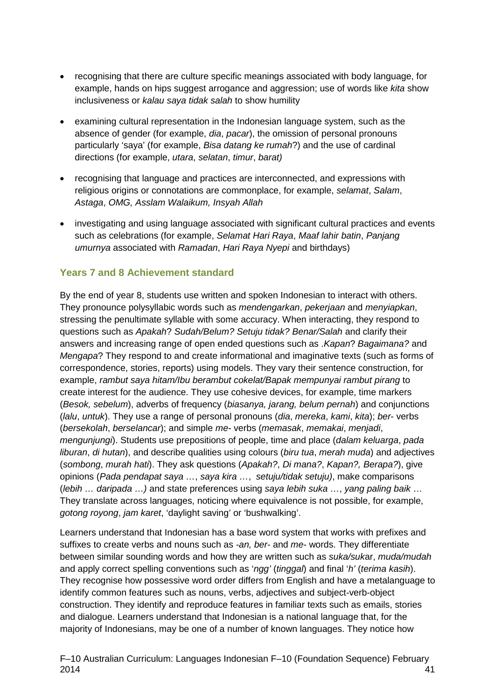- recognising that there are culture specific meanings associated with body language, for example, hands on hips suggest arrogance and aggression; use of words like *kita* show inclusiveness or *kalau saya tidak salah* to show humility
- examining cultural representation in the Indonesian language system, such as the absence of gender (for example, *dia*, *pacar*), the omission of personal pronouns particularly 'saya' (for example, *Bisa datang ke rumah*?) and the use of cardinal directions (for example, *utara*, *selatan*, *timur*, *barat)*
- recognising that language and practices are interconnected, and expressions with religious origins or connotations are commonplace, for example, *selamat*, *Salam*, *Astaga*, *OMG, Asslam Walaikum, Insyah Allah*
- investigating and using language associated with significant cultural practices and events such as celebrations (for example, *Selamat Hari Raya*, *Maaf lahir batin*, *Panjang umurnya* associated with *Ramadan*, *Hari Raya Nyepi* and birthdays)

#### **Years 7 and 8 Achievement standard**

By the end of year 8, students use written and spoken Indonesian to interact with others. They pronounce polysyllabic words such as *mendengarkan*, *pekerjaan* and *menyiapkan*, stressing the penultimate syllable with some accuracy. When interacting, they respond to questions such as *Apakah*? *Sudah/Belum? Setuju tidak? Benar/Salah* and clarify their answers and increasing range of open ended questions such as .*Kapan*? *Bagaimana?* and *Mengapa*? They respond to and create informational and imaginative texts (such as forms of correspondence, stories, reports) using models. They vary their sentence construction, for example, *rambut saya hitam/Ibu berambut cokelat/Bapak mempunyai rambut pirang* to create interest for the audience. They use cohesive devices, for example, time markers (*Besok, sebelum*), adverbs of frequency (*biasanya, jarang, belum pernah*) and conjunctions (*lalu*, *untuk*). They use a range of personal pronouns (*dia*, *mereka*, *kami*, *kita*); *ber*- verbs (*bersekolah*, *berselancar*); and simple *me-* verbs (*memasak*, *memakai*, *menjadi*, *mengunjungi*). Students use prepositions of people, time and place (*dalam keluarga*, *pada liburan*, *di hutan*), and describe qualities using colours (*biru tua*, *merah muda*) and adjectives (*sombong*, *murah hati*). They ask questions (*Apakah?*, *Di mana?*, *Kapan?, Berapa?*), give opinions (*Pada pendapat saya …*, *saya kira …*, *setuju/tidak setuju)*, make comparisons (*lebih … daripada …)* and state preferences using *saya lebih suka …*, *yang paling baik* … They translate across languages, noticing where equivalence is not possible, for example, *gotong royong*, *jam karet*, 'daylight saving' or 'bushwalking'.

Learners understand that Indonesian has a base word system that works with prefixes and suffixes to create verbs and nouns such as *-an, ber*- and *me*- words. They differentiate between similar sounding words and how they are written such as *suka/suk*ar, *muda/mudah* and apply correct spelling conventions such as '*ngg'* (*tinggal*) and final '*h'* (*terima kasih*). They recognise how possessive word order differs from English and have a metalanguage to identify common features such as nouns, verbs, adjectives and subject-verb-object construction. They identify and reproduce features in familiar texts such as emails, stories and dialogue. Learners understand that Indonesian is a national language that, for the majority of Indonesians, may be one of a number of known languages. They notice how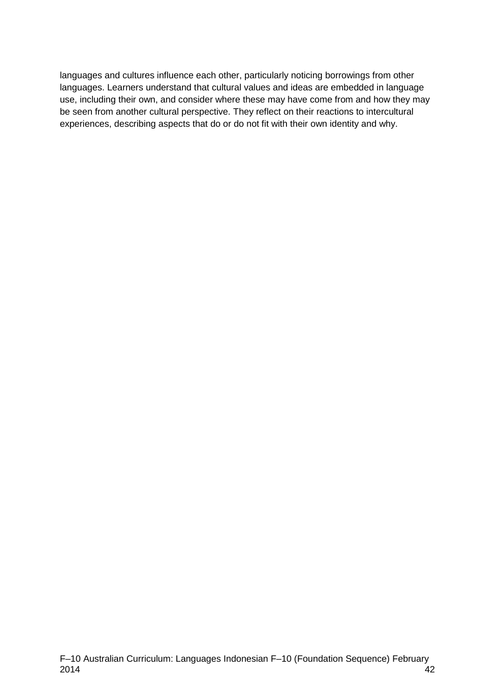languages and cultures influence each other, particularly noticing borrowings from other languages. Learners understand that cultural values and ideas are embedded in language use, including their own, and consider where these may have come from and how they may be seen from another cultural perspective. They reflect on their reactions to intercultural experiences, describing aspects that do or do not fit with their own identity and why.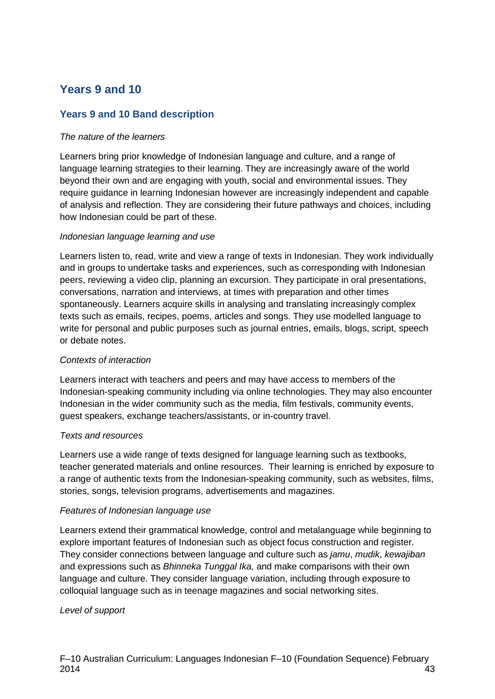## **Years 9 and 10**

#### **Years 9 and 10 Band description**

#### *The nature of the learners*

Learners bring prior knowledge of Indonesian language and culture, and a range of language learning strategies to their learning. They are increasingly aware of the world beyond their own and are engaging with youth, social and environmental issues. They require guidance in learning Indonesian however are increasingly independent and capable of analysis and reflection. They are considering their future pathways and choices, including how Indonesian could be part of these.

#### *Indonesian language learning and use*

Learners listen to, read, write and view a range of texts in Indonesian. They work individually and in groups to undertake tasks and experiences, such as corresponding with Indonesian peers, reviewing a video clip, planning an excursion. They participate in oral presentations, conversations, narration and interviews, at times with preparation and other times spontaneously. Learners acquire skills in analysing and translating increasingly complex texts such as emails, recipes, poems, articles and songs. They use modelled language to write for personal and public purposes such as journal entries, emails, blogs, script, speech or debate notes.

#### *Contexts of interaction*

Learners interact with teachers and peers and may have access to members of the Indonesian-speaking community including via online technologies. They may also encounter Indonesian in the wider community such as the media, film festivals, community events, guest speakers, exchange teachers/assistants, or in-country travel.

#### *Texts and resources*

Learners use a wide range of texts designed for language learning such as textbooks, teacher generated materials and online resources. Their learning is enriched by exposure to a range of authentic texts from the Indonesian-speaking community, such as websites, films, stories, songs, television programs, advertisements and magazines.

#### *Features of Indonesian language use*

Learners extend their grammatical knowledge, control and metalanguage while beginning to explore important features of Indonesian such as object focus construction and register. They consider connections between language and culture such as *jamu*, *mudik*, *kewajiban* and expressions such as *Bhinneka Tunggal Ika,* and make comparisons with their own language and culture. They consider language variation, including through exposure to colloquial language such as in teenage magazines and social networking sites.

#### *Level of support*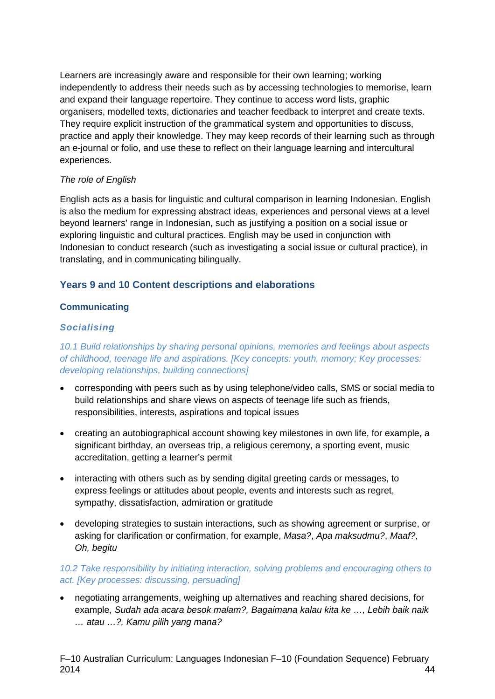Learners are increasingly aware and responsible for their own learning; working independently to address their needs such as by accessing technologies to memorise, learn and expand their language repertoire. They continue to access word lists, graphic organisers, modelled texts, dictionaries and teacher feedback to interpret and create texts. They require explicit instruction of the grammatical system and opportunities to discuss, practice and apply their knowledge. They may keep records of their learning such as through an e-journal or folio, and use these to reflect on their language learning and intercultural experiences.

#### *The role of English*

English acts as a basis for linguistic and cultural comparison in learning Indonesian. English is also the medium for expressing abstract ideas, experiences and personal views at a level beyond learners' range in Indonesian, such as justifying a position on a social issue or exploring linguistic and cultural practices. English may be used in conjunction with Indonesian to conduct research (such as investigating a social issue or cultural practice), in translating, and in communicating bilingually.

#### **Years 9 and 10 Content descriptions and elaborations**

#### **Communicating**

#### *Socialising*

*10.1 Build relationships by sharing personal opinions, memories and feelings about aspects of childhood, teenage life and aspirations. [Key concepts: youth, memory; Key processes: developing relationships, building connections]*

- corresponding with peers such as by using telephone/video calls, SMS or social media to build relationships and share views on aspects of teenage life such as friends, responsibilities, interests, aspirations and topical issues
- creating an autobiographical account showing key milestones in own life, for example, a significant birthday, an overseas trip, a religious ceremony, a sporting event, music accreditation, getting a learner's permit
- interacting with others such as by sending digital greeting cards or messages, to express feelings or attitudes about people, events and interests such as regret, sympathy, dissatisfaction, admiration or gratitude
- developing strategies to sustain interactions, such as showing agreement or surprise, or asking for clarification or confirmation, for example, *Masa?*, *Apa maksudmu?*, *Maaf?*, *Oh, begitu*

#### *10.2 Take responsibility by initiating interaction, solving problems and encouraging others to act. [Key processes: discussing, persuading]*

• negotiating arrangements, weighing up alternatives and reaching shared decisions, for example, *Sudah ada acara besok malam?, Bagaimana kalau kita ke …, Lebih baik naik … atau …?, Kamu pilih yang mana?*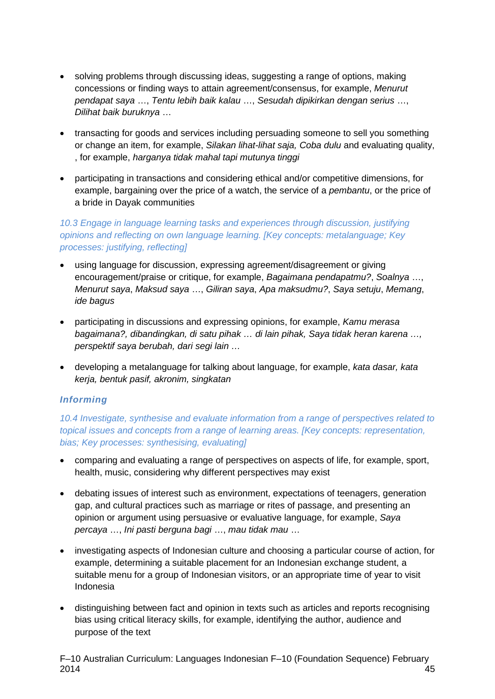- solving problems through discussing ideas, suggesting a range of options, making concessions or finding ways to attain agreement/consensus, for example, *Menurut pendapat saya* …, *Tentu lebih baik kalau* …, *Sesudah dipikirkan dengan serius* …, *Dilihat baik buruknya* …
- transacting for goods and services including persuading someone to sell you something or change an item, for example, *Silakan lihat-lihat saja, Coba dulu* and evaluating quality, , for example, *harganya tidak mahal tapi mutunya tinggi*
- participating in transactions and considering ethical and/or competitive dimensions, for example, bargaining over the price of a watch, the service of a *pembantu*, or the price of a bride in Dayak communities

#### *10.3 Engage in language learning tasks and experiences through discussion, justifying opinions and reflecting on own language learning. [Key concepts: metalanguage; Key processes: justifying, reflecting]*

- using language for discussion, expressing agreement/disagreement or giving encouragement/praise or critique, for example, *Bagaimana pendapatmu?*, *Soalnya* …, *Menurut saya*, *Maksud saya* …, *Giliran saya*, *Apa maksudmu?*, *Saya setuju*, *Memang*, *ide bagus*
- participating in discussions and expressing opinions, for example, *Kamu merasa bagaimana?, dibandingkan, di satu pihak … di lain pihak, Saya tidak heran karena …, perspektif saya berubah, dari segi lain …*
- developing a metalanguage for talking about language, for example, *kata dasar, kata kerja, bentuk pasif, akronim, singkatan*

#### *Informing*

*10.4 Investigate, synthesise and evaluate information from a range of perspectives related to topical issues and concepts from a range of learning areas. [Key concepts: representation, bias; Key processes: synthesising, evaluating]*

- comparing and evaluating a range of perspectives on aspects of life, for example, sport, health, music, considering why different perspectives may exist
- debating issues of interest such as environment, expectations of teenagers, generation gap, and cultural practices such as marriage or rites of passage, and presenting an opinion or argument using persuasive or evaluative language, for example, *Saya percaya* …, *Ini pasti berguna bagi* …, *mau tidak mau* …
- investigating aspects of Indonesian culture and choosing a particular course of action, for example, determining a suitable placement for an Indonesian exchange student, a suitable menu for a group of Indonesian visitors, or an appropriate time of year to visit Indonesia
- distinguishing between fact and opinion in texts such as articles and reports recognising bias using critical literacy skills, for example, identifying the author, audience and purpose of the text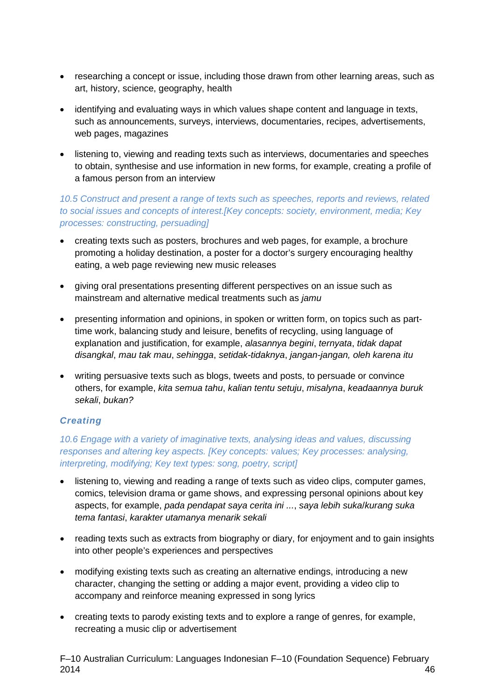- researching a concept or issue, including those drawn from other learning areas, such as art, history, science, geography, health
- identifying and evaluating ways in which values shape content and language in texts, such as announcements, surveys, interviews, documentaries, recipes, advertisements, web pages, magazines
- listening to, viewing and reading texts such as interviews, documentaries and speeches to obtain, synthesise and use information in new forms, for example, creating a profile of a famous person from an interview

#### *10.5 Construct and present a range of texts such as speeches, reports and reviews, related to social issues and concepts of interest.[Key concepts: society, environment, media; Key processes: constructing, persuading]*

- creating texts such as posters, brochures and web pages, for example, a brochure promoting a holiday destination, a poster for a doctor's surgery encouraging healthy eating, a web page reviewing new music releases
- giving oral presentations presenting different perspectives on an issue such as mainstream and alternative medical treatments such as *jamu*
- presenting information and opinions, in spoken or written form, on topics such as parttime work, balancing study and leisure, benefits of recycling, using language of explanation and justification, for example, *alasannya begini*, *ternyata*, *tidak dapat disangkal*, *mau tak mau*, *sehingga*, *setidak-tidaknya*, *jangan-jangan, oleh karena itu*
- writing persuasive texts such as blogs, tweets and posts, to persuade or convince others, for example, *kita semua tahu*, *kalian tentu setuju*, *misalyna*, *keadaannya buruk sekali*, *bukan?*

#### *Creating*

#### *10.6 Engage with a variety of imaginative texts, analysing ideas and values, discussing responses and altering key aspects. [Key concepts: values; Key processes: analysing, interpreting, modifying; Key text types: song, poetry, script]*

- listening to, viewing and reading a range of texts such as video clips, computer games, comics, television drama or game shows, and expressing personal opinions about key aspects, for example, *pada pendapat saya cerita ini ...*, *saya lebih suka*/*kurang suka tema fantasi*, *karakter utamanya menarik sekali*
- reading texts such as extracts from biography or diary, for enjoyment and to gain insights into other people's experiences and perspectives
- modifying existing texts such as creating an alternative endings, introducing a new character, changing the setting or adding a major event, providing a video clip to accompany and reinforce meaning expressed in song lyrics
- creating texts to parody existing texts and to explore a range of genres, for example, recreating a music clip or advertisement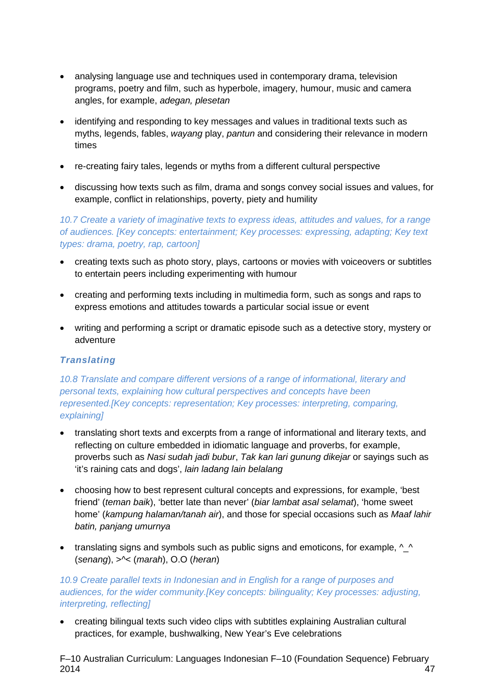- analysing language use and techniques used in contemporary drama, television programs, poetry and film, such as hyperbole, imagery, humour, music and camera angles, for example, *adegan, plesetan*
- identifying and responding to key messages and values in traditional texts such as myths, legends, fables, *wayang* play, *pantun* and considering their relevance in modern times
- re-creating fairy tales, legends or myths from a different cultural perspective
- discussing how texts such as film, drama and songs convey social issues and values, for example, conflict in relationships, poverty, piety and humility

*10.7 Create a variety of imaginative texts to express ideas, attitudes and values, for a range of audiences. [Key concepts: entertainment; Key processes: expressing, adapting; Key text types: drama, poetry, rap, cartoon]*

- creating texts such as photo story, plays, cartoons or movies with voiceovers or subtitles to entertain peers including experimenting with humour
- creating and performing texts including in multimedia form, such as songs and raps to express emotions and attitudes towards a particular social issue or event
- writing and performing a script or dramatic episode such as a detective story, mystery or adventure

#### *Translating*

*10.8 Translate and compare different versions of a range of informational, literary and personal texts, explaining how cultural perspectives and concepts have been represented.[Key concepts: representation; Key processes: interpreting, comparing, explaining]*

- translating short texts and excerpts from a range of informational and literary texts, and reflecting on culture embedded in idiomatic language and proverbs, for example, proverbs such as *Nasi sudah jadi bubur*, *Tak kan lari gunung dikejar* or sayings such as 'it's raining cats and dogs', *lain ladang lain belalang*
- choosing how to best represent cultural concepts and expressions, for example, 'best friend' (*teman baik*), 'better late than never' (*biar lambat asal selamat*), 'home sweet home' (*kampung halaman/tanah air*), and those for special occasions such as *Maaf lahir batin, panjang umurnya*
- translating signs and symbols such as public signs and emoticons, for example,  $\wedge\_\wedge$ (*senang*), >^< (*marah*), O.O (*heran*)

#### *10.9 Create parallel texts in Indonesian and in English for a range of purposes and audiences, for the wider community.[Key concepts: bilinguality; Key processes: adjusting, interpreting, reflecting]*

• creating bilingual texts such video clips with subtitles explaining Australian cultural practices, for example, bushwalking, New Year's Eve celebrations

F–10 Australian Curriculum: Languages Indonesian F–10 (Foundation Sequence) February 2014 47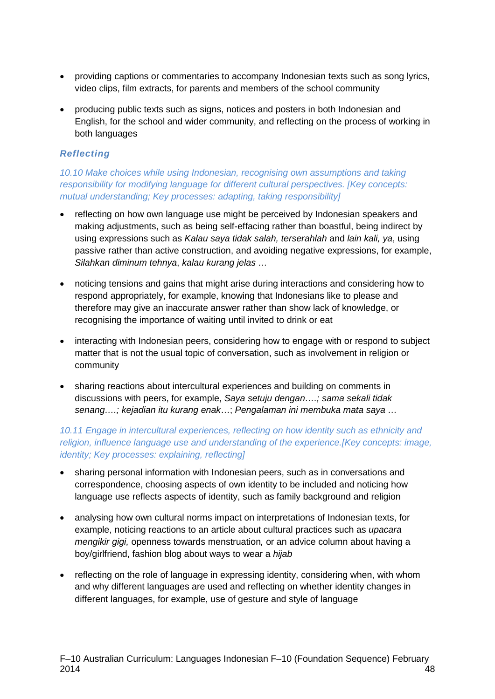- providing captions or commentaries to accompany Indonesian texts such as song lyrics, video clips, film extracts, for parents and members of the school community
- producing public texts such as signs, notices and posters in both Indonesian and English, for the school and wider community, and reflecting on the process of working in both languages

#### *Reflecting*

*10.10 Make choices while using Indonesian, recognising own assumptions and taking responsibility for modifying language for different cultural perspectives. [Key concepts: mutual understanding; Key processes: adapting, taking responsibility]*

- reflecting on how own language use might be perceived by Indonesian speakers and making adjustments, such as being self-effacing rather than boastful, being indirect by using expressions such as *Kalau saya tidak salah, terserahlah* and *lain kali, ya*, using passive rather than active construction, and avoiding negative expressions, for example, *Silahkan diminum tehnya*, *kalau kurang jelas …*
- noticing tensions and gains that might arise during interactions and considering how to respond appropriately, for example, knowing that Indonesians like to please and therefore may give an inaccurate answer rather than show lack of knowledge, or recognising the importance of waiting until invited to drink or eat
- interacting with Indonesian peers, considering how to engage with or respond to subject matter that is not the usual topic of conversation, such as involvement in religion or community
- sharing reactions about intercultural experiences and building on comments in discussions with peers, for example, *Saya setuju dengan….; sama sekali tidak senang….; kejadian itu kurang enak*…; *Pengalaman ini membuka mata saya …*

#### *10.11 Engage in intercultural experiences, reflecting on how identity such as ethnicity and religion, influence language use and understanding of the experience.[Key concepts: image, identity; Key processes: explaining, reflecting]*

- sharing personal information with Indonesian peers, such as in conversations and correspondence, choosing aspects of own identity to be included and noticing how language use reflects aspects of identity, such as family background and religion
- analysing how own cultural norms impact on interpretations of Indonesian texts, for example, noticing reactions to an article about cultural practices such as *upacara mengikir gigi,* openness towards menstruation*,* or an advice column about having a boy/girlfriend, fashion blog about ways to wear a *hijab*
- reflecting on the role of language in expressing identity, considering when, with whom and why different languages are used and reflecting on whether identity changes in different languages, for example, use of gesture and style of language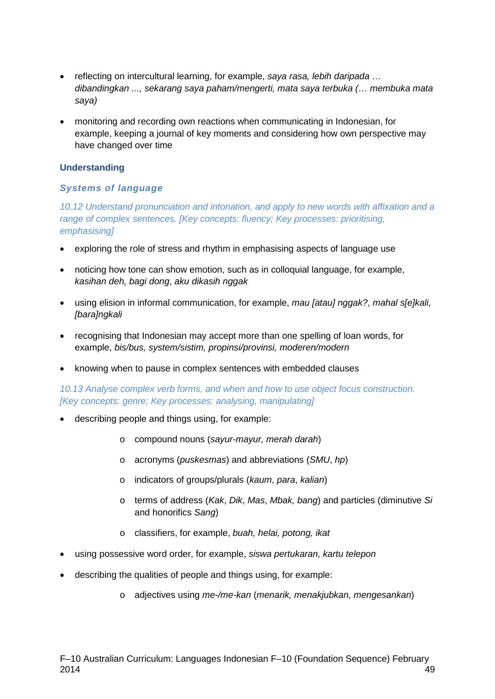- reflecting on intercultural learning, for example, *saya rasa, lebih daripada … dibandingkan ..., sekarang saya paham/mengerti, mata saya terbuka (… membuka mata saya)*
- monitoring and recording own reactions when communicating in Indonesian, for example, keeping a journal of key moments and considering how own perspective may have changed over time

#### **Understanding**

#### *Systems of language*

*10.12 Understand pronunciation and intonation, and apply to new words with affixation and a range of complex sentences. [Key concepts: fluency; Key processes: prioritising, emphasising]*

- exploring the role of stress and rhythm in emphasising aspects of language use
- noticing how tone can show emotion, such as in colloquial language, for example, *kasihan deh, bagi dong*, *aku dikasih nggak*
- using elision in informal communication, for example, *mau [atau] nggak?*, *mahal s[e]kali, [bara]ngkali*
- recognising that Indonesian may accept more than one spelling of loan words, for example, *bis/bus, system/sistim, propinsi/provinsi, moderen/modern*
- knowing when to pause in complex sentences with embedded clauses

*10.13 Analyse complex verb forms, and when and how to use object focus construction. [Key concepts: genre; Key processes: analysing, manipulating]*

- describing people and things using, for example:
	- o compound nouns (*sayur-mayur, merah darah*)
	- o acronyms (*puskesmas*) and abbreviations (*SMU*, *hp*)
	- o indicators of groups/plurals (*kaum*, *para*, *kalian*)
	- o terms of address (*Kak*, *Dik*, *Mas*, *Mbak, bang*) and particles (diminutive *Si* and honorifics *Sang*)
	- o classifiers, for example, *buah, helai, potong, ikat*
- using possessive word order, for example, *siswa pertukaran, kartu telepon*
- describing the qualities of people and things using, for example:
	- o adjectives using *me-/me-kan* (*menarik, menakjubkan, mengesankan*)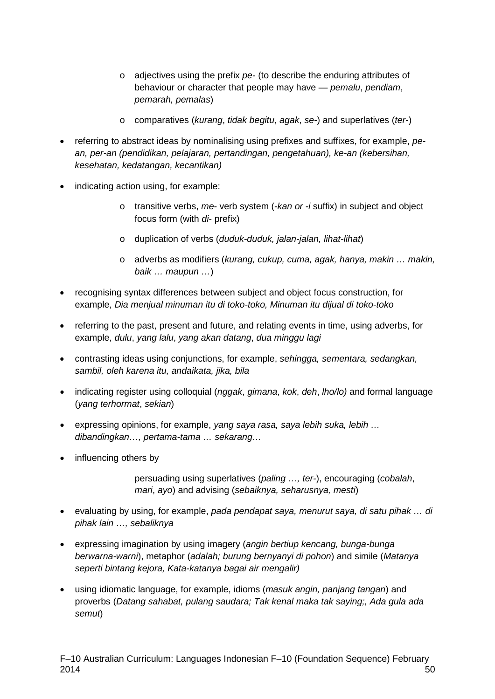- o adjectives using the prefix *pe-* (to describe the enduring attributes of behaviour or character that people may have — *pemalu*, *pendiam*, *pemarah, pemalas*)
- o comparatives (*kurang*, *tidak begitu*, *agak*, *se-*) and superlatives (*ter-*)
- referring to abstract ideas by nominalising using prefixes and suffixes, for example, *pean, per-an (pendidikan, pelajaran, pertandingan, pengetahuan), ke-an (kebersihan, kesehatan, kedatangan, kecantikan)*
- indicating action using, for example:
	- o transitive verbs, *me-* verb system (-*kan or -i* suffix) in subject and object focus form (with *di*- prefix)
	- o duplication of verbs (*duduk-duduk, jalan-jalan, lihat-lihat*)
	- o adverbs as modifiers (*kurang, cukup, cuma, agak, hanya, makin … makin, baik … maupun …*)
- recognising syntax differences between subject and object focus construction, for example, *Dia menjual minuman itu di toko-toko, Minuman itu dijual di toko-toko*
- referring to the past, present and future, and relating events in time, using adverbs, for example, *dulu*, *yang lalu*, *yang akan datang*, *dua minggu lagi*
- contrasting ideas using conjunctions, for example, *sehingga, sementara, sedangkan, sambil, oleh karena itu, andaikata, jika, bila*
- indicating register using colloquial (*nggak*, *gimana*, *kok*, *deh*, *lho/lo)* and formal language (*yang terhormat*, *sekian*)
- expressing opinions, for example, *yang saya rasa, saya lebih suka, lebih … dibandingkan…, pertama-tama … sekarang…*
- influencing others by

persuading using superlatives (*paling …, ter-*), encouraging (*cobalah*, *mari*, *ayo*) and advising (*sebaiknya, seharusnya, mesti*)

- evaluating by using, for example, *pada pendapat saya, menurut saya, di satu pihak … di pihak lain …, sebaliknya*
- expressing imagination by using imagery (*angin bertiup kencang, bunga-bunga berwarna-warni*), metaphor (*adalah; burung bernyanyi di pohon*) and simile (*Matanya seperti bintang kejora, Kata-katanya bagai air mengalir)*
- using idiomatic language, for example, idioms (*masuk angin, panjang tangan*) and proverbs (*Datang sahabat, pulang saudara; Tak kenal maka tak saying;, Ada gula ada semut*)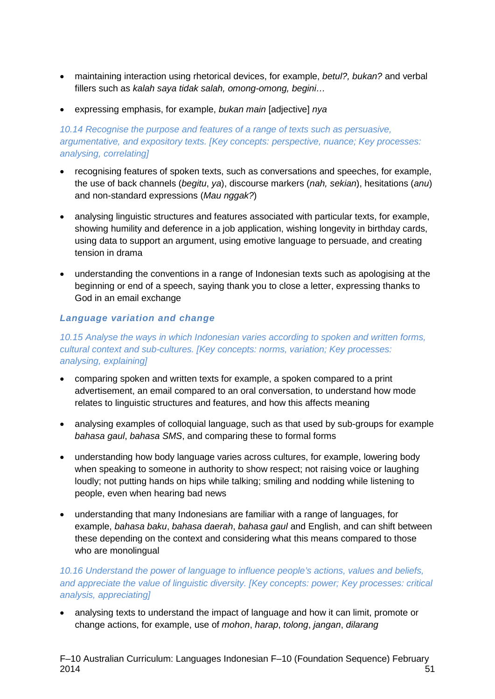- maintaining interaction using rhetorical devices, for example, *betul?, bukan?* and verbal fillers such as *kalah saya tidak salah, omong-omong, begini…*
- expressing emphasis, for example, *bukan main* [adjective] *nya*

#### *10.14 Recognise the purpose and features of a range of texts such as persuasive, argumentative, and expository texts. [Key concepts: perspective, nuance; Key processes: analysing, correlating]*

- recognising features of spoken texts, such as conversations and speeches, for example, the use of back channels (*begitu*, *ya*), discourse markers (*nah, sekian*), hesitations (*anu*) and non-standard expressions (*Mau nggak?*)
- analysing linguistic structures and features associated with particular texts, for example, showing humility and deference in a job application, wishing longevity in birthday cards, using data to support an argument, using emotive language to persuade, and creating tension in drama
- understanding the conventions in a range of Indonesian texts such as apologising at the beginning or end of a speech, saying thank you to close a letter, expressing thanks to God in an email exchange

#### *Language variation and change*

*10.15 Analyse the ways in which Indonesian varies according to spoken and written forms, cultural context and sub-cultures. [Key concepts: norms, variation; Key processes: analysing, explaining]*

- comparing spoken and written texts for example, a spoken compared to a print advertisement, an email compared to an oral conversation, to understand how mode relates to linguistic structures and features, and how this affects meaning
- analysing examples of colloquial language, such as that used by sub-groups for example *bahasa gaul*, *bahasa SMS*, and comparing these to formal forms
- understanding how body language varies across cultures, for example, lowering body when speaking to someone in authority to show respect; not raising voice or laughing loudly; not putting hands on hips while talking; smiling and nodding while listening to people, even when hearing bad news
- understanding that many Indonesians are familiar with a range of languages, for example, *bahasa baku*, *bahasa daerah*, *bahasa gaul* and English, and can shift between these depending on the context and considering what this means compared to those who are monolingual

#### *10.16 Understand the power of language to influence people's actions, values and beliefs, and appreciate the value of linguistic diversity. [Key concepts: power; Key processes: critical analysis, appreciating]*

• analysing texts to understand the impact of language and how it can limit, promote or change actions, for example, use of *mohon*, *harap*, *tolong*, *jangan*, *dilarang*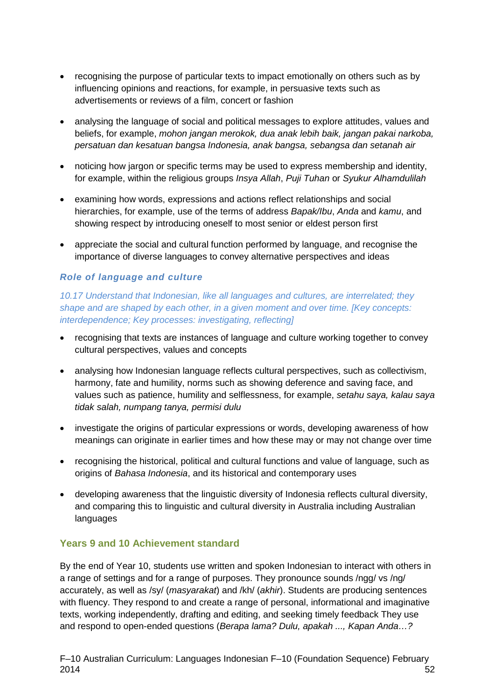- recognising the purpose of particular texts to impact emotionally on others such as by influencing opinions and reactions, for example, in persuasive texts such as advertisements or reviews of a film, concert or fashion
- analysing the language of social and political messages to explore attitudes, values and beliefs, for example, *mohon jangan merokok, dua anak lebih baik, jangan pakai narkoba, persatuan dan kesatuan bangsa Indonesia, anak bangsa, sebangsa dan setanah air*
- noticing how jargon or specific terms may be used to express membership and identity, for example, within the religious groups *Insya Allah*, *Puji Tuhan* or *Syukur Alhamdulilah*
- examining how words, expressions and actions reflect relationships and social hierarchies, for example, use of the terms of address *Bapak/Ibu*, *Anda* and *kamu*, and showing respect by introducing oneself to most senior or eldest person first
- appreciate the social and cultural function performed by language, and recognise the importance of diverse languages to convey alternative perspectives and ideas

#### *Role of language and culture*

*10.17 Understand that Indonesian, like all languages and cultures, are interrelated; they shape and are shaped by each other, in a given moment and over time. [Key concepts: interdependence; Key processes: investigating, reflecting]*

- recognising that texts are instances of language and culture working together to convey cultural perspectives, values and concepts
- analysing how Indonesian language reflects cultural perspectives, such as collectivism, harmony, fate and humility, norms such as showing deference and saving face, and values such as patience, humility and selflessness, for example, *setahu saya, kalau saya tidak salah, numpang tanya, permisi dulu*
- investigate the origins of particular expressions or words, developing awareness of how meanings can originate in earlier times and how these may or may not change over time
- recognising the historical, political and cultural functions and value of language, such as origins of *Bahasa Indonesia*, and its historical and contemporary uses
- developing awareness that the linguistic diversity of Indonesia reflects cultural diversity, and comparing this to linguistic and cultural diversity in Australia including Australian languages

#### **Years 9 and 10 Achievement standard**

By the end of Year 10, students use written and spoken Indonesian to interact with others in a range of settings and for a range of purposes. They pronounce sounds /ngg/ vs /ng/ accurately, as well as /sy/ (*masyarakat*) and /kh/ (*akhir*). Students are producing sentences with fluency. They respond to and create a range of personal, informational and imaginative texts, working independently, drafting and editing, and seeking timely feedback They use and respond to open-ended questions (*Berapa lama? Dulu, apakah ..., Kapan Anda…?*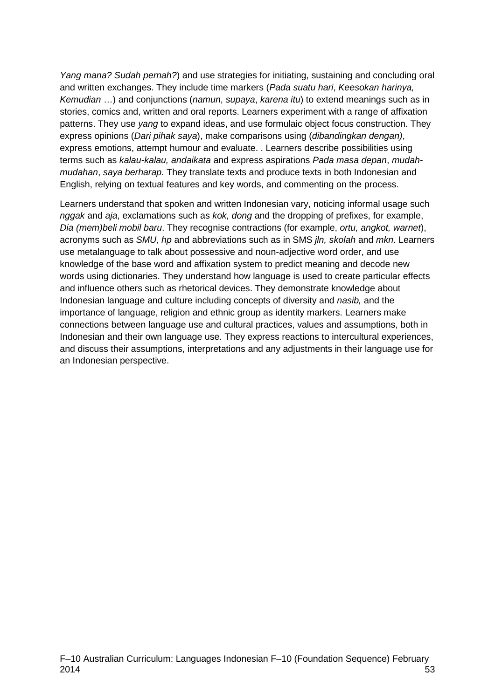*Yang mana? Sudah pernah?*) and use strategies for initiating, sustaining and concluding oral and written exchanges. They include time markers (*Pada suatu hari*, *Keesokan harinya, Kemudian* …) and conjunctions (*namun*, *supaya*, *karena itu*) to extend meanings such as in stories, comics and, written and oral reports. Learners experiment with a range of affixation patterns. They use *yang* to expand ideas, and use formulaic object focus construction. They express opinions (*Dari pihak saya*), make comparisons using (*dibandingkan dengan)*, express emotions, attempt humour and evaluate. . Learners describe possibilities using terms such as *kalau-kalau, andaikata* and express aspirations *Pada masa depan*, *mudahmudahan*, *saya berharap*. They translate texts and produce texts in both Indonesian and English, relying on textual features and key words, and commenting on the process.

Learners understand that spoken and written Indonesian vary, noticing informal usage such *nggak* and *aja*, exclamations such as *kok, dong* and the dropping of prefixes, for example, *Dia (mem)beli mobil baru*. They recognise contractions (for example, *ortu, angkot, warnet*), acronyms such as *SMU*, *hp* and abbreviations such as in SMS *jln, skolah* and *mkn*. Learners use metalanguage to talk about possessive and noun-adjective word order, and use knowledge of the base word and affixation system to predict meaning and decode new words using dictionaries. They understand how language is used to create particular effects and influence others such as rhetorical devices. They demonstrate knowledge about Indonesian language and culture including concepts of diversity and *nasib,* and the importance of language, religion and ethnic group as identity markers. Learners make connections between language use and cultural practices, values and assumptions, both in Indonesian and their own language use. They express reactions to intercultural experiences, and discuss their assumptions, interpretations and any adjustments in their language use for an Indonesian perspective.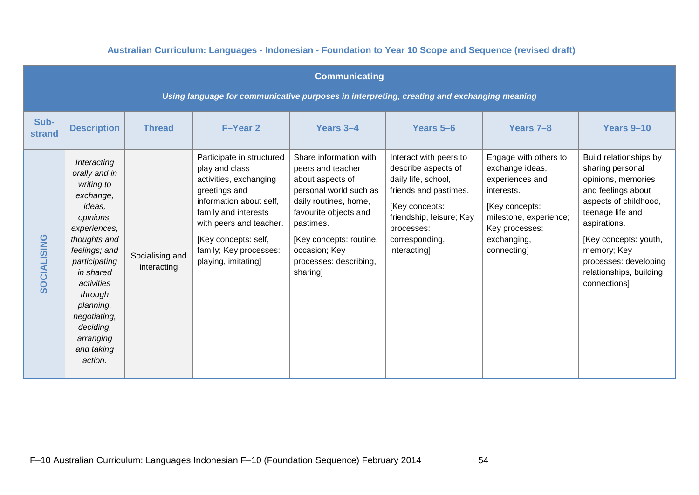#### **Australian Curriculum: Languages - Indonesian - Foundation to Year 10 Scope and Sequence (revised draft)**

|                                                                                            | <b>Communicating</b>                                                                                                                                                                                                                                                   |                                |                                                                                                                                                                                                                                               |                                                                                                                                                                                                                                            |                                                                                                                                                                                             |                                                                                                                                                                      |                                                                                                                                                                                                                                                                 |  |  |  |  |
|--------------------------------------------------------------------------------------------|------------------------------------------------------------------------------------------------------------------------------------------------------------------------------------------------------------------------------------------------------------------------|--------------------------------|-----------------------------------------------------------------------------------------------------------------------------------------------------------------------------------------------------------------------------------------------|--------------------------------------------------------------------------------------------------------------------------------------------------------------------------------------------------------------------------------------------|---------------------------------------------------------------------------------------------------------------------------------------------------------------------------------------------|----------------------------------------------------------------------------------------------------------------------------------------------------------------------|-----------------------------------------------------------------------------------------------------------------------------------------------------------------------------------------------------------------------------------------------------------------|--|--|--|--|
| Using language for communicative purposes in interpreting, creating and exchanging meaning |                                                                                                                                                                                                                                                                        |                                |                                                                                                                                                                                                                                               |                                                                                                                                                                                                                                            |                                                                                                                                                                                             |                                                                                                                                                                      |                                                                                                                                                                                                                                                                 |  |  |  |  |
| Sub-<br><b>strand</b>                                                                      | <b>Description</b>                                                                                                                                                                                                                                                     | <b>Thread</b>                  | F-Year 2                                                                                                                                                                                                                                      | Years 3-4                                                                                                                                                                                                                                  | Years 5-6                                                                                                                                                                                   | Years 7-8                                                                                                                                                            | Years 9-10                                                                                                                                                                                                                                                      |  |  |  |  |
| <b>SOCIALISING</b>                                                                         | Interacting<br>orally and in<br>writing to<br>exchange,<br>ideas,<br>opinions,<br>experiences,<br>thoughts and<br>feelings; and<br>participating<br>in shared<br>activities<br>through<br>planning,<br>negotiating,<br>deciding,<br>arranging<br>and taking<br>action. | Socialising and<br>interacting | Participate in structured<br>play and class<br>activities, exchanging<br>greetings and<br>information about self,<br>family and interests<br>with peers and teacher.<br>[Key concepts: self,<br>family; Key processes:<br>playing, imitating] | Share information with<br>peers and teacher<br>about aspects of<br>personal world such as<br>daily routines, home,<br>favourite objects and<br>pastimes.<br>[Key concepts: routine,<br>occasion; Key<br>processes: describing,<br>sharing] | Interact with peers to<br>describe aspects of<br>daily life, school,<br>friends and pastimes.<br>[Key concepts:<br>friendship, leisure; Key<br>processes:<br>corresponding,<br>interacting] | Engage with others to<br>exchange ideas,<br>experiences and<br>interests.<br>[Key concepts:<br>milestone, experience;<br>Key processes:<br>exchanging,<br>connecting | Build relationships by<br>sharing personal<br>opinions, memories<br>and feelings about<br>aspects of childhood,<br>teenage life and<br>aspirations.<br>[Key concepts: youth,<br>memory; Key<br>processes: developing<br>relationships, building<br>connections] |  |  |  |  |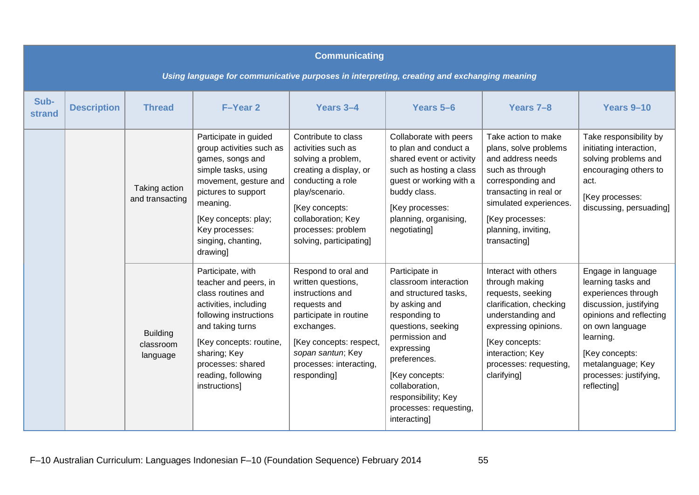|                | <b>Communicating</b><br>Using language for communicative purposes in interpreting, creating and exchanging meaning |                                          |                                                                                                                                                                                                                                                |                                                                                                                                                                                                                           |                                                                                                                                                                                                                                                                               |                                                                                                                                                                                                                         |                                                                                                                                                                                                                                      |  |  |  |  |
|----------------|--------------------------------------------------------------------------------------------------------------------|------------------------------------------|------------------------------------------------------------------------------------------------------------------------------------------------------------------------------------------------------------------------------------------------|---------------------------------------------------------------------------------------------------------------------------------------------------------------------------------------------------------------------------|-------------------------------------------------------------------------------------------------------------------------------------------------------------------------------------------------------------------------------------------------------------------------------|-------------------------------------------------------------------------------------------------------------------------------------------------------------------------------------------------------------------------|--------------------------------------------------------------------------------------------------------------------------------------------------------------------------------------------------------------------------------------|--|--|--|--|
| Sub-<br>strand | <b>Description</b>                                                                                                 | <b>Thread</b>                            | F-Year 2                                                                                                                                                                                                                                       | Years 3-4                                                                                                                                                                                                                 | Years 5-6                                                                                                                                                                                                                                                                     | Years 7-8                                                                                                                                                                                                               | Years 9-10                                                                                                                                                                                                                           |  |  |  |  |
|                |                                                                                                                    | Taking action<br>and transacting         | Participate in guided<br>group activities such as<br>games, songs and<br>simple tasks, using<br>movement, gesture and<br>pictures to support<br>meaning.<br>[Key concepts: play;<br>Key processes:<br>singing, chanting,<br>drawing]           | Contribute to class<br>activities such as<br>solving a problem,<br>creating a display, or<br>conducting a role<br>play/scenario.<br>[Key concepts:<br>collaboration; Key<br>processes: problem<br>solving, participating] | Collaborate with peers<br>to plan and conduct a<br>shared event or activity<br>such as hosting a class<br>guest or working with a<br>buddy class.<br>[Key processes:<br>planning, organising,<br>negotiating]                                                                 | Take action to make<br>plans, solve problems<br>and address needs<br>such as through<br>corresponding and<br>transacting in real or<br>simulated experiences.<br>[Key processes:<br>planning, inviting,<br>transacting] | Take responsibility by<br>initiating interaction,<br>solving problems and<br>encouraging others to<br>act.<br>[Key processes:<br>discussing, persuading]                                                                             |  |  |  |  |
|                |                                                                                                                    | <b>Building</b><br>classroom<br>language | Participate, with<br>teacher and peers, in<br>class routines and<br>activities, including<br>following instructions<br>and taking turns<br>[Key concepts: routine,<br>sharing; Key<br>processes: shared<br>reading, following<br>instructions] | Respond to oral and<br>written questions,<br>instructions and<br>requests and<br>participate in routine<br>exchanges.<br>[Key concepts: respect,<br>sopan santun; Key<br>processes: interacting,<br>responding]           | Participate in<br>classroom interaction<br>and structured tasks,<br>by asking and<br>responding to<br>questions, seeking<br>permission and<br>expressing<br>preferences.<br>[Key concepts:<br>collaboration,<br>responsibility; Key<br>processes: requesting,<br>interacting] | Interact with others<br>through making<br>requests, seeking<br>clarification, checking<br>understanding and<br>expressing opinions.<br>[Key concepts:<br>interaction; Key<br>processes: requesting,<br>clarifying]      | Engage in language<br>learning tasks and<br>experiences through<br>discussion, justifying<br>opinions and reflecting<br>on own language<br>learning.<br>[Key concepts:<br>metalanguage; Key<br>processes: justifying,<br>reflecting] |  |  |  |  |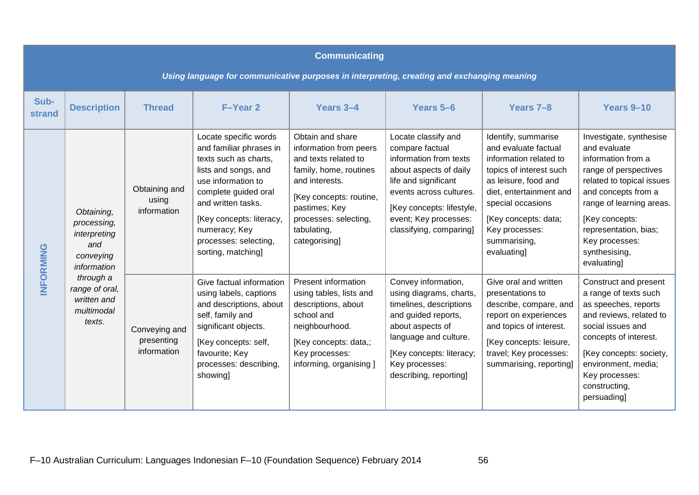|                                                                                            | <b>Communicating</b>                                                         |                                            |                                                                                                                                                                                                                                                                   |                                                                                                                                                                                                                     |                                                                                                                                                                                                                                |                                                                                                                                                                                                                                                   |                                                                                                                                                                                                                                                                     |  |  |  |  |
|--------------------------------------------------------------------------------------------|------------------------------------------------------------------------------|--------------------------------------------|-------------------------------------------------------------------------------------------------------------------------------------------------------------------------------------------------------------------------------------------------------------------|---------------------------------------------------------------------------------------------------------------------------------------------------------------------------------------------------------------------|--------------------------------------------------------------------------------------------------------------------------------------------------------------------------------------------------------------------------------|---------------------------------------------------------------------------------------------------------------------------------------------------------------------------------------------------------------------------------------------------|---------------------------------------------------------------------------------------------------------------------------------------------------------------------------------------------------------------------------------------------------------------------|--|--|--|--|
| Using language for communicative purposes in interpreting, creating and exchanging meaning |                                                                              |                                            |                                                                                                                                                                                                                                                                   |                                                                                                                                                                                                                     |                                                                                                                                                                                                                                |                                                                                                                                                                                                                                                   |                                                                                                                                                                                                                                                                     |  |  |  |  |
| Sub-<br>strand                                                                             | <b>Description</b>                                                           | <b>Thread</b>                              | F-Year 2                                                                                                                                                                                                                                                          | Years 3-4                                                                                                                                                                                                           | Years 5-6                                                                                                                                                                                                                      | Years 7-8                                                                                                                                                                                                                                         | Years 9-10                                                                                                                                                                                                                                                          |  |  |  |  |
| INFORMING                                                                                  | Obtaining,<br>processing,<br>interpreting<br>and<br>conveying<br>information | Obtaining and<br>using<br>information      | Locate specific words<br>and familiar phrases in<br>texts such as charts,<br>lists and songs, and<br>use information to<br>complete guided oral<br>and written tasks.<br>[Key concepts: literacy,<br>numeracy; Key<br>processes: selecting,<br>sorting, matching] | Obtain and share<br>information from peers<br>and texts related to<br>family, home, routines<br>and interests.<br>[Key concepts: routine,<br>pastimes; Key<br>processes: selecting,<br>tabulating,<br>categorising] | Locate classify and<br>compare factual<br>information from texts<br>about aspects of daily<br>life and significant<br>events across cultures.<br>[Key concepts: lifestyle,<br>event; Key processes:<br>classifying, comparing] | Identify, summarise<br>and evaluate factual<br>information related to<br>topics of interest such<br>as leisure, food and<br>diet, entertainment and<br>special occasions<br>[Key concepts: data;<br>Key processes:<br>summarising,<br>evaluating] | Investigate, synthesise<br>and evaluate<br>information from a<br>range of perspectives<br>related to topical issues<br>and concepts from a<br>range of learning areas.<br>[Key concepts:<br>representation, bias;<br>Key processes:<br>synthesising,<br>evaluating] |  |  |  |  |
|                                                                                            | through a<br>range of oral,<br>written and<br>multimodal<br>texts.           | Conveying and<br>presenting<br>information | Give factual information<br>using labels, captions<br>and descriptions, about<br>self, family and<br>significant objects.<br>[Key concepts: self,<br>favourite; Key<br>processes: describing,<br>showing]                                                         | Present information<br>using tables, lists and<br>descriptions, about<br>school and<br>neighbourhood.<br>[Key concepts: data,;<br>Key processes:<br>informing, organising ]                                         | Convey information,<br>using diagrams, charts,<br>timelines, descriptions<br>and guided reports,<br>about aspects of<br>language and culture.<br>[Key concepts: literacy;<br>Key processes:<br>describing, reporting]          | Give oral and written<br>presentations to<br>describe, compare, and<br>report on experiences<br>and topics of interest.<br>[Key concepts: leisure,<br>travel; Key processes:<br>summarising, reporting]                                           | Construct and present<br>a range of texts such<br>as speeches, reports<br>and reviews, related to<br>social issues and<br>concepts of interest.<br>[Key concepts: society,<br>environment, media;<br>Key processes:<br>constructing,<br>persuading]                 |  |  |  |  |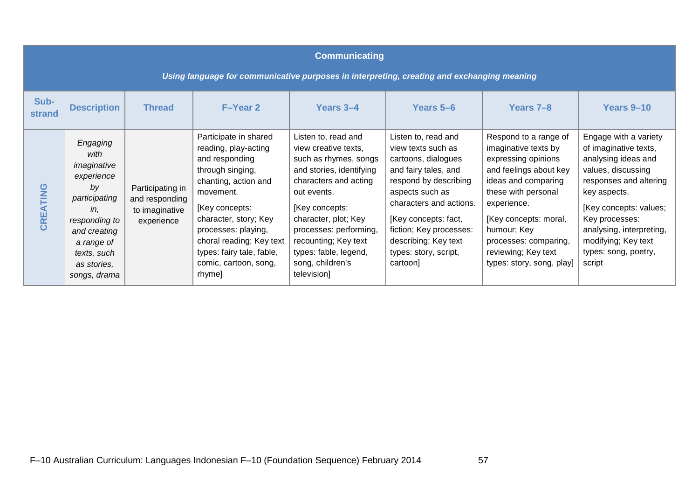| <b>Communicating</b><br>Using language for communicative purposes in interpreting, creating and exchanging meaning |                                                                                                                                                                          |                                                                    |                                                                                                                                                                                                                                                                                        |                                                                                                                                                                                                                                                                                                  |                                                                                                                                                                                                                                                                                 |                                                                                                                                                                                                                                                                                  |                                                                                                                                                                                                                                                                        |  |  |  |
|--------------------------------------------------------------------------------------------------------------------|--------------------------------------------------------------------------------------------------------------------------------------------------------------------------|--------------------------------------------------------------------|----------------------------------------------------------------------------------------------------------------------------------------------------------------------------------------------------------------------------------------------------------------------------------------|--------------------------------------------------------------------------------------------------------------------------------------------------------------------------------------------------------------------------------------------------------------------------------------------------|---------------------------------------------------------------------------------------------------------------------------------------------------------------------------------------------------------------------------------------------------------------------------------|----------------------------------------------------------------------------------------------------------------------------------------------------------------------------------------------------------------------------------------------------------------------------------|------------------------------------------------------------------------------------------------------------------------------------------------------------------------------------------------------------------------------------------------------------------------|--|--|--|
| Sub-<br><b>strand</b>                                                                                              | <b>Description</b>                                                                                                                                                       | <b>Thread</b>                                                      | <b>F-Year 2</b>                                                                                                                                                                                                                                                                        | Years 3-4                                                                                                                                                                                                                                                                                        | Years 5–6                                                                                                                                                                                                                                                                       | Years 7-8                                                                                                                                                                                                                                                                        | Years 9-10                                                                                                                                                                                                                                                             |  |  |  |
| CREATING                                                                                                           | Engaging<br>with<br>imaginative<br>experience<br>by<br>participating<br>in,<br>responding to<br>and creating<br>a range of<br>texts, such<br>as stories.<br>songs, drama | Participating in<br>and responding<br>to imaginative<br>experience | Participate in shared<br>reading, play-acting<br>and responding<br>through singing,<br>chanting, action and<br>movement.<br>[Key concepts:<br>character, story; Key<br>processes: playing,<br>choral reading; Key text<br>types: fairy tale, fable,<br>comic, cartoon, song,<br>rhyme] | Listen to, read and<br>view creative texts,<br>such as rhymes, songs<br>and stories, identifying<br>characters and acting<br>out events.<br>[Key concepts:<br>character, plot; Key<br>processes: performing,<br>recounting; Key text<br>types: fable, legend,<br>song, children's<br>television] | Listen to, read and<br>view texts such as<br>cartoons, dialogues<br>and fairy tales, and<br>respond by describing<br>aspects such as<br>characters and actions.<br>[Key concepts: fact,<br>fiction; Key processes:<br>describing; Key text<br>types: story, script,<br>cartoon] | Respond to a range of<br>imaginative texts by<br>expressing opinions<br>and feelings about key<br>ideas and comparing<br>these with personal<br>experience.<br>[Key concepts: moral,<br>humour; Key<br>processes: comparing,<br>reviewing; Key text<br>types: story, song, play] | Engage with a variety<br>of imaginative texts,<br>analysing ideas and<br>values, discussing<br>responses and altering<br>key aspects.<br>[Key concepts: values;<br>Key processes:<br>analysing, interpreting,<br>modifying; Key text<br>types: song, poetry,<br>script |  |  |  |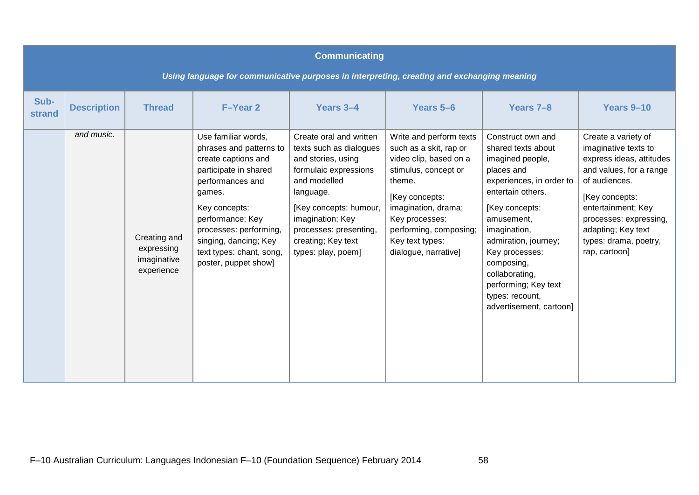|                       | <b>Communicating</b><br>Using language for communicative purposes in interpreting, creating and exchanging meaning |                                                         |                                                                                                                                                                                                                                                                          |                                                                                                                                                                                                                                                    |                                                                                                                                                                                                                                               |                                                                                                                                                                                                                                                                                                                            |                                                                                                                                                                                                                                                       |  |  |  |  |
|-----------------------|--------------------------------------------------------------------------------------------------------------------|---------------------------------------------------------|--------------------------------------------------------------------------------------------------------------------------------------------------------------------------------------------------------------------------------------------------------------------------|----------------------------------------------------------------------------------------------------------------------------------------------------------------------------------------------------------------------------------------------------|-----------------------------------------------------------------------------------------------------------------------------------------------------------------------------------------------------------------------------------------------|----------------------------------------------------------------------------------------------------------------------------------------------------------------------------------------------------------------------------------------------------------------------------------------------------------------------------|-------------------------------------------------------------------------------------------------------------------------------------------------------------------------------------------------------------------------------------------------------|--|--|--|--|
| Sub-<br><b>strand</b> | <b>Description</b>                                                                                                 | <b>Thread</b>                                           | F-Year 2                                                                                                                                                                                                                                                                 | Years 3-4                                                                                                                                                                                                                                          | Years 5-6                                                                                                                                                                                                                                     | Years 7-8                                                                                                                                                                                                                                                                                                                  | Years 9-10                                                                                                                                                                                                                                            |  |  |  |  |
|                       | and music.                                                                                                         | Creating and<br>expressing<br>imaginative<br>experience | Use familiar words,<br>phrases and patterns to<br>create captions and<br>participate in shared<br>performances and<br>games.<br>Key concepts:<br>performance; Key<br>processes: performing,<br>singing, dancing; Key<br>text types: chant, song,<br>poster, puppet show] | Create oral and written<br>texts such as dialogues<br>and stories, using<br>formulaic expressions<br>and modelled<br>language.<br>[Key concepts: humour,<br>imagination; Key<br>processes: presenting,<br>creating; Key text<br>types: play, poem] | Write and perform texts<br>such as a skit, rap or<br>video clip, based on a<br>stimulus, concept or<br>theme.<br>[Key concepts:<br>imagination, drama;<br>Key processes:<br>performing, composing;<br>Key text types:<br>dialogue, narrative] | Construct own and<br>shared texts about<br>imagined people,<br>places and<br>experiences, in order to<br>entertain others.<br>[Key concepts:<br>amusement,<br>imagination,<br>admiration, journey;<br>Key processes:<br>composing,<br>collaborating,<br>performing; Key text<br>types: recount,<br>advertisement, cartoon] | Create a variety of<br>imaginative texts to<br>express ideas, attitudes<br>and values, for a range<br>of audiences.<br>[Key concepts:<br>entertainment; Key<br>processes: expressing,<br>adapting; Key text<br>types: drama, poetry,<br>rap, cartoon] |  |  |  |  |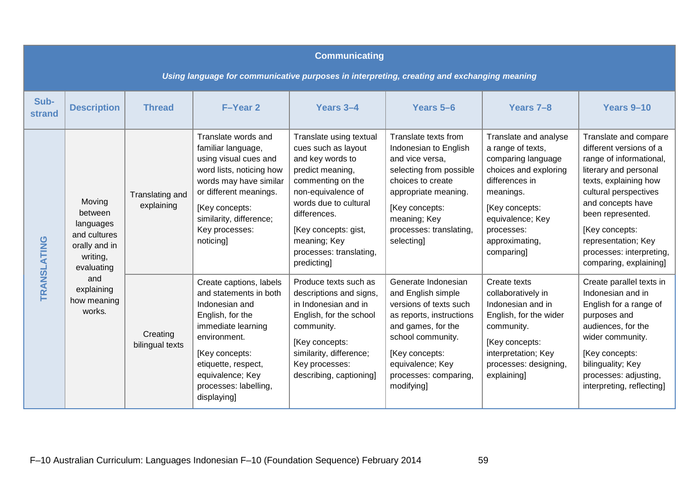|                       | <b>Communicating</b>                                                                       |                               |                                                                                                                                                                                                                                    |                                                                                                                                                                                                                                                              |                                                                                                                                                                                                                         |                                                                                                                                                                                                              |                                                                                                                                                                                                                                                                                                 |  |  |  |  |
|-----------------------|--------------------------------------------------------------------------------------------|-------------------------------|------------------------------------------------------------------------------------------------------------------------------------------------------------------------------------------------------------------------------------|--------------------------------------------------------------------------------------------------------------------------------------------------------------------------------------------------------------------------------------------------------------|-------------------------------------------------------------------------------------------------------------------------------------------------------------------------------------------------------------------------|--------------------------------------------------------------------------------------------------------------------------------------------------------------------------------------------------------------|-------------------------------------------------------------------------------------------------------------------------------------------------------------------------------------------------------------------------------------------------------------------------------------------------|--|--|--|--|
|                       | Using language for communicative purposes in interpreting, creating and exchanging meaning |                               |                                                                                                                                                                                                                                    |                                                                                                                                                                                                                                                              |                                                                                                                                                                                                                         |                                                                                                                                                                                                              |                                                                                                                                                                                                                                                                                                 |  |  |  |  |
| Sub-<br><b>strand</b> | <b>Description</b>                                                                         | <b>Thread</b>                 | F-Year 2                                                                                                                                                                                                                           | Years 3-4                                                                                                                                                                                                                                                    | Years 5-6                                                                                                                                                                                                               | Years 7-8                                                                                                                                                                                                    | Years 9-10                                                                                                                                                                                                                                                                                      |  |  |  |  |
| TRANSLATING           | Moving<br>between<br>languages<br>and cultures<br>orally and in<br>writing,<br>evaluating  | Translating and<br>explaining | Translate words and<br>familiar language,<br>using visual cues and<br>word lists, noticing how<br>words may have similar<br>or different meanings.<br>[Key concepts:<br>similarity, difference;<br>Key processes:<br>noticing]     | Translate using textual<br>cues such as layout<br>and key words to<br>predict meaning,<br>commenting on the<br>non-equivalence of<br>words due to cultural<br>differences.<br>[Key concepts: gist,<br>meaning; Key<br>processes: translating,<br>predicting] | Translate texts from<br>Indonesian to English<br>and vice versa,<br>selecting from possible<br>choices to create<br>appropriate meaning.<br>[Key concepts:<br>meaning; Key<br>processes: translating,<br>selecting]     | Translate and analyse<br>a range of texts,<br>comparing language<br>choices and exploring<br>differences in<br>meanings.<br>[Key concepts:<br>equivalence; Key<br>processes:<br>approximating,<br>comparing] | Translate and compare<br>different versions of a<br>range of informational,<br>literary and personal<br>texts, explaining how<br>cultural perspectives<br>and concepts have<br>been represented.<br>[Key concepts:<br>representation; Key<br>processes: interpreting,<br>comparing, explaining] |  |  |  |  |
|                       | and<br>explaining<br>how meaning<br>works.                                                 | Creating<br>bilingual texts   | Create captions, labels<br>and statements in both<br>Indonesian and<br>English, for the<br>immediate learning<br>environment.<br>[Key concepts:<br>etiquette, respect,<br>equivalence; Key<br>processes: labelling,<br>displaying] | Produce texts such as<br>descriptions and signs,<br>in Indonesian and in<br>English, for the school<br>community.<br>[Key concepts:<br>similarity, difference;<br>Key processes:<br>describing, captioning]                                                  | Generate Indonesian<br>and English simple<br>versions of texts such<br>as reports, instructions<br>and games, for the<br>school community.<br>[Key concepts:<br>equivalence; Key<br>processes: comparing,<br>modifying] | Create texts<br>collaboratively in<br>Indonesian and in<br>English, for the wider<br>community.<br>[Key concepts:<br>interpretation; Key<br>processes: designing,<br>explaining]                             | Create parallel texts in<br>Indonesian and in<br>English for a range of<br>purposes and<br>audiences, for the<br>wider community.<br>[Key concepts:<br>bilinguality; Key<br>processes: adjusting,<br>interpreting, reflecting]                                                                  |  |  |  |  |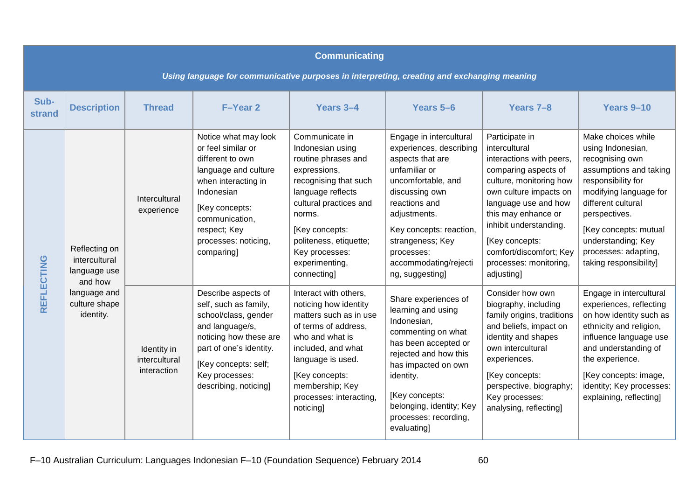|                | <b>Communicating</b><br>Using language for communicative purposes in interpreting, creating and exchanging meaning |                                             |                                                                                                                                                                                                                       |                                                                                                                                                                                                                                                            |                                                                                                                                                                                                                                                                           |                                                                                                                                                                                                                                                                                                        |                                                                                                                                                                                                                                                                              |  |  |  |  |
|----------------|--------------------------------------------------------------------------------------------------------------------|---------------------------------------------|-----------------------------------------------------------------------------------------------------------------------------------------------------------------------------------------------------------------------|------------------------------------------------------------------------------------------------------------------------------------------------------------------------------------------------------------------------------------------------------------|---------------------------------------------------------------------------------------------------------------------------------------------------------------------------------------------------------------------------------------------------------------------------|--------------------------------------------------------------------------------------------------------------------------------------------------------------------------------------------------------------------------------------------------------------------------------------------------------|------------------------------------------------------------------------------------------------------------------------------------------------------------------------------------------------------------------------------------------------------------------------------|--|--|--|--|
| Sub-<br>strand | <b>Description</b>                                                                                                 | <b>Thread</b>                               | F-Year 2                                                                                                                                                                                                              | Years 3-4                                                                                                                                                                                                                                                  | Years 5-6                                                                                                                                                                                                                                                                 | Years 7-8                                                                                                                                                                                                                                                                                              | Years 9-10                                                                                                                                                                                                                                                                   |  |  |  |  |
| REFLECTING     | Reflecting on<br>intercultural<br>language use<br>and how                                                          | Intercultural<br>experience                 | Notice what may look<br>or feel similar or<br>different to own<br>language and culture<br>when interacting in<br>Indonesian<br>[Key concepts:<br>communication,<br>respect; Key<br>processes: noticing,<br>comparing] | Communicate in<br>Indonesian using<br>routine phrases and<br>expressions,<br>recognising that such<br>language reflects<br>cultural practices and<br>norms.<br>[Key concepts:<br>politeness, etiquette;<br>Key processes:<br>experimenting,<br>connecting] | Engage in intercultural<br>experiences, describing<br>aspects that are<br>unfamiliar or<br>uncomfortable, and<br>discussing own<br>reactions and<br>adjustments.<br>Key concepts: reaction,<br>strangeness; Key<br>processes:<br>accommodating/rejecti<br>ng, suggesting] | Participate in<br>intercultural<br>interactions with peers,<br>comparing aspects of<br>culture, monitoring how<br>own culture impacts on<br>language use and how<br>this may enhance or<br>inhibit understanding.<br>[Key concepts:<br>comfort/discomfort; Key<br>processes: monitoring,<br>adjusting] | Make choices while<br>using Indonesian,<br>recognising own<br>assumptions and taking<br>responsibility for<br>modifying language for<br>different cultural<br>perspectives.<br>[Key concepts: mutual<br>understanding; Key<br>processes: adapting,<br>taking responsibility] |  |  |  |  |
|                | language and<br>culture shape<br>identity.                                                                         | Identity in<br>intercultural<br>interaction | Describe aspects of<br>self, such as family,<br>school/class, gender<br>and language/s,<br>noticing how these are<br>part of one's identity.<br>[Key concepts: self;<br>Key processes:<br>describing, noticing]       | Interact with others,<br>noticing how identity<br>matters such as in use<br>of terms of address,<br>who and what is<br>included, and what<br>language is used.<br>[Key concepts:<br>membership; Key<br>processes: interacting,<br>noticing                 | Share experiences of<br>learning and using<br>Indonesian,<br>commenting on what<br>has been accepted or<br>rejected and how this<br>has impacted on own<br>identity.<br>[Key concepts:<br>belonging, identity; Key<br>processes: recording,<br>evaluating]                | Consider how own<br>biography, including<br>family origins, traditions<br>and beliefs, impact on<br>identity and shapes<br>own intercultural<br>experiences.<br>[Key concepts:<br>perspective, biography;<br>Key processes:<br>analysing, reflecting]                                                  | Engage in intercultural<br>experiences, reflecting<br>on how identity such as<br>ethnicity and religion,<br>influence language use<br>and understanding of<br>the experience.<br>[Key concepts: image,<br>identity; Key processes:<br>explaining, reflecting]                |  |  |  |  |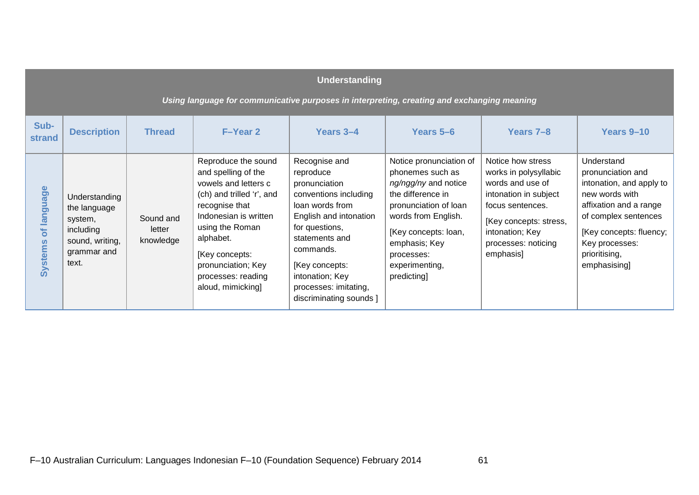|                                                                                            | <b>Understanding</b>                                                                             |                                  |                                                                                                                                                                                                                                                               |                                                                                                                                                                                                                                                             |                                                                                                                                                                                                                                  |                                                                                                                                                                                              |                                                                                                                                                                                                               |  |  |  |  |
|--------------------------------------------------------------------------------------------|--------------------------------------------------------------------------------------------------|----------------------------------|---------------------------------------------------------------------------------------------------------------------------------------------------------------------------------------------------------------------------------------------------------------|-------------------------------------------------------------------------------------------------------------------------------------------------------------------------------------------------------------------------------------------------------------|----------------------------------------------------------------------------------------------------------------------------------------------------------------------------------------------------------------------------------|----------------------------------------------------------------------------------------------------------------------------------------------------------------------------------------------|---------------------------------------------------------------------------------------------------------------------------------------------------------------------------------------------------------------|--|--|--|--|
| Using language for communicative purposes in interpreting, creating and exchanging meaning |                                                                                                  |                                  |                                                                                                                                                                                                                                                               |                                                                                                                                                                                                                                                             |                                                                                                                                                                                                                                  |                                                                                                                                                                                              |                                                                                                                                                                                                               |  |  |  |  |
| Sub-<br>strand                                                                             | <b>Description</b>                                                                               | <b>Thread</b>                    | F-Year 2                                                                                                                                                                                                                                                      | Years 3-4                                                                                                                                                                                                                                                   | Years 5-6                                                                                                                                                                                                                        | Years 7-8                                                                                                                                                                                    | Years 9-10                                                                                                                                                                                                    |  |  |  |  |
| language<br>ð<br><b>Systems</b>                                                            | Understanding<br>the language<br>system,<br>including<br>sound, writing,<br>grammar and<br>text. | Sound and<br>letter<br>knowledge | Reproduce the sound<br>and spelling of the<br>vowels and letters c<br>(ch) and trilled 'r', and<br>recognise that<br>Indonesian is written<br>using the Roman<br>alphabet.<br>[Key concepts:<br>pronunciation; Key<br>processes: reading<br>aloud, mimicking] | Recognise and<br>reproduce<br>pronunciation<br>conventions including<br>loan words from<br>English and intonation<br>for questions,<br>statements and<br>commands.<br>[Key concepts:<br>intonation; Key<br>processes: imitating,<br>discriminating sounds ] | Notice pronunciation of<br>phonemes such as<br>ng/ngg/ny and notice<br>the difference in<br>pronunciation of loan<br>words from English.<br>[Key concepts: loan,<br>emphasis; Key<br>processes:<br>experimenting,<br>predicting] | Notice how stress<br>works in polysyllabic<br>words and use of<br>intonation in subject<br>focus sentences.<br>[Key concepts: stress,<br>intonation; Key<br>processes: noticing<br>emphasis] | Understand<br>pronunciation and<br>intonation, and apply to<br>new words with<br>affixation and a range<br>of complex sentences<br>[Key concepts: fluency;<br>Key processes:<br>prioritising,<br>emphasising] |  |  |  |  |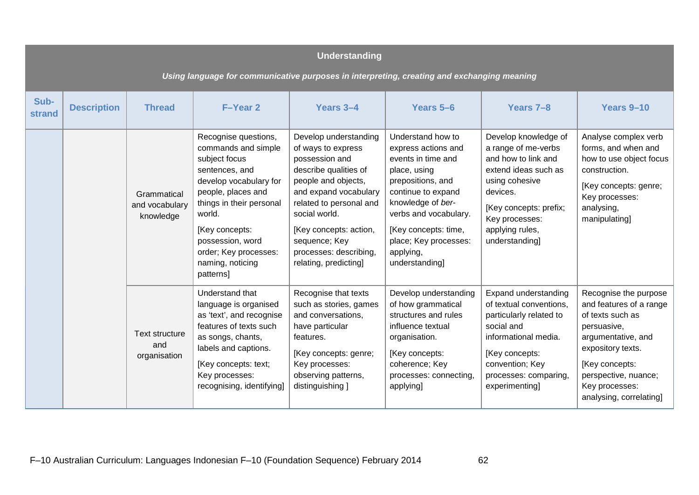|                                                                                            | <b>Understanding</b> |                                            |                                                                                                                                                                                                                                                                      |                                                                                                                                                                                                                                                                                  |                                                                                                                                                                                                                                                         |                                                                                                                                                                                                           |                                                                                                                                                                                                                       |  |  |  |  |
|--------------------------------------------------------------------------------------------|----------------------|--------------------------------------------|----------------------------------------------------------------------------------------------------------------------------------------------------------------------------------------------------------------------------------------------------------------------|----------------------------------------------------------------------------------------------------------------------------------------------------------------------------------------------------------------------------------------------------------------------------------|---------------------------------------------------------------------------------------------------------------------------------------------------------------------------------------------------------------------------------------------------------|-----------------------------------------------------------------------------------------------------------------------------------------------------------------------------------------------------------|-----------------------------------------------------------------------------------------------------------------------------------------------------------------------------------------------------------------------|--|--|--|--|
| Using language for communicative purposes in interpreting, creating and exchanging meaning |                      |                                            |                                                                                                                                                                                                                                                                      |                                                                                                                                                                                                                                                                                  |                                                                                                                                                                                                                                                         |                                                                                                                                                                                                           |                                                                                                                                                                                                                       |  |  |  |  |
| Sub-<br><b>strand</b>                                                                      | <b>Description</b>   | <b>Thread</b>                              | F-Year 2                                                                                                                                                                                                                                                             | Years 3-4                                                                                                                                                                                                                                                                        | Years 5-6                                                                                                                                                                                                                                               | Years 7-8                                                                                                                                                                                                 | Years 9-10                                                                                                                                                                                                            |  |  |  |  |
|                                                                                            |                      | Grammatical<br>and vocabulary<br>knowledge | Recognise questions,<br>commands and simple<br>subject focus<br>sentences, and<br>develop vocabulary for<br>people, places and<br>things in their personal<br>world.<br>[Key concepts:<br>possession, word<br>order; Key processes:<br>naming, noticing<br>patterns] | Develop understanding<br>of ways to express<br>possession and<br>describe qualities of<br>people and objects,<br>and expand vocabulary<br>related to personal and<br>social world.<br>[Key concepts: action,<br>sequence; Key<br>processes: describing,<br>relating, predicting] | Understand how to<br>express actions and<br>events in time and<br>place, using<br>prepositions, and<br>continue to expand<br>knowledge of ber-<br>verbs and vocabulary.<br>[Key concepts: time,<br>place; Key processes:<br>applying,<br>understanding] | Develop knowledge of<br>a range of me-verbs<br>and how to link and<br>extend ideas such as<br>using cohesive<br>devices.<br>[Key concepts: prefix;<br>Key processes:<br>applying rules,<br>understanding] | Analyse complex verb<br>forms, and when and<br>how to use object focus<br>construction.<br>[Key concepts: genre;<br>Key processes:<br>analysing,<br>manipulating]                                                     |  |  |  |  |
|                                                                                            |                      | Text structure<br>and<br>organisation      | Understand that<br>language is organised<br>as 'text', and recognise<br>features of texts such<br>as songs, chants,<br>labels and captions.<br>[Key concepts: text;<br>Key processes:<br>recognising, identifying]                                                   | Recognise that texts<br>such as stories, games<br>and conversations,<br>have particular<br>features.<br>[Key concepts: genre;<br>Key processes:<br>observing patterns,<br>distinguishing ]                                                                                       | Develop understanding<br>of how grammatical<br>structures and rules<br>influence textual<br>organisation.<br>[Key concepts:<br>coherence; Key<br>processes: connecting,<br>applying]                                                                    | Expand understanding<br>of textual conventions,<br>particularly related to<br>social and<br>informational media.<br>[Key concepts:<br>convention; Key<br>processes: comparing,<br>experimenting]          | Recognise the purpose<br>and features of a range<br>of texts such as<br>persuasive,<br>argumentative, and<br>expository texts.<br>[Key concepts:<br>perspective, nuance;<br>Key processes:<br>analysing, correlating] |  |  |  |  |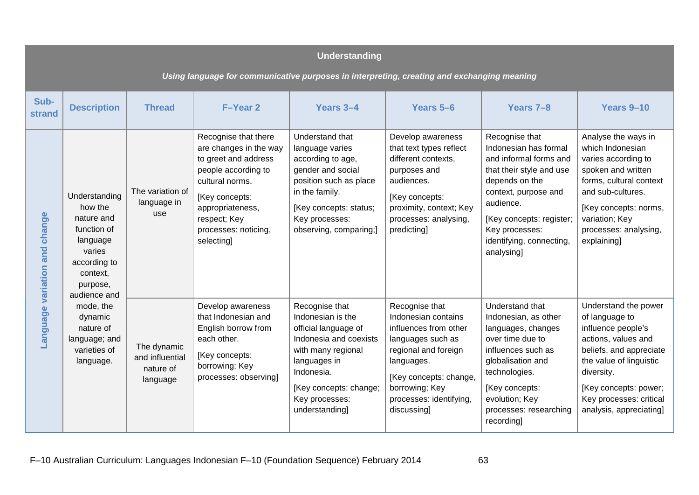|                                                                                            | <b>Understanding</b>                                                                                                                |                                                         |                                                                                                                                                                                                              |                                                                                                                                                                                                         |                                                                                                                                                                                                                 |                                                                                                                                                                                                                                              |                                                                                                                                                                                                                                        |  |  |  |  |
|--------------------------------------------------------------------------------------------|-------------------------------------------------------------------------------------------------------------------------------------|---------------------------------------------------------|--------------------------------------------------------------------------------------------------------------------------------------------------------------------------------------------------------------|---------------------------------------------------------------------------------------------------------------------------------------------------------------------------------------------------------|-----------------------------------------------------------------------------------------------------------------------------------------------------------------------------------------------------------------|----------------------------------------------------------------------------------------------------------------------------------------------------------------------------------------------------------------------------------------------|----------------------------------------------------------------------------------------------------------------------------------------------------------------------------------------------------------------------------------------|--|--|--|--|
| Using language for communicative purposes in interpreting, creating and exchanging meaning |                                                                                                                                     |                                                         |                                                                                                                                                                                                              |                                                                                                                                                                                                         |                                                                                                                                                                                                                 |                                                                                                                                                                                                                                              |                                                                                                                                                                                                                                        |  |  |  |  |
| Sub-<br>strand                                                                             | <b>Description</b>                                                                                                                  | <b>Thread</b>                                           | F-Year 2                                                                                                                                                                                                     | Years 3-4                                                                                                                                                                                               | Years 5-6                                                                                                                                                                                                       | Years 7-8                                                                                                                                                                                                                                    | Years 9-10                                                                                                                                                                                                                             |  |  |  |  |
| Language variation and change                                                              | Understanding<br>how the<br>nature and<br>function of<br>language<br>varies<br>according to<br>context,<br>purpose,<br>audience and | The variation of<br>language in<br>use                  | Recognise that there<br>are changes in the way<br>to greet and address<br>people according to<br>cultural norms.<br>[Key concepts:<br>appropriateness,<br>respect; Key<br>processes: noticing,<br>selecting] | Understand that<br>language varies<br>according to age,<br>gender and social<br>position such as place<br>in the family.<br>[Key concepts: status;<br>Key processes:<br>observing, comparing;]          | Develop awareness<br>that text types reflect<br>different contexts,<br>purposes and<br>audiences.<br>[Key concepts:<br>proximity, context; Key<br>processes: analysing,<br>predicting]                          | Recognise that<br>Indonesian has formal<br>and informal forms and<br>that their style and use<br>depends on the<br>context, purpose and<br>audience.<br>[Key concepts: register;<br>Key processes:<br>identifying, connecting,<br>analysing] | Analyse the ways in<br>which Indonesian<br>varies according to<br>spoken and written<br>forms, cultural context<br>and sub-cultures.<br>[Key concepts: norms,<br>variation; Key<br>processes: analysing,<br>explaining]                |  |  |  |  |
|                                                                                            | mode, the<br>dynamic<br>nature of<br>language; and<br>varieties of<br>language.                                                     | The dynamic<br>and influential<br>nature of<br>language | Develop awareness<br>that Indonesian and<br>English borrow from<br>each other.<br>[Key concepts:<br>borrowing; Key<br>processes: observing]                                                                  | Recognise that<br>Indonesian is the<br>official language of<br>Indonesia and coexists<br>with many regional<br>languages in<br>Indonesia.<br>[Key concepts: change;<br>Key processes:<br>understanding] | Recognise that<br>Indonesian contains<br>influences from other<br>languages such as<br>regional and foreign<br>languages.<br>[Key concepts: change,<br>borrowing; Key<br>processes: identifying,<br>discussing] | Understand that<br>Indonesian, as other<br>languages, changes<br>over time due to<br>influences such as<br>globalisation and<br>technologies.<br>[Key concepts:<br>evolution; Key<br>processes: researching<br>recording                     | Understand the power<br>of language to<br>influence people's<br>actions, values and<br>beliefs, and appreciate<br>the value of linguistic<br>diversity.<br>[Key concepts: power;<br>Key processes: critical<br>analysis, appreciating] |  |  |  |  |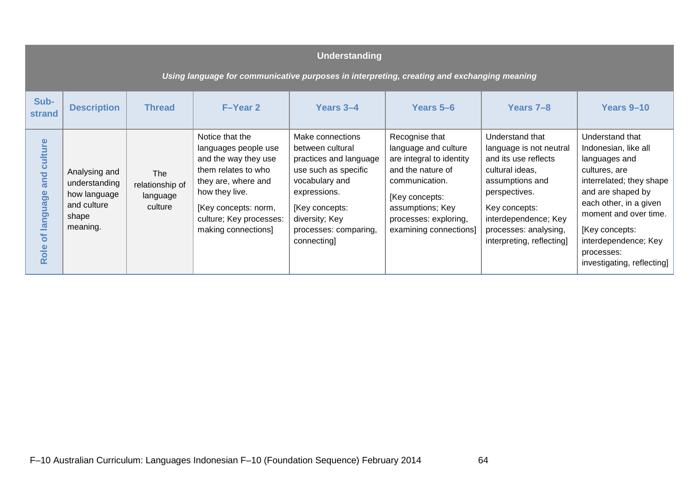|                                         | <b>Understanding</b><br>Using language for communicative purposes in interpreting, creating and exchanging meaning |                                                      |                                                                                                                                                                                                           |                                                                                                                                                                                                     |                                                                                                                                                                                                    |                                                                                                                                                                                                                          |                                                                                                                                                                                                                                                                     |  |  |  |  |
|-----------------------------------------|--------------------------------------------------------------------------------------------------------------------|------------------------------------------------------|-----------------------------------------------------------------------------------------------------------------------------------------------------------------------------------------------------------|-----------------------------------------------------------------------------------------------------------------------------------------------------------------------------------------------------|----------------------------------------------------------------------------------------------------------------------------------------------------------------------------------------------------|--------------------------------------------------------------------------------------------------------------------------------------------------------------------------------------------------------------------------|---------------------------------------------------------------------------------------------------------------------------------------------------------------------------------------------------------------------------------------------------------------------|--|--|--|--|
| Sub-<br><b>strand</b>                   | <b>Description</b>                                                                                                 | <b>Thread</b>                                        | <b>F-Year 2</b>                                                                                                                                                                                           | Years 3-4                                                                                                                                                                                           | Years 5-6                                                                                                                                                                                          | Years 7-8                                                                                                                                                                                                                | Years 9-10                                                                                                                                                                                                                                                          |  |  |  |  |
| culture<br>and<br>language<br>ð<br>Role | Analysing and<br>understanding<br>how language<br>and culture<br>shape<br>meaning.                                 | <b>The</b><br>relationship of<br>language<br>culture | Notice that the<br>languages people use<br>and the way they use<br>them relates to who<br>they are, where and<br>how they live.<br>[Key concepts: norm,<br>culture; Key processes:<br>making connections] | Make connections<br>between cultural<br>practices and language<br>use such as specific<br>vocabulary and<br>expressions.<br>[Key concepts:<br>diversity; Key<br>processes: comparing,<br>connecting | Recognise that<br>language and culture<br>are integral to identity<br>and the nature of<br>communication.<br>[Key concepts:<br>assumptions; Key<br>processes: exploring,<br>examining connections] | Understand that<br>language is not neutral<br>and its use reflects<br>cultural ideas,<br>assumptions and<br>perspectives.<br>Key concepts:<br>interdependence; Key<br>processes: analysing,<br>interpreting, reflecting] | Understand that<br>Indonesian, like all<br>languages and<br>cultures, are<br>interrelated; they shape<br>and are shaped by<br>each other, in a given<br>moment and over time.<br>[Key concepts:<br>interdependence; Key<br>processes:<br>investigating, reflecting] |  |  |  |  |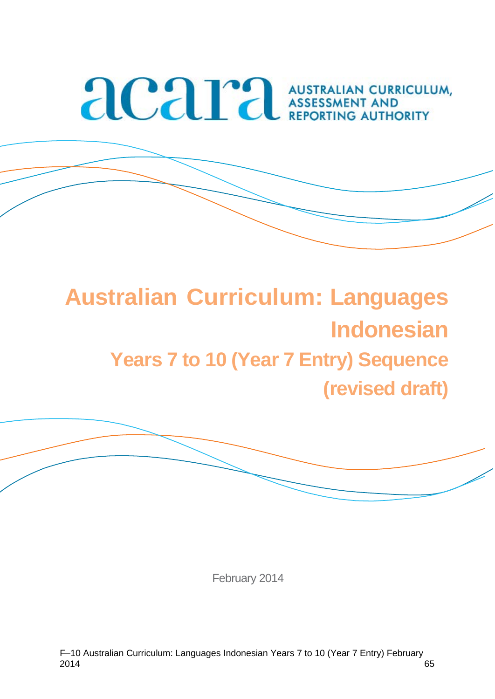# **ACAPA AUSTRALIAN CURRICULUM,**

# **Australian Curriculum: Languages Indonesian Years 7 to 10 (Year 7 Entry) Sequence (revised draft)**



February 2014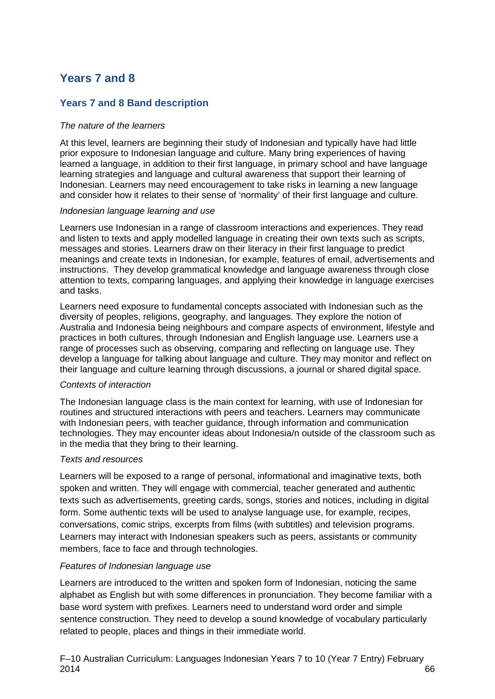### **Years 7 and 8**

#### **Years 7 and 8 Band description**

#### *The nature of the learners*

At this level, learners are beginning their study of Indonesian and typically have had little prior exposure to Indonesian language and culture. Many bring experiences of having learned a language, in addition to their first language, in primary school and have language learning strategies and language and cultural awareness that support their learning of Indonesian. Learners may need encouragement to take risks in learning a new language and consider how it relates to their sense of 'normality' of their first language and culture.

#### *Indonesian language learning and use*

Learners use Indonesian in a range of classroom interactions and experiences. They read and listen to texts and apply modelled language in creating their own texts such as scripts, messages and stories. Learners draw on their literacy in their first language to predict meanings and create texts in Indonesian, for example, features of email, advertisements and instructions. They develop grammatical knowledge and language awareness through close attention to texts, comparing languages, and applying their knowledge in language exercises and tasks.

Learners need exposure to fundamental concepts associated with Indonesian such as the diversity of peoples, religions, geography, and languages. They explore the notion of Australia and Indonesia being neighbours and compare aspects of environment, lifestyle and practices in both cultures, through Indonesian and English language use. Learners use a range of processes such as observing, comparing and reflecting on language use. They develop a language for talking about language and culture. They may monitor and reflect on their language and culture learning through discussions, a journal or shared digital space.

#### *Contexts of interaction*

The Indonesian language class is the main context for learning, with use of Indonesian for routines and structured interactions with peers and teachers. Learners may communicate with Indonesian peers, with teacher quidance, through information and communication technologies. They may encounter ideas about Indonesia/n outside of the classroom such as in the media that they bring to their learning.

#### *Texts and resources*

Learners will be exposed to a range of personal, informational and imaginative texts, both spoken and written. They will engage with commercial, teacher generated and authentic texts such as advertisements, greeting cards, songs, stories and notices, including in digital form. Some authentic texts will be used to analyse language use, for example, recipes, conversations, comic strips, excerpts from films (with subtitles) and television programs. Learners may interact with Indonesian speakers such as peers, assistants or community members, face to face and through technologies.

#### *Features of Indonesian language use*

Learners are introduced to the written and spoken form of Indonesian, noticing the same alphabet as English but with some differences in pronunciation. They become familiar with a base word system with prefixes. Learners need to understand word order and simple sentence construction. They need to develop a sound knowledge of vocabulary particularly related to people, places and things in their immediate world.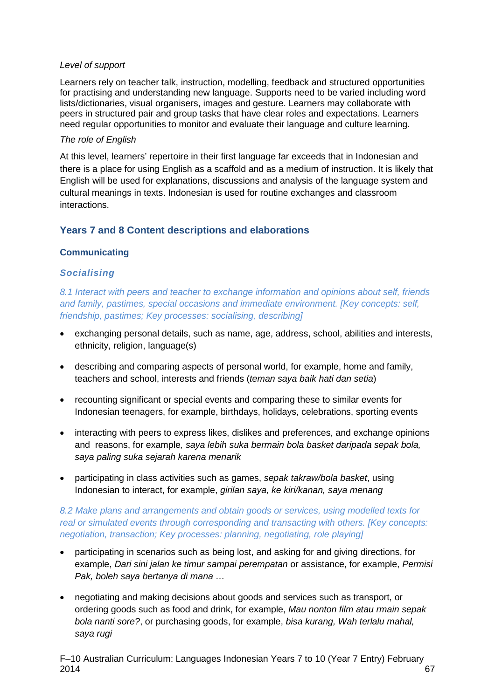#### *Level of support*

Learners rely on teacher talk, instruction, modelling, feedback and structured opportunities for practising and understanding new language. Supports need to be varied including word lists/dictionaries, visual organisers, images and gesture. Learners may collaborate with peers in structured pair and group tasks that have clear roles and expectations. Learners need regular opportunities to monitor and evaluate their language and culture learning.

#### *The role of English*

At this level, learners' repertoire in their first language far exceeds that in Indonesian and there is a place for using English as a scaffold and as a medium of instruction. It is likely that English will be used for explanations, discussions and analysis of the language system and cultural meanings in texts. Indonesian is used for routine exchanges and classroom interactions.

#### **Years 7 and 8 Content descriptions and elaborations**

#### **Communicating**

#### *Socialising*

*8.1 Interact with peers and teacher to exchange information and opinions about self, friends and family, pastimes, special occasions and immediate environment. [Key concepts: self, friendship, pastimes; Key processes: socialising, describing]*

- exchanging personal details, such as name, age, address, school, abilities and interests, ethnicity, religion, language(s)
- describing and comparing aspects of personal world, for example, home and family, teachers and school, interests and friends (*teman saya baik hati dan setia*)
- recounting significant or special events and comparing these to similar events for Indonesian teenagers, for example, birthdays, holidays, celebrations, sporting events
- interacting with peers to express likes, dislikes and preferences, and exchange opinions and reasons, for example*, saya lebih suka bermain bola basket daripada sepak bola, saya paling suka sejarah karena menarik*
- participating in class activities such as games, *sepak takraw/bola basket*, using Indonesian to interact, for example, *girilan saya, ke kiri/kanan, saya menang*

#### *8.2 Make plans and arrangements and obtain goods or services, using modelled texts for real or simulated events through corresponding and transacting with others. [Key concepts: negotiation, transaction; Key processes: planning, negotiating, role playing]*

- participating in scenarios such as being lost, and asking for and giving directions, for example, *Dari sini jalan ke timur sampai perempatan* or assistance, for example, *Permisi Pak, boleh saya bertanya di mana …*
- negotiating and making decisions about goods and services such as transport, or ordering goods such as food and drink, for example, *Mau nonton film atau rmain sepak bola nanti sore?*, or purchasing goods, for example, *bisa kurang, Wah terlalu mahal, saya rugi*

F–10 Australian Curriculum: Languages Indonesian Years 7 to 10 (Year 7 Entry) February  $2014$  67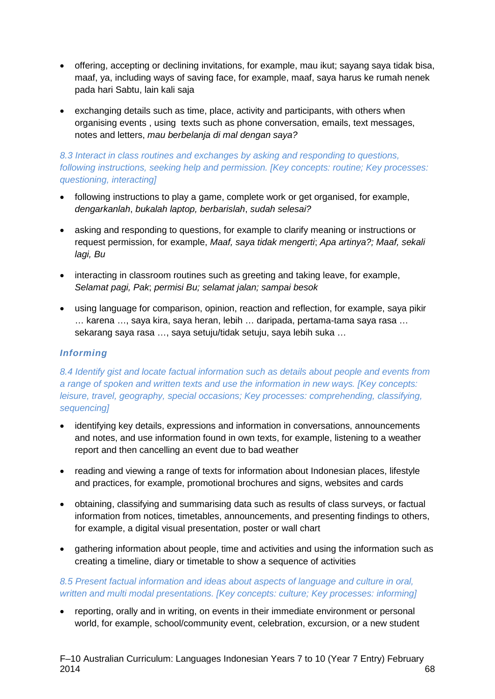- offering, accepting or declining invitations, for example, mau ikut; sayang saya tidak bisa, maaf, ya, including ways of saving face, for example, maaf, saya harus ke rumah nenek pada hari Sabtu, lain kali saja
- exchanging details such as time, place, activity and participants, with others when organising events , using texts such as phone conversation, emails, text messages, notes and letters, *mau berbelanja di mal dengan saya?*

#### *8.3 Interact in class routines and exchanges by asking and responding to questions, following instructions, seeking help and permission. [Key concepts: routine; Key processes: questioning, interacting]*

- following instructions to play a game, complete work or get organised, for example, *dengarkanlah*, *bukalah laptop, berbarislah*, *sudah selesai?*
- asking and responding to questions, for example to clarify meaning or instructions or request permission, for example, *Maaf, saya tidak mengerti*; *Apa artinya?; Maaf, sekali lagi, Bu*
- interacting in classroom routines such as greeting and taking leave, for example, *Selamat pagi, Pak*; *permisi Bu; selamat jalan; sampai besok*
- using language for comparison, opinion, reaction and reflection, for example, saya pikir … karena …, saya kira, saya heran, lebih … daripada, pertama-tama saya rasa … sekarang saya rasa …, saya setuju/tidak setuju, saya lebih suka …

#### *Informing*

*8.4 Identify gist and locate factual information such as details about people and events from a range of spoken and written texts and use the information in new ways. [Key concepts: leisure, travel, geography, special occasions; Key processes: comprehending, classifying, sequencing]*

- identifying key details, expressions and information in conversations, announcements and notes, and use information found in own texts, for example, listening to a weather report and then cancelling an event due to bad weather
- reading and viewing a range of texts for information about Indonesian places, lifestyle and practices, for example, promotional brochures and signs, websites and cards
- obtaining, classifying and summarising data such as results of class surveys, or factual information from notices, timetables, announcements, and presenting findings to others, for example, a digital visual presentation, poster or wall chart
- gathering information about people, time and activities and using the information such as creating a timeline, diary or timetable to show a sequence of activities

#### *8.5 Present factual information and ideas about aspects of language and culture in oral, written and multi modal presentations. [Key concepts: culture; Key processes: informing]*

• reporting, orally and in writing, on events in their immediate environment or personal world, for example, school/community event, celebration, excursion, or a new student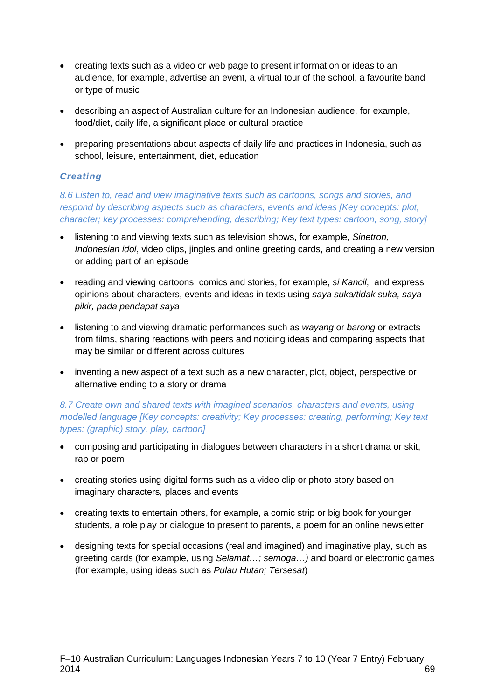- creating texts such as a video or web page to present information or ideas to an audience, for example, advertise an event, a virtual tour of the school, a favourite band or type of music
- describing an aspect of Australian culture for an Indonesian audience, for example, food/diet, daily life, a significant place or cultural practice
- preparing presentations about aspects of daily life and practices in Indonesia, such as school, leisure, entertainment, diet, education

#### *Creating*

*8.6 Listen to, read and view imaginative texts such as cartoons, songs and stories, and respond by describing aspects such as characters, events and ideas [Key concepts: plot, character; key processes: comprehending, describing; Key text types: cartoon, song, story]*

- listening to and viewing texts such as television shows, for example, *Sinetron, Indonesian idol*, video clips, jingles and online greeting cards, and creating a new version or adding part of an episode
- reading and viewing cartoons, comics and stories, for example, *si Kancil*, and express opinions about characters, events and ideas in texts using *saya suka/tidak suka, saya pikir, pada pendapat saya*
- listening to and viewing dramatic performances such as *wayang* or *barong* or extracts from films, sharing reactions with peers and noticing ideas and comparing aspects that may be similar or different across cultures
- inventing a new aspect of a text such as a new character, plot, object, perspective or alternative ending to a story or drama

#### *8.7 Create own and shared texts with imagined scenarios, characters and events, using modelled language [Key concepts: creativity; Key processes: creating, performing; Key text types: (graphic) story, play, cartoon]*

- composing and participating in dialogues between characters in a short drama or skit, rap or poem
- creating stories using digital forms such as a video clip or photo story based on imaginary characters, places and events
- creating texts to entertain others, for example, a comic strip or big book for younger students, a role play or dialogue to present to parents, a poem for an online newsletter
- designing texts for special occasions (real and imagined) and imaginative play, such as greeting cards (for example, using *Selamat…; semoga…)* and board or electronic games (for example, using ideas such as *Pulau Hutan; Tersesat*)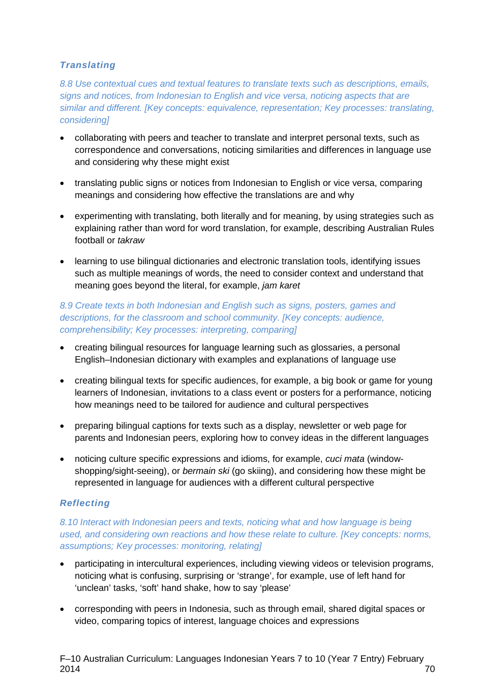#### *Translating*

*8.8 Use contextual cues and textual features to translate texts such as descriptions, emails, signs and notices, from Indonesian to English and vice versa, noticing aspects that are similar and different. [Key concepts: equivalence, representation; Key processes: translating, considering]*

- collaborating with peers and teacher to translate and interpret personal texts, such as correspondence and conversations, noticing similarities and differences in language use and considering why these might exist
- translating public signs or notices from Indonesian to English or vice versa, comparing meanings and considering how effective the translations are and why
- experimenting with translating, both literally and for meaning, by using strategies such as explaining rather than word for word translation, for example, describing Australian Rules football or *takraw*
- learning to use bilingual dictionaries and electronic translation tools, identifying issues such as multiple meanings of words, the need to consider context and understand that meaning goes beyond the literal, for example, *jam karet*

*8.9 Create texts in both Indonesian and English such as signs, posters, games and descriptions, for the classroom and school community. [Key concepts: audience, comprehensibility; Key processes: interpreting, comparing]*

- creating bilingual resources for language learning such as glossaries, a personal English–Indonesian dictionary with examples and explanations of language use
- creating bilingual texts for specific audiences, for example, a big book or game for young learners of Indonesian, invitations to a class event or posters for a performance, noticing how meanings need to be tailored for audience and cultural perspectives
- preparing bilingual captions for texts such as a display, newsletter or web page for parents and Indonesian peers, exploring how to convey ideas in the different languages
- noticing culture specific expressions and idioms, for example, *cuci mata* (windowshopping/sight-seeing), or *bermain ski* (go skiing), and considering how these might be represented in language for audiences with a different cultural perspective

#### *Reflecting*

*8.10 Interact with Indonesian peers and texts, noticing what and how language is being used, and considering own reactions and how these relate to culture. [Key concepts: norms, assumptions; Key processes: monitoring, relating]*

- participating in intercultural experiences, including viewing videos or television programs, noticing what is confusing, surprising or 'strange', for example, use of left hand for 'unclean' tasks, 'soft' hand shake, how to say 'please'
- corresponding with peers in Indonesia, such as through email, shared digital spaces or video, comparing topics of interest, language choices and expressions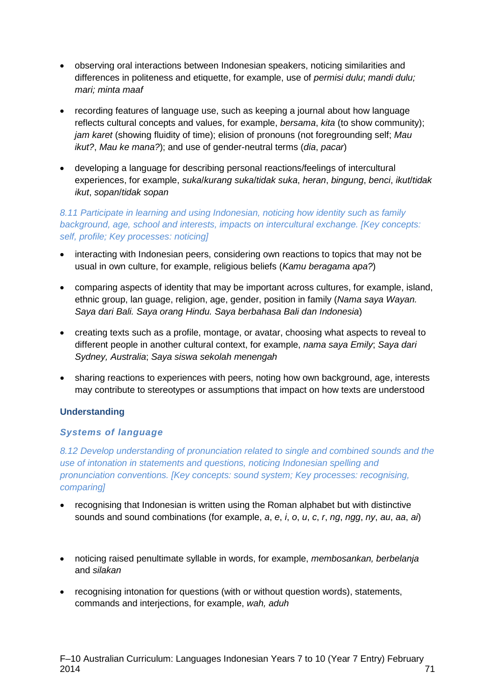- observing oral interactions between Indonesian speakers, noticing similarities and differences in politeness and etiquette, for example, use of *permisi dulu*; *mandi dulu; mari; minta maaf*
- recording features of language use, such as keeping a journal about how language reflects cultural concepts and values, for example, *bersama*, *kita* (to show community); *jam karet* (showing fluidity of time); elision of pronouns (not foregrounding self; *Mau ikut?*, *Mau ke mana?*); and use of gender-neutral terms (*dia*, *pacar*)
- developing a language for describing personal reactions/feelings of intercultural experiences, for example, *suka*/*kurang suka*/*tidak suka*, *heran*, *bingung*, *benci*, *ikut*/*tidak ikut*, *sopan*/*tidak sopan*

# *8.11 Participate in learning and using Indonesian, noticing how identity such as family background, age, school and interests, impacts on intercultural exchange. [Key concepts: self, profile; Key processes: noticing]*

- interacting with Indonesian peers, considering own reactions to topics that may not be usual in own culture, for example, religious beliefs (*Kamu beragama apa?*)
- comparing aspects of identity that may be important across cultures, for example, island, ethnic group, lan guage, religion, age, gender, position in family (*Nama saya Wayan. Saya dari Bali. Saya orang Hindu. Saya berbahasa Bali dan Indonesia*)
- creating texts such as a profile, montage, or avatar, choosing what aspects to reveal to different people in another cultural context, for example, *nama saya Emily*; *Saya dari Sydney, Australia*; *Saya siswa sekolah menengah*
- sharing reactions to experiences with peers, noting how own background, age, interests may contribute to stereotypes or assumptions that impact on how texts are understood

# **Understanding**

# *Systems of language*

*8.12 Develop understanding of pronunciation related to single and combined sounds and the use of intonation in statements and questions, noticing Indonesian spelling and pronunciation conventions. [Key concepts: sound system; Key processes: recognising, comparing]*

- recognising that Indonesian is written using the Roman alphabet but with distinctive sounds and sound combinations (for example, *a*, *e*, *i*, *o*, *u*, *c*, *r*, *ng*, *ngg*, *ny*, *au*, *aa*, *ai*)
- noticing raised penultimate syllable in words, for example, *membosankan, berbelanja* and *silakan*
- recognising intonation for questions (with or without question words), statements, commands and interjections, for example, *wah, aduh*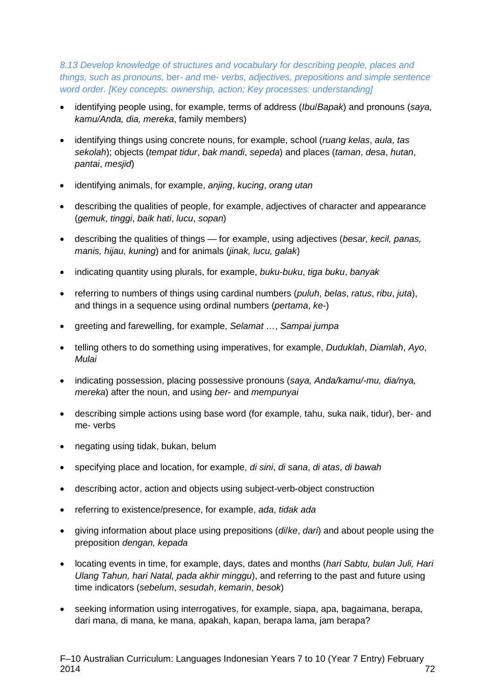*8.13 Develop knowledge of structures and vocabulary for describing people, places and things, such as pronouns,* ber*- and* me- *verbs, adjectives, prepositions and simple sentence word order. [Key concepts: ownership, action; Key processes: understanding]*

- identifying people using, for example, terms of address (*Ibu*/*Bapak*) and pronouns (*saya, kamu/Anda, dia, mereka*, family members)
- identifying things using concrete nouns, for example, school (*ruang kelas*, *aula*, *tas sekolah*); objects (*tempat tidur*, *bak mandi*, *sepeda*) and places (*taman*, *desa*, *hutan*, *pantai*, *mesjid*)
- identifying animals, for example, *anjing*, *kucing*, *orang utan*
- describing the qualities of people, for example, adjectives of character and appearance (*gemuk*, *tinggi*, *baik hati*, *lucu*, *sopan*)
- describing the qualities of things for example, using adjectives (*besar, kecil, panas, manis, hijau, kuning*) and for animals (*jinak, lucu, galak*)
- indicating quantity using plurals, for example, *buku-buku*, *tiga buku*, *banyak*
- referring to numbers of things using cardinal numbers (*puluh*, *belas*, *ratus*, *ribu*, *juta*), and things in a sequence using ordinal numbers (*pertama*, *ke-*)
- greeting and farewelling, for example, *Selamat …*, *Sampai jumpa*
- telling others to do something using imperatives, for example, *Duduklah*, *Diamlah*, *Ayo*, *Mulai*
- indicating possession, placing possessive pronouns (*saya, Anda/kamu/-mu, dia/nya, mereka*) after the noun, and using *ber*- and *mempunyai*
- describing simple actions using base word (for example, tahu, suka naik, tidur), ber- and me- verbs
- negating using tidak, bukan, belum
- specifying place and location, for example, *di sini*, *di sana*, *di atas*, *di bawah*
- describing actor, action and objects using subject-verb-object construction
- referring to existence/presence, for example, *ada*, *tidak ada*
- giving information about place using prepositions (*di*/*ke*, *dari*) and about people using the preposition *dengan, kepada*
- locating events in time, for example, days, dates and months (*hari Sabtu, bulan Juli, Hari Ulang Tahun, hari Natal, pada akhir minggu*), and referring to the past and future using time indicators (*sebelum*, *sesudah*, *kemarin*, *besok*)
- seeking information using interrogatives, for example, siapa, apa, bagaimana, berapa, dari mana, di mana, ke mana, apakah, kapan, berapa lama, jam berapa?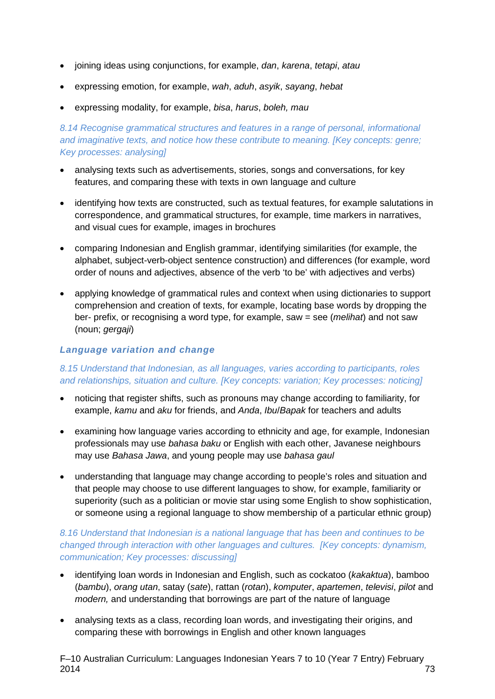- joining ideas using conjunctions, for example, *dan*, *karena*, *tetapi*, *atau*
- expressing emotion, for example, *wah*, *aduh*, *asyik*, *sayang*, *hebat*
- expressing modality, for example, *bisa*, *harus*, *boleh, mau*

# *8.14 Recognise grammatical structures and features in a range of personal, informational and imaginative texts, and notice how these contribute to meaning. [Key concepts: genre; Key processes: analysing]*

- analysing texts such as advertisements, stories, songs and conversations, for key features, and comparing these with texts in own language and culture
- identifying how texts are constructed, such as textual features, for example salutations in correspondence, and grammatical structures, for example, time markers in narratives, and visual cues for example, images in brochures
- comparing Indonesian and English grammar, identifying similarities (for example, the alphabet, subject-verb-object sentence construction) and differences (for example, word order of nouns and adjectives, absence of the verb 'to be' with adjectives and verbs)
- applying knowledge of grammatical rules and context when using dictionaries to support comprehension and creation of texts, for example, locating base words by dropping the ber- prefix, or recognising a word type, for example, saw = see (*melihat*) and not saw (noun; *gergaji*)

# *Language variation and change*

# *8.15 Understand that Indonesian, as all languages, varies according to participants, roles and relationships, situation and culture. [Key concepts: variation; Key processes: noticing]*

- noticing that register shifts, such as pronouns may change according to familiarity, for example, *kamu* and *aku* for friends, and *Anda*, *Ibu*/*Bapak* for teachers and adults
- examining how language varies according to ethnicity and age, for example, Indonesian professionals may use *bahasa baku* or English with each other, Javanese neighbours may use *Bahasa Jawa*, and young people may use *bahasa gaul*
- understanding that language may change according to people's roles and situation and that people may choose to use different languages to show, for example, familiarity or superiority (such as a politician or movie star using some English to show sophistication, or someone using a regional language to show membership of a particular ethnic group)

# *8.16 Understand that Indonesian is a national language that has been and continues to be changed through interaction with other languages and cultures. [Key concepts: dynamism, communication; Key processes: discussing]*

- identifying loan words in Indonesian and English, such as cockatoo (*kakaktua*), bamboo (*bambu*), *orang utan*, satay (*sate*), rattan (*rotan*), *komputer*, *apartemen*, *televisi*, *pilot* and *modern,* and understanding that borrowings are part of the nature of language
- analysing texts as a class, recording loan words, and investigating their origins, and comparing these with borrowings in English and other known languages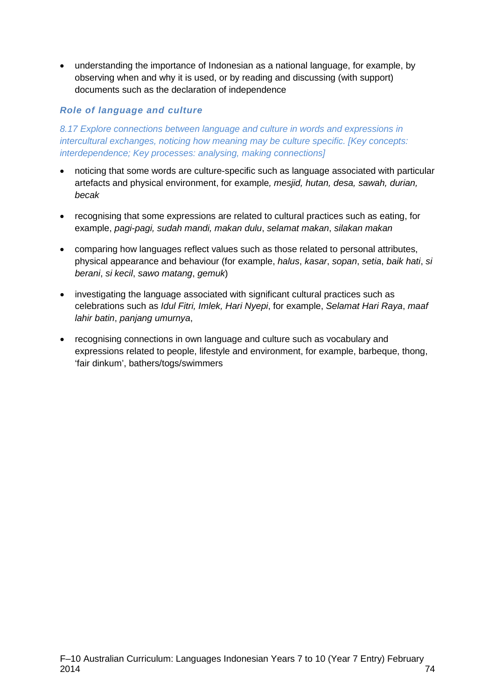• understanding the importance of Indonesian as a national language, for example, by observing when and why it is used, or by reading and discussing (with support) documents such as the declaration of independence

# *Role of language and culture*

*8.17 Explore connections between language and culture in words and expressions in intercultural exchanges, noticing how meaning may be culture specific. [Key concepts: interdependence; Key processes: analysing, making connections]*

- noticing that some words are culture-specific such as language associated with particular artefacts and physical environment, for example*, mesjid, hutan, desa, sawah, durian, becak*
- recognising that some expressions are related to cultural practices such as eating, for example, *pagi-pagi, sudah mandi, makan dulu*, *selamat makan*, *silakan makan*
- comparing how languages reflect values such as those related to personal attributes, physical appearance and behaviour (for example, *halus*, *kasar*, *sopan*, *setia*, *baik hati*, *si berani*, *si kecil*, *sawo matang*, *gemuk*)
- investigating the language associated with significant cultural practices such as celebrations such as *Idul Fitri, Imlek, Hari Nyepi*, for example, *Selamat Hari Raya*, *maaf lahir batin*, *panjang umurnya*,
- recognising connections in own language and culture such as vocabulary and expressions related to people, lifestyle and environment, for example, barbeque, thong, 'fair dinkum', bathers/togs/swimmers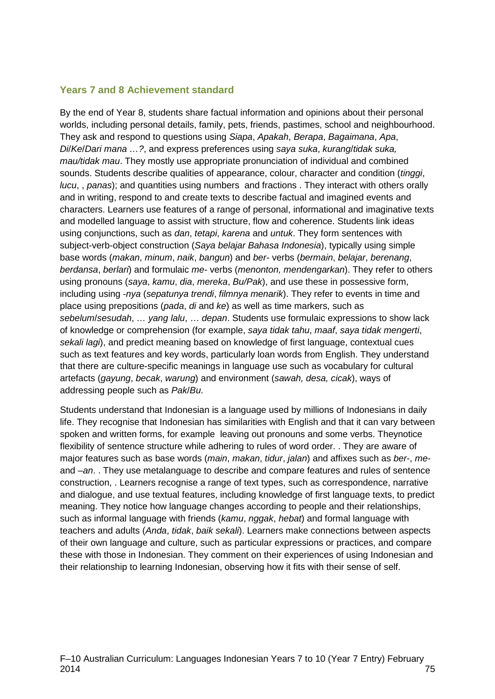# **Years 7 and 8 Achievement standard**

By the end of Year 8, students share factual information and opinions about their personal worlds, including personal details, family, pets, friends, pastimes, school and neighbourhood. They ask and respond to questions using *Siapa*, *Apakah*, *Berapa*, *Bagaimana*, *Apa*, *Di*/*Ke*/*Dari mana …?*, and express preferences using *saya suka*, *kurang*/*tidak suka, mau/tidak mau*. They mostly use appropriate pronunciation of individual and combined sounds. Students describe qualities of appearance, colour, character and condition (*tinggi*, *lucu*, , *panas*); and quantities using numbers and fractions . They interact with others orally and in writing, respond to and create texts to describe factual and imagined events and characters. Learners use features of a range of personal, informational and imaginative texts and modelled language to assist with structure, flow and coherence. Students link ideas using conjunctions, such as *dan*, *tetapi*, *karena* and *untuk*. They form sentences with subject-verb-object construction (*Saya belajar Bahasa Indonesia*), typically using simple base words (*makan*, *minum*, *naik*, *bangun*) and *ber-* verbs (*bermain*, *belajar*, *berenang*, *berdansa*, *berlari*) and formulaic *me-* verbs (*menonton, mendengarkan*). They refer to others using pronouns (*saya*, *kamu*, *dia*, *mereka*, *Bu/Pak*), and use these in possessive form, including using -*nya* (*sepatunya trendi*, *filmnya menarik*). They refer to events in time and place using prepositions (*pada*, *di* and *ke*) as well as time markers, such as *sebelum*/*sesudah*, *… yang lalu*, … *depan*. Students use formulaic expressions to show lack of knowledge or comprehension (for example, *saya tidak tahu*, *maaf*, *saya tidak mengerti*, *sekali lagi*), and predict meaning based on knowledge of first language, contextual cues such as text features and key words, particularly loan words from English. They understand that there are culture-specific meanings in language use such as vocabulary for cultural artefacts (*gayung*, *becak*, *warung*) and environment (*sawah, desa, cicak*), ways of addressing people such as *Pak*/*Bu*.

Students understand that Indonesian is a language used by millions of Indonesians in daily life. They recognise that Indonesian has similarities with English and that it can vary between spoken and written forms, for example leaving out pronouns and some verbs. Theynotice flexibility of sentence structure while adhering to rules of word order. . They are aware of major features such as base words (*main*, *makan*, *tidur*, *jalan*) and affixes such as *ber*-, *me*and –*an*. . They use metalanguage to describe and compare features and rules of sentence construction, . Learners recognise a range of text types, such as correspondence, narrative and dialogue, and use textual features, including knowledge of first language texts, to predict meaning. They notice how language changes according to people and their relationships, such as informal language with friends (*kamu*, *nggak*, *hebat*) and formal language with teachers and adults (*Anda*, *tidak*, *baik sekali*). Learners make connections between aspects of their own language and culture, such as particular expressions or practices, and compare these with those in Indonesian. They comment on their experiences of using Indonesian and their relationship to learning Indonesian, observing how it fits with their sense of self.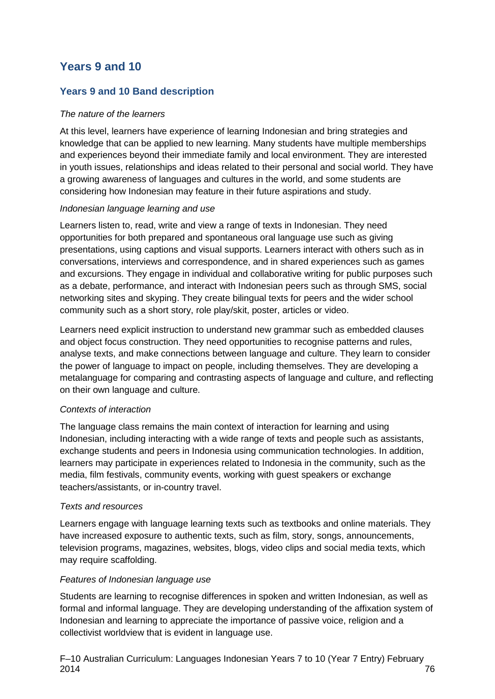# **Years 9 and 10**

# **Years 9 and 10 Band description**

# *The nature of the learners*

At this level, learners have experience of learning Indonesian and bring strategies and knowledge that can be applied to new learning. Many students have multiple memberships and experiences beyond their immediate family and local environment. They are interested in youth issues, relationships and ideas related to their personal and social world. They have a growing awareness of languages and cultures in the world, and some students are considering how Indonesian may feature in their future aspirations and study.

#### *Indonesian language learning and use*

Learners listen to, read, write and view a range of texts in Indonesian. They need opportunities for both prepared and spontaneous oral language use such as giving presentations, using captions and visual supports. Learners interact with others such as in conversations, interviews and correspondence, and in shared experiences such as games and excursions. They engage in individual and collaborative writing for public purposes such as a debate, performance, and interact with Indonesian peers such as through SMS, social networking sites and skyping. They create bilingual texts for peers and the wider school community such as a short story, role play/skit, poster, articles or video.

Learners need explicit instruction to understand new grammar such as embedded clauses and object focus construction. They need opportunities to recognise patterns and rules, analyse texts, and make connections between language and culture. They learn to consider the power of language to impact on people, including themselves. They are developing a metalanguage for comparing and contrasting aspects of language and culture, and reflecting on their own language and culture.

# *Contexts of interaction*

The language class remains the main context of interaction for learning and using Indonesian, including interacting with a wide range of texts and people such as assistants, exchange students and peers in Indonesia using communication technologies. In addition, learners may participate in experiences related to Indonesia in the community, such as the media, film festivals, community events, working with guest speakers or exchange teachers/assistants, or in-country travel.

#### *Texts and resources*

Learners engage with language learning texts such as textbooks and online materials. They have increased exposure to authentic texts, such as film, story, songs, announcements, television programs, magazines, websites, blogs, video clips and social media texts, which may require scaffolding.

#### *Features of Indonesian language use*

Students are learning to recognise differences in spoken and written Indonesian, as well as formal and informal language. They are developing understanding of the affixation system of Indonesian and learning to appreciate the importance of passive voice, religion and a collectivist worldview that is evident in language use.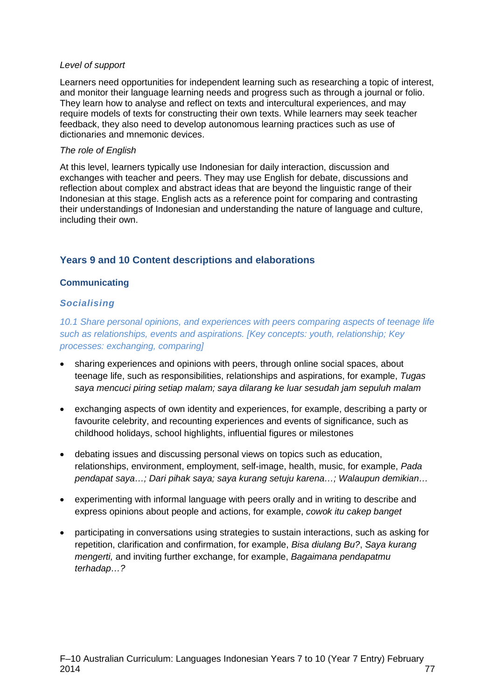#### *Level of support*

Learners need opportunities for independent learning such as researching a topic of interest, and monitor their language learning needs and progress such as through a journal or folio. They learn how to analyse and reflect on texts and intercultural experiences, and may require models of texts for constructing their own texts. While learners may seek teacher feedback, they also need to develop autonomous learning practices such as use of dictionaries and mnemonic devices.

#### *The role of English*

At this level, learners typically use Indonesian for daily interaction, discussion and exchanges with teacher and peers. They may use English for debate, discussions and reflection about complex and abstract ideas that are beyond the linguistic range of their Indonesian at this stage. English acts as a reference point for comparing and contrasting their understandings of Indonesian and understanding the nature of language and culture, including their own.

# **Years 9 and 10 Content descriptions and elaborations**

### **Communicating**

### *Socialising*

*10.1 Share personal opinions, and experiences with peers comparing aspects of teenage life such as relationships, events and aspirations. [Key concepts: youth, relationship; Key processes: exchanging, comparing]*

- sharing experiences and opinions with peers, through online social spaces, about teenage life, such as responsibilities, relationships and aspirations, for example, *Tugas saya mencuci piring setiap malam; saya dilarang ke luar sesudah jam sepuluh malam*
- exchanging aspects of own identity and experiences, for example, describing a party or favourite celebrity, and recounting experiences and events of significance, such as childhood holidays, school highlights, influential figures or milestones
- debating issues and discussing personal views on topics such as education, relationships, environment, employment, self-image, health, music, for example, *Pada pendapat saya…; Dari pihak saya; saya kurang setuju karena…; Walaupun demikian…*
- experimenting with informal language with peers orally and in writing to describe and express opinions about people and actions, for example, *cowok itu cakep banget*
- participating in conversations using strategies to sustain interactions, such as asking for repetition, clarification and confirmation, for example, *Bisa diulang Bu?*, *Saya kurang mengerti,* and inviting further exchange, for example, *Bagaimana pendapatmu terhadap…?*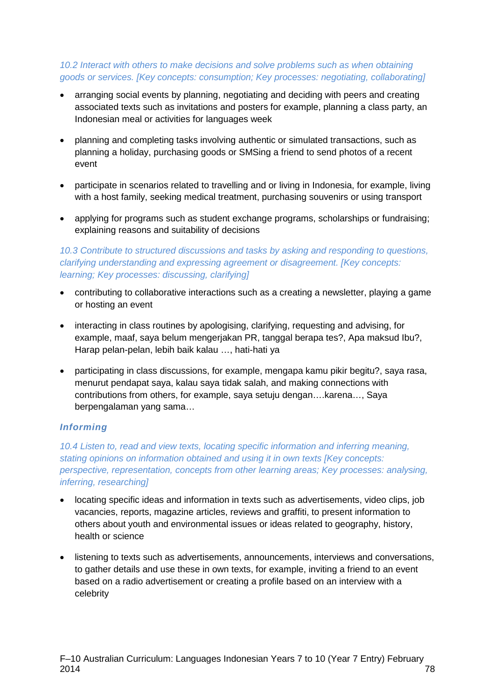### *10.2 Interact with others to make decisions and solve problems such as when obtaining goods or services. [Key concepts: consumption; Key processes: negotiating, collaborating]*

- arranging social events by planning, negotiating and deciding with peers and creating associated texts such as invitations and posters for example, planning a class party, an Indonesian meal or activities for languages week
- planning and completing tasks involving authentic or simulated transactions, such as planning a holiday, purchasing goods or SMSing a friend to send photos of a recent event
- participate in scenarios related to travelling and or living in Indonesia, for example, living with a host family, seeking medical treatment, purchasing souvenirs or using transport
- applying for programs such as student exchange programs, scholarships or fundraising; explaining reasons and suitability of decisions

*10.3 Contribute to structured discussions and tasks by asking and responding to questions, clarifying understanding and expressing agreement or disagreement. [Key concepts: learning; Key processes: discussing, clarifying]*

- contributing to collaborative interactions such as a creating a newsletter, playing a game or hosting an event
- interacting in class routines by apologising, clarifying, requesting and advising, for example, maaf, saya belum mengerjakan PR, tanggal berapa tes?, Apa maksud Ibu?, Harap pelan-pelan, lebih baik kalau …, hati-hati ya
- participating in class discussions, for example, mengapa kamu pikir begitu?, saya rasa, menurut pendapat saya, kalau saya tidak salah, and making connections with contributions from others, for example, saya setuju dengan….karena…, Saya berpengalaman yang sama…

# *Informing*

*10.4 Listen to, read and view texts, locating specific information and inferring meaning, stating opinions on information obtained and using it in own texts [Key concepts: perspective, representation, concepts from other learning areas; Key processes: analysing, inferring, researching]*

- locating specific ideas and information in texts such as advertisements, video clips, job vacancies, reports, magazine articles, reviews and graffiti, to present information to others about youth and environmental issues or ideas related to geography, history, health or science
- listening to texts such as advertisements, announcements, interviews and conversations, to gather details and use these in own texts, for example, inviting a friend to an event based on a radio advertisement or creating a profile based on an interview with a celebrity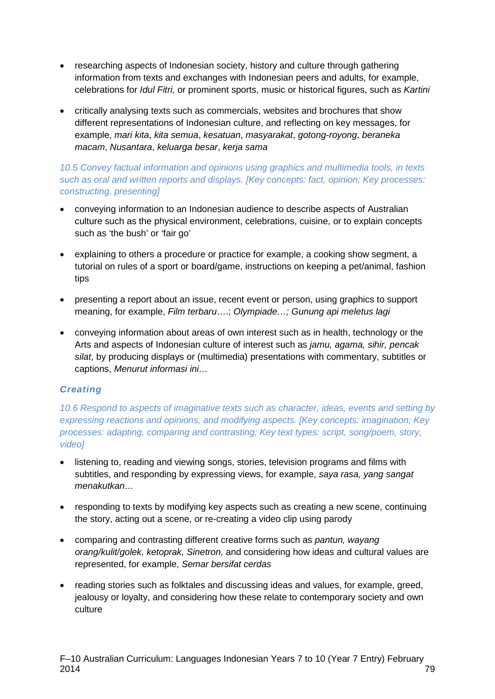- researching aspects of Indonesian society, history and culture through gathering information from texts and exchanges with Indonesian peers and adults, for example, celebrations for *Idul Fitri,* or prominent sports, music or historical figures, such as *Kartini*
- critically analysing texts such as commercials, websites and brochures that show different representations of Indonesian culture, and reflecting on key messages, for example, *mari kita*, *kita semua*, *kesatuan*, *masyarakat*, *gotong-royong*, *beraneka macam*, *Nusantara*, *keluarga besar*, *kerja sama*

# *10.5 Convey factual information and opinions using graphics and multimedia tools, in texts such as oral and written reports and displays. [Key concepts: fact, opinion; Key processes: constructing, presenting]*

- conveying information to an Indonesian audience to describe aspects of Australian culture such as the physical environment, celebrations, cuisine, or to explain concepts such as 'the bush' or 'fair go'
- explaining to others a procedure or practice for example, a cooking show segment, a tutorial on rules of a sport or board/game, instructions on keeping a pet/animal, fashion tips
- presenting a report about an issue, recent event or person, using graphics to support meaning, for example, *Film terbaru*….; *Olympiade…; Gunung api meletus lagi*
- conveving information about areas of own interest such as in health, technology or the Arts and aspects of Indonesian culture of interest such as *jamu, agama, sihir, pencak silat*, by producing displays or (multimedia) presentations with commentary, subtitles or captions, *Menurut informasi ini…*

# *Creating*

*10.6 Respond to aspects of imaginative texts such as character, ideas, events and setting by expressing reactions and opinions, and modifying aspects. [Key concepts: imagination; Key processes: adapting, comparing and contrasting; Key text types: script, song/poem, story, video]*

- listening to, reading and viewing songs, stories, television programs and films with subtitles, and responding by expressing views, for example, *saya rasa, yang sangat menakutkan…*
- responding to texts by modifying key aspects such as creating a new scene, continuing the story, acting out a scene, or re-creating a video clip using parody
- comparing and contrasting different creative forms such as *pantun, wayang orang/kulit/golek, ketoprak, Sinetron,* and considering how ideas and cultural values are represented, for example, *Semar bersifat cerdas*
- reading stories such as folktales and discussing ideas and values, for example, greed, jealousy or loyalty, and considering how these relate to contemporary society and own culture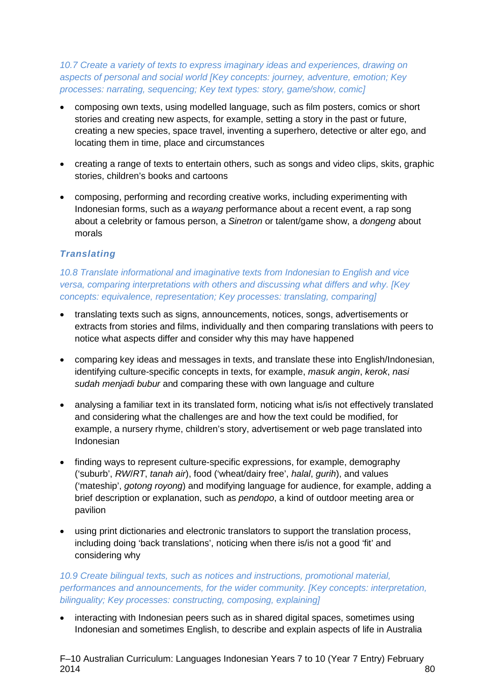*10.7 Create a variety of texts to express imaginary ideas and experiences, drawing on aspects of personal and social world [Key concepts: journey, adventure, emotion; Key processes: narrating, sequencing; Key text types: story, game/show, comic]*

- composing own texts, using modelled language, such as film posters, comics or short stories and creating new aspects, for example, setting a story in the past or future, creating a new species, space travel, inventing a superhero, detective or alter ego, and locating them in time, place and circumstances
- creating a range of texts to entertain others, such as songs and video clips, skits, graphic stories, children's books and cartoons
- composing, performing and recording creative works, including experimenting with Indonesian forms, such as a *wayang* performance about a recent event, a rap song about a celebrity or famous person, a *Sinetron* or talent/game show, a *dongeng* about morals

# *Translating*

*10.8 Translate informational and imaginative texts from Indonesian to English and vice versa, comparing interpretations with others and discussing what differs and why. [Key concepts: equivalence, representation; Key processes: translating, comparing]*

- translating texts such as signs, announcements, notices, songs, advertisements or extracts from stories and films, individually and then comparing translations with peers to notice what aspects differ and consider why this may have happened
- comparing key ideas and messages in texts, and translate these into English/Indonesian, identifying culture-specific concepts in texts, for example, *masuk angin*, *kerok*, *nasi sudah menjadi bubur* and comparing these with own language and culture
- analysing a familiar text in its translated form, noticing what is/is not effectively translated and considering what the challenges are and how the text could be modified, for example, a nursery rhyme, children's story, advertisement or web page translated into Indonesian
- finding ways to represent culture-specific expressions, for example, demography ('suburb', *RW*/*RT*, *tanah air*), food ('wheat/dairy free', *halal*, *gurih*), and values ('mateship', *gotong royong*) and modifying language for audience, for example, adding a brief description or explanation, such as *pendopo*, a kind of outdoor meeting area or pavilion
- using print dictionaries and electronic translators to support the translation process, including doing 'back translations', noticing when there is/is not a good 'fit' and considering why

*10.9 Create bilingual texts, such as notices and instructions, promotional material, performances and announcements, for the wider community. [Key concepts: interpretation, bilinguality; Key processes: constructing, composing, explaining]*

• interacting with Indonesian peers such as in shared digital spaces, sometimes using Indonesian and sometimes English, to describe and explain aspects of life in Australia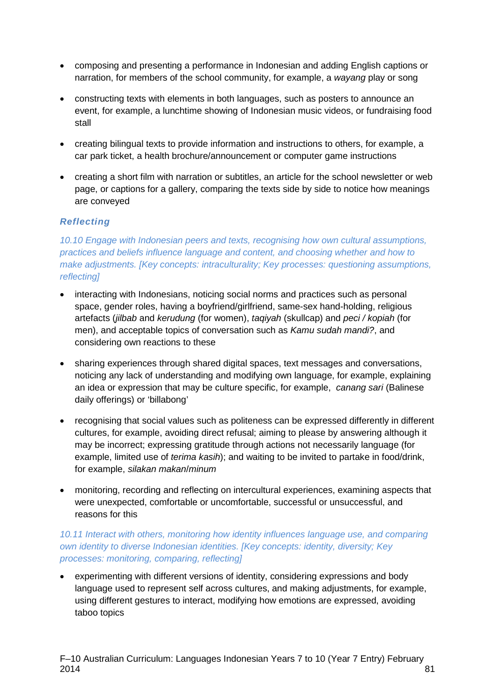- composing and presenting a performance in Indonesian and adding English captions or narration, for members of the school community, for example, a *wayang* play or song
- constructing texts with elements in both languages, such as posters to announce an event, for example, a lunchtime showing of Indonesian music videos, or fundraising food stall
- creating bilingual texts to provide information and instructions to others, for example, a car park ticket, a health brochure/announcement or computer game instructions
- creating a short film with narration or subtitles, an article for the school newsletter or web page, or captions for a gallery, comparing the texts side by side to notice how meanings are conveyed

# *Reflecting*

*10.10 Engage with Indonesian peers and texts, recognising how own cultural assumptions, practices and beliefs influence language and content, and choosing whether and how to make adjustments. [Key concepts: intraculturality; Key processes: questioning assumptions, reflecting]*

- interacting with Indonesians, noticing social norms and practices such as personal space, gender roles, having a boyfriend/girlfriend, same-sex hand-holding, religious artefacts (*jilbab* and *kerudung* (for women), *taqiyah* (skullcap) and *peci / kopiah* (for men), and acceptable topics of conversation such as *Kamu sudah mandi?*, and considering own reactions to these
- sharing experiences through shared digital spaces, text messages and conversations, noticing any lack of understanding and modifying own language, for example, explaining an idea or expression that may be culture specific, for example, *canang sari* (Balinese daily offerings) or 'billabong'
- recognising that social values such as politeness can be expressed differently in different cultures, for example, avoiding direct refusal; aiming to please by answering although it may be incorrect; expressing gratitude through actions not necessarily language (for example, limited use of *terima kasih*); and waiting to be invited to partake in food/drink, for example, *silakan makan*/*minum*
- monitoring, recording and reflecting on intercultural experiences, examining aspects that were unexpected, comfortable or uncomfortable, successful or unsuccessful, and reasons for this

# *10.11 Interact with others, monitoring how identity influences language use, and comparing own identity to diverse Indonesian identities. [Key concepts: identity, diversity; Key processes: monitoring, comparing, reflecting]*

• experimenting with different versions of identity, considering expressions and body language used to represent self across cultures, and making adjustments, for example, using different gestures to interact, modifying how emotions are expressed, avoiding taboo topics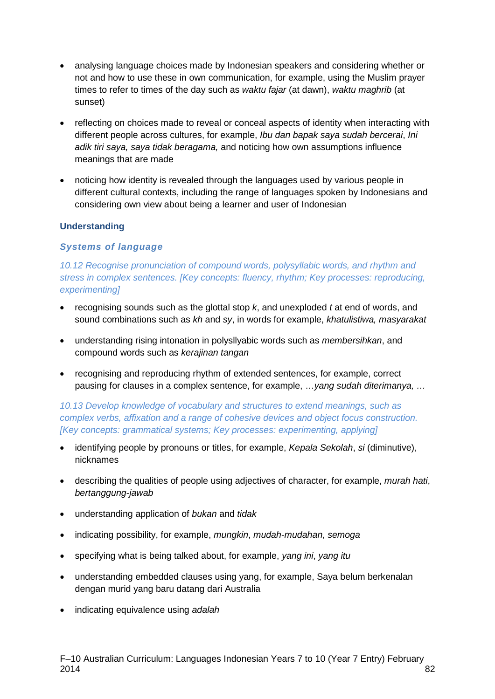- analysing language choices made by Indonesian speakers and considering whether or not and how to use these in own communication, for example, using the Muslim prayer times to refer to times of the day such as *waktu fajar* (at dawn), *waktu maghrib* (at sunset)
- reflecting on choices made to reveal or conceal aspects of identity when interacting with different people across cultures, for example, *Ibu dan bapak saya sudah bercerai*, *Ini adik tiri saya, saya tidak beragama,* and noticing how own assumptions influence meanings that are made
- noticing how identity is revealed through the languages used by various people in different cultural contexts, including the range of languages spoken by Indonesians and considering own view about being a learner and user of Indonesian

# **Understanding**

#### *Systems of language*

10.12 Recognise pronunciation of compound words, polysyllabic words, and rhythm and *stress in complex sentences. [Key concepts: fluency, rhythm; Key processes: reproducing, experimenting]*

- recognising sounds such as the glottal stop *k*, and unexploded *t* at end of words, and sound combinations such as *kh* and *sy*, in words for example, *khatulistiwa, masyarakat*
- understanding rising intonation in polysllyabic words such as *membersihkan*, and compound words such as *kerajinan tangan*
- recognising and reproducing rhythm of extended sentences, for example, correct pausing for clauses in a complex sentence, for example, …*yang sudah diterimanya, …*

# *10.13 Develop knowledge of vocabulary and structures to extend meanings, such as complex verbs, affixation and a range of cohesive devices and object focus construction. [Key concepts: grammatical systems; Key processes: experimenting, applying]*

- identifying people by pronouns or titles, for example, *Kepala Sekolah*, *si* (diminutive), nicknames
- describing the qualities of people using adjectives of character, for example, *murah hati*, *bertanggung-jawab*
- understanding application of *bukan* and *tidak*
- indicating possibility, for example, *mungkin*, *mudah-mudahan*, *semoga*
- specifying what is being talked about, for example, *yang ini*, *yang itu*
- understanding embedded clauses using yang, for example, Saya belum berkenalan dengan murid yang baru datang dari Australia
- indicating equivalence using *adalah*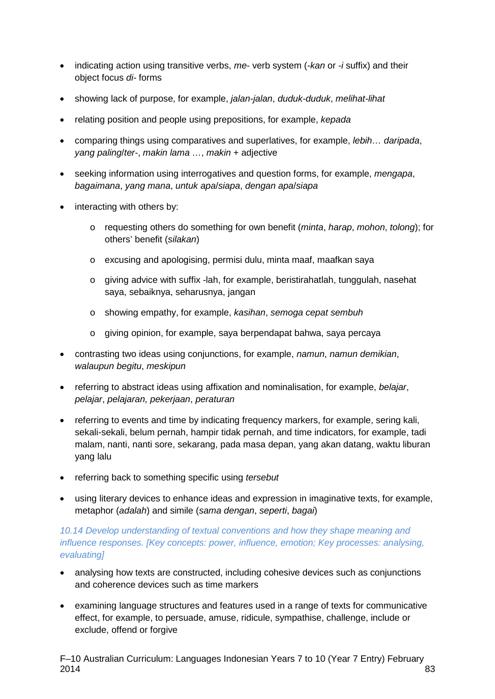- indicating action using transitive verbs, *me-* verb system (-*kan* or -*i* suffix) and their object focus *di-* forms
- showing lack of purpose, for example, *jalan-jalan*, *duduk-duduk*, *melihat-lihat*
- relating position and people using prepositions, for example, *kepada*
- comparing things using comparatives and superlatives, for example, *lebih… daripada*, *yang paling*/*ter-*, *makin lama …*, *makin* + adjective
- seeking information using interrogatives and question forms, for example, *mengapa*, *bagaimana*, *yang mana*, *untuk apa*/*siapa*, *dengan apa*/*siapa*
- interacting with others by:
	- o requesting others do something for own benefit (*minta*, *harap*, *mohon*, *tolong*); for others' benefit (*silakan*)
	- o excusing and apologising, permisi dulu, minta maaf, maafkan saya
	- $\circ$  giving advice with suffix -lah, for example, beristirahatlah, tunggulah, nasehat saya, sebaiknya, seharusnya, jangan
	- o showing empathy, for example, *kasihan*, *semoga cepat sembuh*
	- o giving opinion, for example, saya berpendapat bahwa, saya percaya
- contrasting two ideas using conjunctions, for example, *namun*, *namun demikian*, *walaupun begitu*, *meskipun*
- referring to abstract ideas using affixation and nominalisation, for example, *belajar*, *pelajar*, *pelajaran, pekerjaan*, *peraturan*
- referring to events and time by indicating frequency markers, for example, sering kali, sekali-sekali, belum pernah, hampir tidak pernah, and time indicators, for example, tadi malam, nanti, nanti sore, sekarang, pada masa depan, yang akan datang, waktu liburan yang lalu
- referring back to something specific using *tersebut*
- using literary devices to enhance ideas and expression in imaginative texts, for example, metaphor (*adalah*) and simile (*sama dengan*, *seperti*, *bagai*)

# *10.14 Develop understanding of textual conventions and how they shape meaning and influence responses. [Key concepts: power, influence, emotion; Key processes: analysing, evaluating]*

- analysing how texts are constructed, including cohesive devices such as conjunctions and coherence devices such as time markers
- examining language structures and features used in a range of texts for communicative effect, for example, to persuade, amuse, ridicule, sympathise, challenge, include or exclude, offend or forgive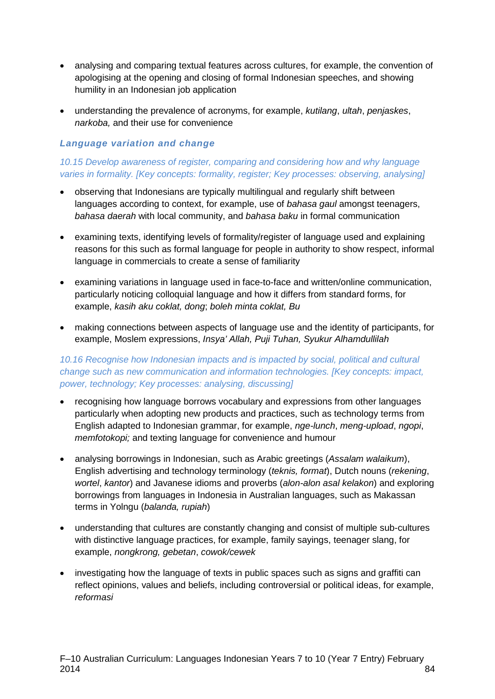- analysing and comparing textual features across cultures, for example, the convention of apologising at the opening and closing of formal Indonesian speeches, and showing humility in an Indonesian job application
- understanding the prevalence of acronyms, for example, *kutilang*, *ultah*, *penjaskes*, *narkoba,* and their use for convenience

# *Language variation and change*

# *10.15 Develop awareness of register, comparing and considering how and why language varies in formality. [Key concepts: formality, register; Key processes: observing, analysing]*

- observing that Indonesians are typically multilingual and regularly shift between languages according to context, for example, use of *bahasa gaul* amongst teenagers, *bahasa daerah* with local community, and *bahasa baku* in formal communication
- examining texts, identifying levels of formality/register of language used and explaining reasons for this such as formal language for people in authority to show respect, informal language in commercials to create a sense of familiarity
- examining variations in language used in face-to-face and written/online communication, particularly noticing colloquial language and how it differs from standard forms, for example, *kasih aku coklat, dong*; *boleh minta coklat, Bu*
- making connections between aspects of language use and the identity of participants, for example, Moslem expressions, *Insya' Allah, Puji Tuhan, Syukur Alhamdullilah*

# *10.16 Recognise how Indonesian impacts and is impacted by social, political and cultural change such as new communication and information technologies. [Key concepts: impact, power, technology; Key processes: analysing, discussing]*

- recognising how language borrows vocabulary and expressions from other languages particularly when adopting new products and practices, such as technology terms from English adapted to Indonesian grammar, for example, *nge-lunch*, *meng-upload*, *ngopi*, *memfotokopi;* and texting language for convenience and humour
- analysing borrowings in Indonesian, such as Arabic greetings (*Assalam walaikum*), English advertising and technology terminology (*teknis, format*), Dutch nouns (*rekening*, *wortel*, *kantor*) and Javanese idioms and proverbs (*alon-alon asal kelakon*) and exploring borrowings from languages in Indonesia in Australian languages, such as Makassan terms in Yolngu (*balanda, rupiah*)
- understanding that cultures are constantly changing and consist of multiple sub-cultures with distinctive language practices, for example, family sayings, teenager slang, for example, *nongkrong, gebetan*, *cowok/cewek*
- investigating how the language of texts in public spaces such as signs and graffiti can reflect opinions, values and beliefs, including controversial or political ideas, for example, *reformasi*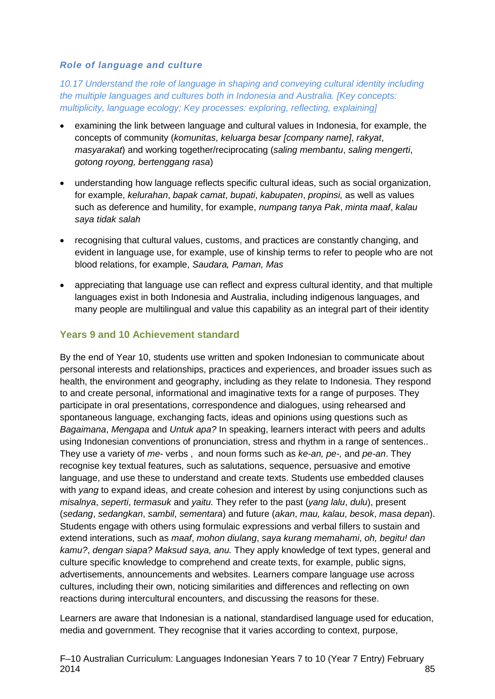### *Role of language and culture*

*10.17 Understand the role of language in shaping and conveying cultural identity including the multiple languages and cultures both in Indonesia and Australia. [Key concepts: multiplicity, language ecology; Key processes: exploring, reflecting, explaining]*

- examining the link between language and cultural values in Indonesia, for example, the concepts of community (*komunitas*, *keluarga besar [company name]*, *rakyat*, *masyarakat*) and working together/reciprocating (*saling membantu*, *saling mengerti*, *gotong royong, bertenggang rasa*)
- understanding how language reflects specific cultural ideas, such as social organization, for example, *kelurahan*, *bapak camat*, *bupati*, *kabupaten*, *propinsi,* as well as values such as deference and humility, for example, *numpang tanya Pak*, *minta maaf*, *kalau saya tidak salah*
- recognising that cultural values, customs, and practices are constantly changing, and evident in language use, for example, use of kinship terms to refer to people who are not blood relations, for example, *Saudara, Paman, Mas*
- appreciating that language use can reflect and express cultural identity, and that multiple languages exist in both Indonesia and Australia, including indigenous languages, and many people are multilingual and value this capability as an integral part of their identity

# **Years 9 and 10 Achievement standard**

By the end of Year 10, students use written and spoken Indonesian to communicate about personal interests and relationships, practices and experiences, and broader issues such as health, the environment and geography, including as they relate to Indonesia. They respond to and create personal, informational and imaginative texts for a range of purposes. They participate in oral presentations, correspondence and dialogues, using rehearsed and spontaneous language, exchanging facts, ideas and opinions using questions such as *Bagaimana*, *Mengapa* and *Untuk apa?* In speaking, learners interact with peers and adults using Indonesian conventions of pronunciation, stress and rhythm in a range of sentences.. They use a variety of *me-* verbs , and noun forms such as *ke-an, pe-,* and *pe-an*. They recognise key textual features, such as salutations, sequence, persuasive and emotive language, and use these to understand and create texts. Students use embedded clauses with *yang* to expand ideas, and create cohesion and interest by using conjunctions such as *misalnya*, *seperti*, *termasuk* and *yaitu.* They refer to the past (*yang lalu*, *dulu*), present (*sedang*, *sedangkan*, *sambil*, *sementara*) and future (*akan*, *mau, kalau*, *besok*, *masa depan*). Students engage with others using formulaic expressions and verbal fillers to sustain and extend interations, such as *maaf*, *mohon diulang*, *saya kurang memahami*, *oh, begitu! dan kamu?*, *dengan siapa? Maksud saya, anu.* They apply knowledge of text types, general and culture specific knowledge to comprehend and create texts, for example, public signs, advertisements, announcements and websites. Learners compare language use across cultures, including their own, noticing similarities and differences and reflecting on own reactions during intercultural encounters, and discussing the reasons for these.

Learners are aware that Indonesian is a national, standardised language used for education, media and government. They recognise that it varies according to context, purpose,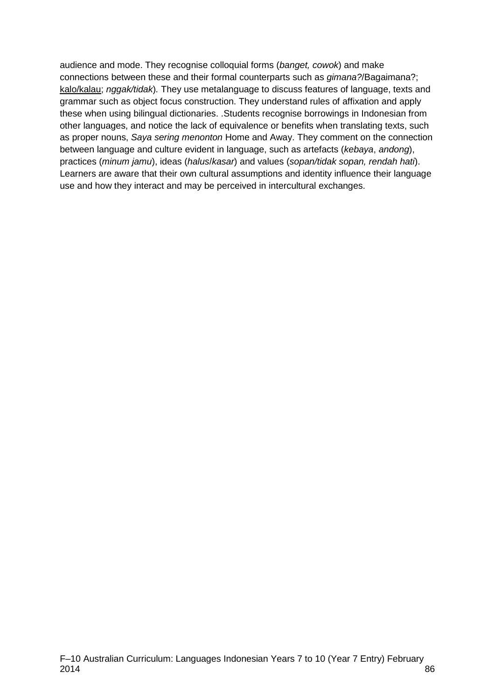audience and mode. They recognise colloquial forms (*banget, cowok*) and make connections between these and their formal counterparts such as *gimana?*/Bagaimana?; kalo/kalau; *nggak/tidak*)*.* They use metalanguage to discuss features of language, texts and grammar such as object focus construction. They understand rules of affixation and apply these when using bilingual dictionaries. .Students recognise borrowings in Indonesian from other languages, and notice the lack of equivalence or benefits when translating texts, such as proper nouns, *Saya sering menonton* Home and Away. They comment on the connection between language and culture evident in language, such as artefacts (*kebaya*, *andong*), practices (*minum jamu*), ideas (*halus*/*kasar*) and values (*sopan/tidak sopan, rendah hati*). Learners are aware that their own cultural assumptions and identity influence their language use and how they interact and may be perceived in intercultural exchanges.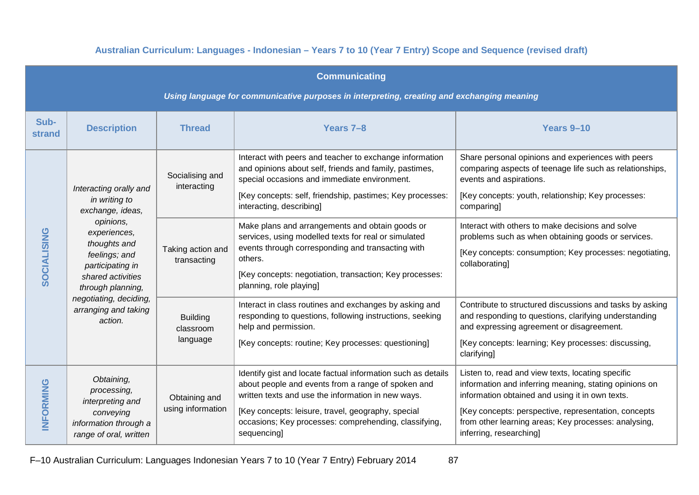# **Australian Curriculum: Languages - Indonesian – Years 7 to 10 (Year 7 Entry) Scope and Sequence (revised draft)**

| <b>Communicating</b>                                                                       |                                                                                                                                                                                                                                                      |                                          |                                                                                                                                                                                                                                                                                                        |                                                                                                                                                                                                                                                                                                           |
|--------------------------------------------------------------------------------------------|------------------------------------------------------------------------------------------------------------------------------------------------------------------------------------------------------------------------------------------------------|------------------------------------------|--------------------------------------------------------------------------------------------------------------------------------------------------------------------------------------------------------------------------------------------------------------------------------------------------------|-----------------------------------------------------------------------------------------------------------------------------------------------------------------------------------------------------------------------------------------------------------------------------------------------------------|
| Using language for communicative purposes in interpreting, creating and exchanging meaning |                                                                                                                                                                                                                                                      |                                          |                                                                                                                                                                                                                                                                                                        |                                                                                                                                                                                                                                                                                                           |
| Sub-<br>strand                                                                             | <b>Description</b>                                                                                                                                                                                                                                   | <b>Thread</b>                            | Years 7-8                                                                                                                                                                                                                                                                                              | Years 9-10                                                                                                                                                                                                                                                                                                |
| <b>SOCIALISING</b>                                                                         | Interacting orally and<br>in writing to<br>exchange, ideas,<br>opinions,<br>experiences,<br>thoughts and<br>feelings; and<br>participating in<br>shared activities<br>through planning,<br>negotiating, deciding,<br>arranging and taking<br>action. | Socialising and<br>interacting           | Interact with peers and teacher to exchange information<br>and opinions about self, friends and family, pastimes,<br>special occasions and immediate environment.<br>[Key concepts: self, friendship, pastimes; Key processes:<br>interacting, describing]                                             | Share personal opinions and experiences with peers<br>comparing aspects of teenage life such as relationships,<br>events and aspirations.<br>[Key concepts: youth, relationship; Key processes:<br>comparing]                                                                                             |
|                                                                                            |                                                                                                                                                                                                                                                      | Taking action and<br>transacting         | Make plans and arrangements and obtain goods or<br>services, using modelled texts for real or simulated<br>events through corresponding and transacting with<br>others.<br>[Key concepts: negotiation, transaction; Key processes:<br>planning, role playing]                                          | Interact with others to make decisions and solve<br>problems such as when obtaining goods or services.<br>[Key concepts: consumption; Key processes: negotiating,<br>collaborating]                                                                                                                       |
|                                                                                            |                                                                                                                                                                                                                                                      | <b>Building</b><br>classroom<br>language | Interact in class routines and exchanges by asking and<br>responding to questions, following instructions, seeking<br>help and permission.<br>[Key concepts: routine; Key processes: questioning]                                                                                                      | Contribute to structured discussions and tasks by asking<br>and responding to questions, clarifying understanding<br>and expressing agreement or disagreement.<br>[Key concepts: learning; Key processes: discussing,<br>clarifying]                                                                      |
| <b>INFORMING</b>                                                                           | Obtaining,<br>processing,<br>interpreting and<br>conveying<br>information through a<br>range of oral, written                                                                                                                                        | Obtaining and<br>using information       | Identify gist and locate factual information such as details<br>about people and events from a range of spoken and<br>written texts and use the information in new ways.<br>[Key concepts: leisure, travel, geography, special<br>occasions; Key processes: comprehending, classifying,<br>sequencing] | Listen to, read and view texts, locating specific<br>information and inferring meaning, stating opinions on<br>information obtained and using it in own texts.<br>[Key concepts: perspective, representation, concepts<br>from other learning areas; Key processes: analysing,<br>inferring, researching] |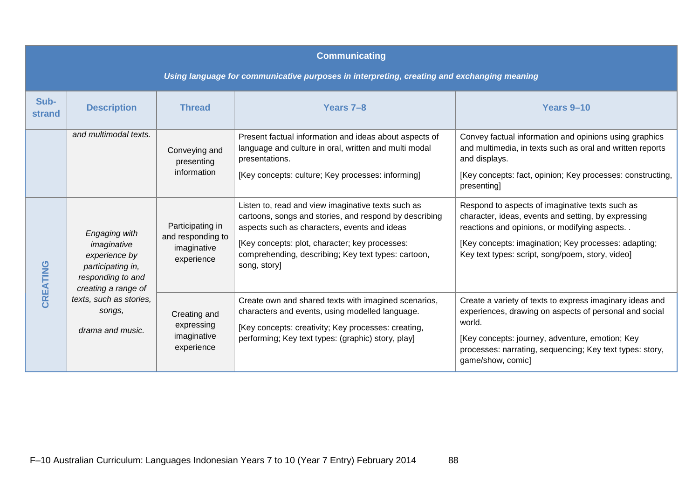| <b>Communicating</b>                                                                       |                                                                                                                                                                         |                                                                    |                                                                                                                                                                                                                                                                                       |                                                                                                                                                                                                                                                                    |  |
|--------------------------------------------------------------------------------------------|-------------------------------------------------------------------------------------------------------------------------------------------------------------------------|--------------------------------------------------------------------|---------------------------------------------------------------------------------------------------------------------------------------------------------------------------------------------------------------------------------------------------------------------------------------|--------------------------------------------------------------------------------------------------------------------------------------------------------------------------------------------------------------------------------------------------------------------|--|
| Using language for communicative purposes in interpreting, creating and exchanging meaning |                                                                                                                                                                         |                                                                    |                                                                                                                                                                                                                                                                                       |                                                                                                                                                                                                                                                                    |  |
| Sub-<br><b>strand</b>                                                                      | <b>Description</b>                                                                                                                                                      | <b>Thread</b>                                                      | Years 7-8                                                                                                                                                                                                                                                                             | Years 9-10                                                                                                                                                                                                                                                         |  |
|                                                                                            | and multimodal texts.                                                                                                                                                   | Conveying and<br>presenting<br>information                         | Present factual information and ideas about aspects of<br>language and culture in oral, written and multi modal<br>presentations.<br>[Key concepts: culture; Key processes: informing]                                                                                                | Convey factual information and opinions using graphics<br>and multimedia, in texts such as oral and written reports<br>and displays.<br>[Key concepts: fact, opinion; Key processes: constructing,<br>presenting]                                                  |  |
| CREATING                                                                                   | Engaging with<br>imaginative<br>experience by<br>participating in,<br>responding to and<br>creating a range of<br>texts, such as stories,<br>songs,<br>drama and music. | Participating in<br>and responding to<br>imaginative<br>experience | Listen to, read and view imaginative texts such as<br>cartoons, songs and stories, and respond by describing<br>aspects such as characters, events and ideas<br>[Key concepts: plot, character; key processes:<br>comprehending, describing; Key text types: cartoon,<br>song, story] | Respond to aspects of imaginative texts such as<br>character, ideas, events and setting, by expressing<br>reactions and opinions, or modifying aspects<br>[Key concepts: imagination; Key processes: adapting;<br>Key text types: script, song/poem, story, video] |  |
|                                                                                            |                                                                                                                                                                         | Creating and<br>expressing<br>imaginative<br>experience            | Create own and shared texts with imagined scenarios,<br>characters and events, using modelled language.<br>[Key concepts: creativity; Key processes: creating,<br>performing; Key text types: (graphic) story, play]                                                                  | Create a variety of texts to express imaginary ideas and<br>experiences, drawing on aspects of personal and social<br>world.<br>[Key concepts: journey, adventure, emotion; Key<br>processes: narrating, sequencing; Key text types: story,<br>game/show, comic]   |  |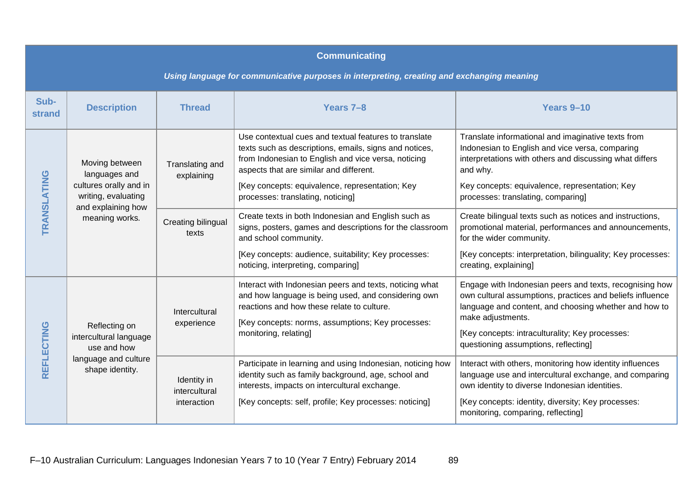| <b>Communicating</b>                                                                       |                                                                                                                          |                                             |                                                                                                                                                                                                                                                                                                           |                                                                                                                                                                                                                                                                                               |  |
|--------------------------------------------------------------------------------------------|--------------------------------------------------------------------------------------------------------------------------|---------------------------------------------|-----------------------------------------------------------------------------------------------------------------------------------------------------------------------------------------------------------------------------------------------------------------------------------------------------------|-----------------------------------------------------------------------------------------------------------------------------------------------------------------------------------------------------------------------------------------------------------------------------------------------|--|
| Using language for communicative purposes in interpreting, creating and exchanging meaning |                                                                                                                          |                                             |                                                                                                                                                                                                                                                                                                           |                                                                                                                                                                                                                                                                                               |  |
| Sub-<br>strand                                                                             | <b>Description</b>                                                                                                       | <b>Thread</b>                               | Years 7-8                                                                                                                                                                                                                                                                                                 | Years 9-10                                                                                                                                                                                                                                                                                    |  |
| TRANSLATING                                                                                | Moving between<br>languages and<br>cultures orally and in<br>writing, evaluating<br>and explaining how<br>meaning works. | Translating and<br>explaining               | Use contextual cues and textual features to translate<br>texts such as descriptions, emails, signs and notices,<br>from Indonesian to English and vice versa, noticing<br>aspects that are similar and different.<br>[Key concepts: equivalence, representation; Key<br>processes: translating, noticing] | Translate informational and imaginative texts from<br>Indonesian to English and vice versa, comparing<br>interpretations with others and discussing what differs<br>and why.<br>Key concepts: equivalence, representation; Key<br>processes: translating, comparing]                          |  |
|                                                                                            |                                                                                                                          | Creating bilingual<br>texts                 | Create texts in both Indonesian and English such as<br>signs, posters, games and descriptions for the classroom<br>and school community.<br>[Key concepts: audience, suitability; Key processes:<br>noticing, interpreting, comparing]                                                                    | Create bilingual texts such as notices and instructions,<br>promotional material, performances and announcements,<br>for the wider community.<br>[Key concepts: interpretation, bilinguality; Key processes:<br>creating, explaining]                                                         |  |
| REFLECTING                                                                                 | Reflecting on<br>intercultural language<br>use and how<br>language and culture<br>shape identity.                        | Intercultural<br>experience                 | Interact with Indonesian peers and texts, noticing what<br>and how language is being used, and considering own<br>reactions and how these relate to culture.<br>[Key concepts: norms, assumptions; Key processes:<br>monitoring, relating]                                                                | Engage with Indonesian peers and texts, recognising how<br>own cultural assumptions, practices and beliefs influence<br>language and content, and choosing whether and how to<br>make adjustments.<br>[Key concepts: intraculturality; Key processes:<br>questioning assumptions, reflecting] |  |
|                                                                                            |                                                                                                                          | Identity in<br>intercultural<br>interaction | Participate in learning and using Indonesian, noticing how<br>identity such as family background, age, school and<br>interests, impacts on intercultural exchange.<br>[Key concepts: self, profile; Key processes: noticing]                                                                              | Interact with others, monitoring how identity influences<br>language use and intercultural exchange, and comparing<br>own identity to diverse Indonesian identities.<br>[Key concepts: identity, diversity; Key processes:<br>monitoring, comparing, reflecting]                              |  |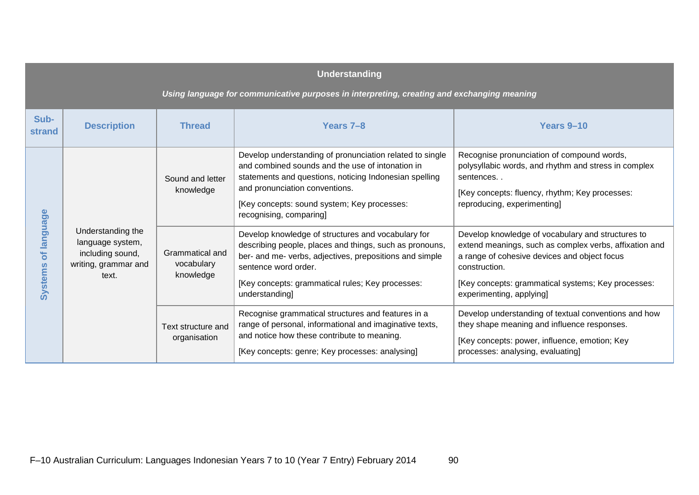| <b>Understanding</b>                                                                       |                                                                                            |                                            |                                                                                                                                                                                                                                                                                    |                                                                                                                                                                                                                                                                |
|--------------------------------------------------------------------------------------------|--------------------------------------------------------------------------------------------|--------------------------------------------|------------------------------------------------------------------------------------------------------------------------------------------------------------------------------------------------------------------------------------------------------------------------------------|----------------------------------------------------------------------------------------------------------------------------------------------------------------------------------------------------------------------------------------------------------------|
| Using language for communicative purposes in interpreting, creating and exchanging meaning |                                                                                            |                                            |                                                                                                                                                                                                                                                                                    |                                                                                                                                                                                                                                                                |
| Sub-<br>strand                                                                             | <b>Description</b>                                                                         | <b>Thread</b>                              | Years 7-8                                                                                                                                                                                                                                                                          | Years 9-10                                                                                                                                                                                                                                                     |
| <b>Ianguage</b><br>$\delta$<br><b>Systems</b>                                              | Understanding the<br>language system,<br>including sound,<br>writing, grammar and<br>text. | Sound and letter<br>knowledge              | Develop understanding of pronunciation related to single<br>and combined sounds and the use of intonation in<br>statements and questions, noticing Indonesian spelling<br>and pronunciation conventions.<br>[Key concepts: sound system; Key processes:<br>recognising, comparing] | Recognise pronunciation of compound words,<br>polysyllabic words, and rhythm and stress in complex<br>sentences<br>[Key concepts: fluency, rhythm; Key processes:<br>reproducing, experimenting]                                                               |
|                                                                                            |                                                                                            | Grammatical and<br>vocabulary<br>knowledge | Develop knowledge of structures and vocabulary for<br>describing people, places and things, such as pronouns,<br>ber- and me- verbs, adjectives, prepositions and simple<br>sentence word order.<br>[Key concepts: grammatical rules; Key processes:<br>understanding]             | Develop knowledge of vocabulary and structures to<br>extend meanings, such as complex verbs, affixation and<br>a range of cohesive devices and object focus<br>construction.<br>[Key concepts: grammatical systems; Key processes:<br>experimenting, applying] |
|                                                                                            |                                                                                            | Text structure and<br>organisation         | Recognise grammatical structures and features in a<br>range of personal, informational and imaginative texts,<br>and notice how these contribute to meaning.<br>[Key concepts: genre; Key processes: analysing]                                                                    | Develop understanding of textual conventions and how<br>they shape meaning and influence responses.<br>[Key concepts: power, influence, emotion; Key<br>processes: analysing, evaluating]                                                                      |